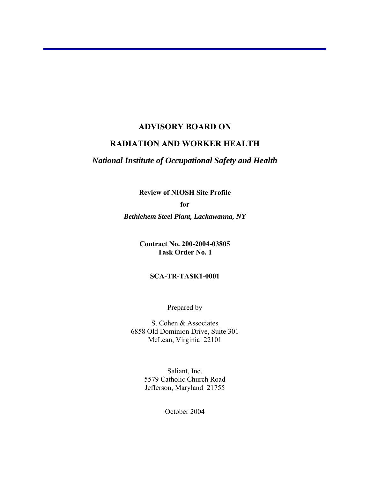#### **ADVISORY BOARD ON**

# **RADIATION AND WORKER HEALTH**

# *National Institute of Occupational Safety and Health*

**Review of NIOSH Site Profile** 

**for** 

*Bethlehem Steel Plant, Lackawanna, NY* 

**Contract No. 200-2004-03805 Task Order No. 1**

#### **SCA-TR-TASK1-0001**

Prepared by

S. Cohen & Associates 6858 Old Dominion Drive, Suite 301 McLean, Virginia 22101

> Saliant, Inc. 5579 Catholic Church Road Jefferson, Maryland 21755

> > October 2004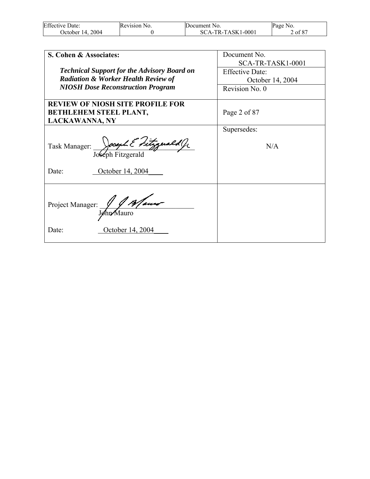| <b>Effective Date:</b> | Revision No. | Document No.        | Page<br>NO.  |
|------------------------|--------------|---------------------|--------------|
| 2004<br>Jctober 14.    |              | $SCA-TR-TASK1-0001$ | f 87<br>2 of |

| S. Cohen & Associates:                                                                            | Document No.<br>SCA-TR-TASK1-0001 |
|---------------------------------------------------------------------------------------------------|-----------------------------------|
| <b>Technical Support for the Advisory Board on</b>                                                | <b>Effective Date:</b>            |
| <b>Radiation &amp; Worker Health Review of</b>                                                    | October 14, 2004                  |
| <b>NIOSH Dose Reconstruction Program</b>                                                          | Revision No. 0                    |
| <b>REVIEW OF NIOSH SITE PROFILE FOR</b><br><b>BETHLEHEM STEEL PLANT,</b><br><b>LACKAWANNA, NY</b> | Page 2 of 87                      |
|                                                                                                   | Supersedes:                       |
| Task Manager: Joseph Fitzgerald G                                                                 | N/A                               |
| Date:<br>October 14, 2004                                                                         |                                   |
| Project Manager: John Mauro<br>October 14, 2004<br>Date:                                          |                                   |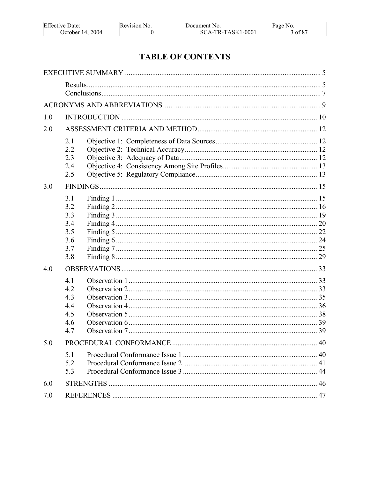| <b>Effective Date:</b> | Revision No. | Document No.      | Page No. |
|------------------------|--------------|-------------------|----------|
| 2004<br>October 14.2   |              | SCA-TR-TASK1-0001 | of 87    |

# **TABLE OF CONTENTS**

| 1.0 |     |  |
|-----|-----|--|
| 2.0 |     |  |
|     | 2.1 |  |
|     | 2.2 |  |
|     | 2.3 |  |
|     | 2.4 |  |
|     | 2.5 |  |
| 3.0 |     |  |
|     | 3.1 |  |
|     | 3.2 |  |
|     | 3.3 |  |
|     | 3.4 |  |
|     | 3.5 |  |
|     | 3.6 |  |
|     | 3.7 |  |
|     | 3.8 |  |
| 4.0 |     |  |
|     | 4.1 |  |
|     | 4.2 |  |
|     | 4.3 |  |
|     | 4.4 |  |
|     | 4.5 |  |
|     | 4.6 |  |
|     | 4.7 |  |
| 5.0 |     |  |
|     | 5.1 |  |
|     | 5.2 |  |
|     | 5.3 |  |
| 6.0 |     |  |
| 7.0 |     |  |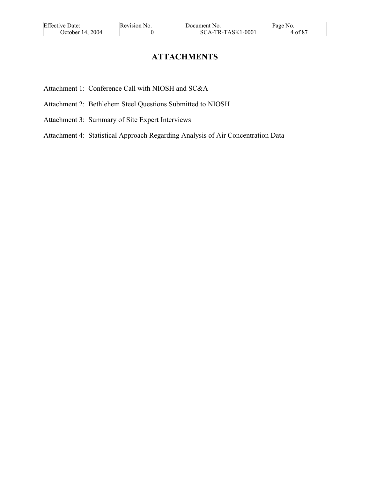| <b>Effective Date:</b> | Revision No. | Document No.        | Page No. |
|------------------------|--------------|---------------------|----------|
| October 14, 2004       |              | $SCA-TR-TASK1-0001$ | 4 of 87  |

# **ATTACHMENTS**

Attachment 1: Conference Call with NIOSH and SC&A

- Attachment 2: Bethlehem Steel Questions Submitted to NIOSH
- Attachment 3: Summary of Site Expert Interviews

Attachment 4: Statistical Approach Regarding Analysis of Air Concentration Data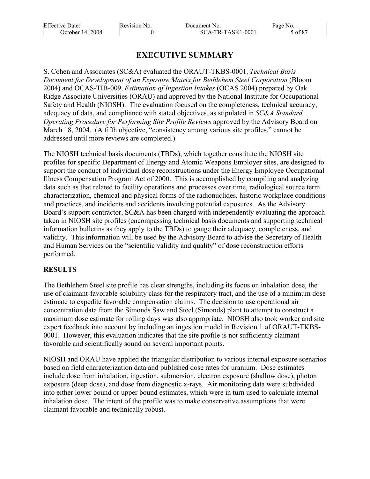| <b>Effective Date:</b> | Revision No. | Document No.        | Page No. |
|------------------------|--------------|---------------------|----------|
| October 14, 2004       |              | $SCA-TR-TASK1-0001$ | of 87    |

# **EXECUTIVE SUMMARY**

S. Cohen and Associates (SC&A) evaluated the ORAUT-TKBS-0001, *Technical Basis Document for Development of an Exposure Matrix for Bethlehem Steel Corporation* (Bloom 2004) and OCAS-TIB-009, *Estimation of Ingestion Intakes* (OCAS 2004) prepared by Oak Ridge Associate Universities (ORAU) and approved by the National Institute for Occupational Safety and Health (NIOSH). The evaluation focused on the completeness, technical accuracy, adequacy of data, and compliance with stated objectives, as stipulated in *SC&A Standard Operating Procedure for Performing Site Profile Reviews* approved by the Advisory Board on March 18, 2004. (A fifth objective, "consistency among various site profiles," cannot be addressed until more reviews are completed.)

The NIOSH technical basis documents (TBDs), which together constitute the NIOSH site profiles for specific Department of Energy and Atomic Weapons Employer sites, are designed to support the conduct of individual dose reconstructions under the Energy Employee Occupational Illness Compensation Program Act of 2000. This is accomplished by compiling and analyzing data such as that related to facility operations and processes over time, radiological source term characterization, chemical and physical forms of the radionuclides, historic workplace conditions and practices, and incidents and accidents involving potential exposures. As the Advisory Board's support contractor, SC&A has been charged with independently evaluating the approach taken in NIOSH site profiles (encompassing technical basis documents and supporting technical information bulletins as they apply to the TBDs) to gauge their adequacy, completeness, and validity. This information will be used by the Advisory Board to advise the Secretary of Health and Human Services on the "scientific validity and quality" of dose reconstruction efforts performed.

# **RESULTS**

The Bethlehem Steel site profile has clear strengths, including its focus on inhalation dose, the use of claimant-favorable solubility class for the respiratory tract, and the use of a minimum dose estimate to expedite favorable compensation claims. The decision to use operational air concentration data from the Simonds Saw and Steel (Simonds) plant to attempt to construct a maximum dose estimate for rolling days was also appropriate. NIOSH also took worker and site expert feedback into account by including an ingestion model in Revision 1 of ORAUT-TKBS-0001. However, this evaluation indicates that the site profile is not sufficiently claimant favorable and scientifically sound on several important points.

NIOSH and ORAU have applied the triangular distribution to various internal exposure scenarios based on field characterization data and published dose rates for uranium. Dose estimates include dose from inhalation, ingestion, submersion, electron exposure (shallow dose), photon exposure (deep dose), and dose from diagnostic x-rays. Air monitoring data were subdivided into either lower bound or upper bound estimates, which were in turn used to calculate internal inhalation dose. The intent of the profile was to make conservative assumptions that were claimant favorable and technically robust.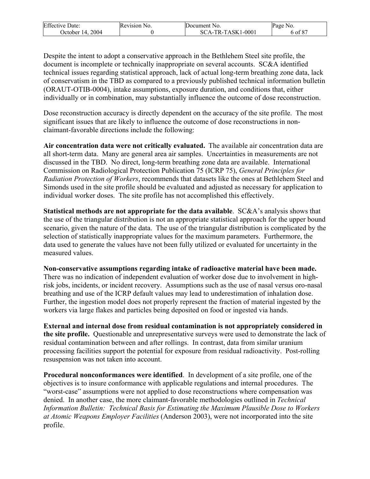| <b>Effective Date:</b> | Revision No. | <b>Document</b> No. | Page No. |
|------------------------|--------------|---------------------|----------|
| 2004<br>October $14.$  |              | SCA-TR-TASK1-0001   | 5 of 87  |

Despite the intent to adopt a conservative approach in the Bethlehem Steel site profile, the document is incomplete or technically inappropriate on several accounts. SC&A identified technical issues regarding statistical approach, lack of actual long-term breathing zone data, lack of conservatism in the TBD as compared to a previously published technical information bulletin (ORAUT-OTIB-0004), intake assumptions, exposure duration, and conditions that, either individually or in combination, may substantially influence the outcome of dose reconstruction.

Dose reconstruction accuracy is directly dependent on the accuracy of the site profile. The most significant issues that are likely to influence the outcome of dose reconstructions in nonclaimant-favorable directions include the following:

**Air concentration data were not critically evaluated.** The available air concentration data are all short-term data. Many are general area air samples. Uncertainties in measurements are not discussed in the TBD. No direct, long-term breathing zone data are available. International Commission on Radiological Protection Publication 75 (ICRP 75), *General Principles for Radiation Protection of Workers*, recommends that datasets like the ones at Bethlehem Steel and Simonds used in the site profile should be evaluated and adjusted as necessary for application to individual worker doses. The site profile has not accomplished this effectively.

**Statistical methods are not appropriate for the data available**. SC&A's analysis shows that the use of the triangular distribution is not an appropriate statistical approach for the upper bound scenario, given the nature of the data. The use of the triangular distribution is complicated by the selection of statistically inappropriate values for the maximum parameters. Furthermore, the data used to generate the values have not been fully utilized or evaluated for uncertainty in the measured values.

**Non-conservative assumptions regarding intake of radioactive material have been made.** There was no indication of independent evaluation of worker dose due to involvement in highrisk jobs, incidents, or incident recovery. Assumptions such as the use of nasal versus oro-nasal breathing and use of the ICRP default values may lead to underestimation of inhalation dose. Further, the ingestion model does not properly represent the fraction of material ingested by the workers via large flakes and particles being deposited on food or ingested via hands.

**External and internal dose from residual contamination is not appropriately considered in the site profile.** Questionable and unrepresentative surveys were used to demonstrate the lack of residual contamination between and after rollings. In contrast, data from similar uranium processing facilities support the potential for exposure from residual radioactivity. Post-rolling resuspension was not taken into account.

**Procedural nonconformances were identified**. In development of a site profile, one of the objectives is to insure conformance with applicable regulations and internal procedures. The "worst-case" assumptions were not applied to dose reconstructions where compensation was denied. In another case, the more claimant-favorable methodologies outlined in *Technical Information Bulletin: Technical Basis for Estimating the Maximum Plausible Dose to Workers at Atomic Weapons Employer Facilities* (Anderson 2003), were not incorporated into the site profile.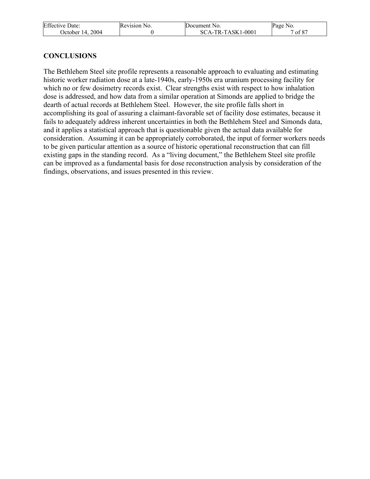| <b>Effective Date:</b> | Revision No. | Document No.      | Page No. |
|------------------------|--------------|-------------------|----------|
| October 14, 2004       |              | SCA-TR-TASK1-0001 | of 87    |

### **CONCLUSIONS**

The Bethlehem Steel site profile represents a reasonable approach to evaluating and estimating historic worker radiation dose at a late-1940s, early-1950s era uranium processing facility for which no or few dosimetry records exist. Clear strengths exist with respect to how inhalation dose is addressed, and how data from a similar operation at Simonds are applied to bridge the dearth of actual records at Bethlehem Steel. However, the site profile falls short in accomplishing its goal of assuring a claimant-favorable set of facility dose estimates, because it fails to adequately address inherent uncertainties in both the Bethlehem Steel and Simonds data, and it applies a statistical approach that is questionable given the actual data available for consideration. Assuming it can be appropriately corroborated, the input of former workers needs to be given particular attention as a source of historic operational reconstruction that can fill existing gaps in the standing record. As a "living document," the Bethlehem Steel site profile can be improved as a fundamental basis for dose reconstruction analysis by consideration of the findings, observations, and issues presented in this review.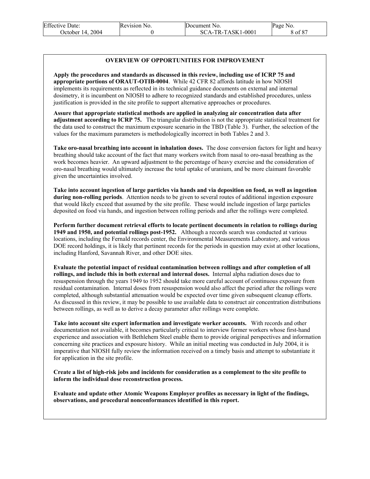| <b>Effective Date:</b> | Revision No. | Document No.        | Page No. |
|------------------------|--------------|---------------------|----------|
| October 14, 2004       |              | $SCA-TR-TASK1-0001$ | 8 of 87  |

#### **OVERVIEW OF OPPORTUNITIES FOR IMPROVEMENT**

**Apply the procedures and standards as discussed in this review, including use of ICRP 75 and appropriate portions of ORAUT-OTIB-0004**. While 42 CFR 82 affords latitude in how NIOSH implements its requirements as reflected in its technical guidance documents on external and internal dosimetry, it is incumbent on NIOSH to adhere to recognized standards and established procedures, unless justification is provided in the site profile to support alternative approaches or procedures.

**Assure that appropriate statistical methods are applied in analyzing air concentration data after adjustment according to ICRP 75.** The triangular distribution is not the appropriate statistical treatment for the data used to construct the maximum exposure scenario in the TBD (Table 3). Further, the selection of the values for the maximum parameters is methodologically incorrect in both Tables 2 and 3.

**Take oro-nasal breathing into account in inhalation doses.** The dose conversion factors for light and heavy breathing should take account of the fact that many workers switch from nasal to oro-nasal breathing as the work becomes heavier. An upward adjustment to the percentage of heavy exercise and the consideration of oro-nasal breathing would ultimately increase the total uptake of uranium, and be more claimant favorable given the uncertainties involved.

**Take into account ingestion of large particles via hands and via deposition on food, as well as ingestion during non-rolling periods**. Attention needs to be given to several routes of additional ingestion exposure that would likely exceed that assumed by the site profile. These would include ingestion of large particles deposited on food via hands, and ingestion between rolling periods and after the rollings were completed.

**Perform further document retrieval efforts to locate pertinent documents in relation to rollings during 1949 and 1950, and potential rollings post-1952.** Although a records search was conducted at various locations, including the Fernald records center, the Environmental Measurements Laboratory, and various DOE record holdings, it is likely that pertinent records for the periods in question may exist at other locations, including Hanford, Savannah River, and other DOE sites.

**Evaluate the potential impact of residual contamination between rollings and after completion of all rollings, and include this in both external and internal doses.** Internal alpha radiation doses due to resuspension through the years 1949 to 1952 should take more careful account of continuous exposure from residual contamination. Internal doses from resuspension would also affect the period after the rollings were completed, although substantial attenuation would be expected over time given subsequent cleanup efforts. As discussed in this review, it may be possible to use available data to construct air concentration distributions between rollings, as well as to derive a decay parameter after rollings were complete.

**Take into account site expert information and investigate worker accounts.** With records and other documentation not available, it becomes particularly critical to interview former workers whose first-hand experience and association with Bethlehem Steel enable them to provide original perspectives and information concerning site practices and exposure history. While an initial meeting was conducted in July 2004, it is imperative that NIOSH fully review the information received on a timely basis and attempt to substantiate it for application in the site profile.

**Create a list of high-risk jobs and incidents for consideration as a complement to the site profile to inform the individual dose reconstruction process.** 

**Evaluate and update other Atomic Weapons Employer profiles as necessary in light of the findings, observations, and procedural nonconformances identified in this report.**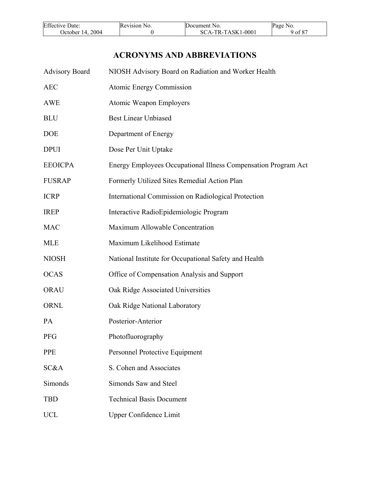| <b>Effective Date:</b> | Revision No. | Document No.      | Page No. |
|------------------------|--------------|-------------------|----------|
| 2004<br>October $14.$  |              | SCA-TR-TASK1-0001 | of 87    |

# **ACRONYMS AND ABBREVIATIONS**

| <b>Advisory Board</b> | NIOSH Advisory Board on Radiation and Worker Health            |
|-----------------------|----------------------------------------------------------------|
| <b>AEC</b>            | <b>Atomic Energy Commission</b>                                |
| <b>AWE</b>            | <b>Atomic Weapon Employers</b>                                 |
| <b>BLU</b>            | <b>Best Linear Unbiased</b>                                    |
| <b>DOE</b>            | Department of Energy                                           |
| <b>DPUI</b>           | Dose Per Unit Uptake                                           |
| <b>EEOICPA</b>        | Energy Employees Occupational Illness Compensation Program Act |
| <b>FUSRAP</b>         | Formerly Utilized Sites Remedial Action Plan                   |
| <b>ICRP</b>           | International Commission on Radiological Protection            |
| <b>IREP</b>           | Interactive RadioEpidemiologic Program                         |
| <b>MAC</b>            | Maximum Allowable Concentration                                |
| <b>MLE</b>            | Maximum Likelihood Estimate                                    |
| <b>NIOSH</b>          | National Institute for Occupational Safety and Health          |
| <b>OCAS</b>           | Office of Compensation Analysis and Support                    |
| <b>ORAU</b>           | Oak Ridge Associated Universities                              |
| <b>ORNL</b>           | Oak Ridge National Laboratory                                  |
| PA                    | Posterior-Anterior                                             |
| <b>PFG</b>            | Photofluorography                                              |
| <b>PPE</b>            | <b>Personnel Protective Equipment</b>                          |
| SC&A                  | S. Cohen and Associates                                        |
| Simonds               | Simonds Saw and Steel                                          |
| <b>TBD</b>            | <b>Technical Basis Document</b>                                |
| <b>UCL</b>            | <b>Upper Confidence Limit</b>                                  |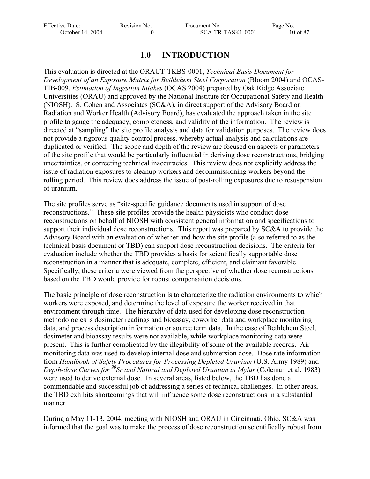| <b>Effective Date:</b> | Revision No. | Document No.      | Page No. |
|------------------------|--------------|-------------------|----------|
| October 14, 2004       |              | SCA-TR-TASK1-0001 | 10 of 87 |

# **1.0 INTRODUCTION**

This evaluation is directed at the ORAUT-TKBS-0001, *Technical Basis Document for Development of an Exposure Matrix for Bethlehem Steel Corporation* (Bloom 2004) and OCAS-TIB-009, *Estimation of Ingestion Intakes* (OCAS 2004) prepared by Oak Ridge Associate Universities (ORAU) and approved by the National Institute for Occupational Safety and Health (NIOSH). S. Cohen and Associates (SC&A), in direct support of the Advisory Board on Radiation and Worker Health (Advisory Board), has evaluated the approach taken in the site profile to gauge the adequacy, completeness, and validity of the information. The review is directed at "sampling" the site profile analysis and data for validation purposes. The review does not provide a rigorous quality control process, whereby actual analysis and calculations are duplicated or verified. The scope and depth of the review are focused on aspects or parameters of the site profile that would be particularly influential in deriving dose reconstructions, bridging uncertainties, or correcting technical inaccuracies. This review does not explicitly address the issue of radiation exposures to cleanup workers and decommissioning workers beyond the rolling period. This review does address the issue of post-rolling exposures due to resuspension of uranium.

The site profiles serve as "site-specific guidance documents used in support of dose reconstructions." These site profiles provide the health physicists who conduct dose reconstructions on behalf of NIOSH with consistent general information and specifications to support their individual dose reconstructions. This report was prepared by SC&A to provide the Advisory Board with an evaluation of whether and how the site profile (also referred to as the technical basis document or TBD) can support dose reconstruction decisions. The criteria for evaluation include whether the TBD provides a basis for scientifically supportable dose reconstruction in a manner that is adequate, complete, efficient, and claimant favorable. Specifically, these criteria were viewed from the perspective of whether dose reconstructions based on the TBD would provide for robust compensation decisions.

The basic principle of dose reconstruction is to characterize the radiation environments to which workers were exposed, and determine the level of exposure the worker received in that environment through time. The hierarchy of data used for developing dose reconstruction methodologies is dosimeter readings and bioassay, coworker data and workplace monitoring data, and process description information or source term data. In the case of Bethlehem Steel, dosimeter and bioassay results were not available, while workplace monitoring data were present. This is further complicated by the illegibility of some of the available records. Air monitoring data was used to develop internal dose and submersion dose. Dose rate information from *Handbook of Safety Procedures for Processing Depleted Uranium* (U.S. Army 1989) and *Depth-dose Curves for 90Sr and Natural and Depleted Uranium in Mylar* (Coleman et al. 1983) were used to derive external dose. In several areas, listed below, the TBD has done a commendable and successful job of addressing a series of technical challenges. In other areas, the TBD exhibits shortcomings that will influence some dose reconstructions in a substantial manner.

During a May 11-13, 2004, meeting with NIOSH and ORAU in Cincinnati, Ohio, SC&A was informed that the goal was to make the process of dose reconstruction scientifically robust from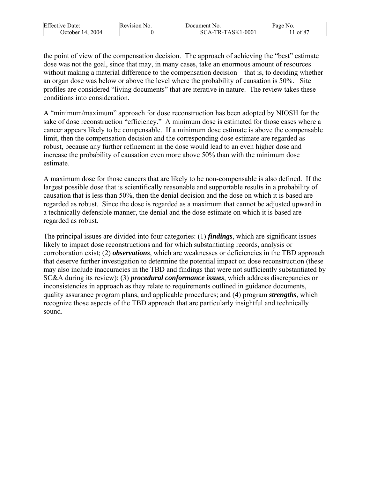| <b>Effective Date:</b> | Revision No. | Document No.      | Page No. |
|------------------------|--------------|-------------------|----------|
| 2004<br>October $14.$  |              | SCA-TR-TASK1-0001 | of 87    |

the point of view of the compensation decision. The approach of achieving the "best" estimate dose was not the goal, since that may, in many cases, take an enormous amount of resources without making a material difference to the compensation decision – that is, to deciding whether an organ dose was below or above the level where the probability of causation is 50%. Site profiles are considered "living documents" that are iterative in nature. The review takes these conditions into consideration.

A "minimum/maximum" approach for dose reconstruction has been adopted by NIOSH for the sake of dose reconstruction "efficiency." A minimum dose is estimated for those cases where a cancer appears likely to be compensable. If a minimum dose estimate is above the compensable limit, then the compensation decision and the corresponding dose estimate are regarded as robust, because any further refinement in the dose would lead to an even higher dose and increase the probability of causation even more above 50% than with the minimum dose estimate.

A maximum dose for those cancers that are likely to be non-compensable is also defined. If the largest possible dose that is scientifically reasonable and supportable results in a probability of causation that is less than 50%, then the denial decision and the dose on which it is based are regarded as robust. Since the dose is regarded as a maximum that cannot be adjusted upward in a technically defensible manner, the denial and the dose estimate on which it is based are regarded as robust.

The principal issues are divided into four categories: (1) *findings*, which are significant issues likely to impact dose reconstructions and for which substantiating records, analysis or corroboration exist; (2) *observations*, which are weaknesses or deficiencies in the TBD approach that deserve further investigation to determine the potential impact on dose reconstruction (these may also include inaccuracies in the TBD and findings that were not sufficiently substantiated by SC&A during its review); (3) *procedural conformance issues*, which address discrepancies or inconsistencies in approach as they relate to requirements outlined in guidance documents, quality assurance program plans, and applicable procedures; and (4) program *strengths*, which recognize those aspects of the TBD approach that are particularly insightful and technically sound.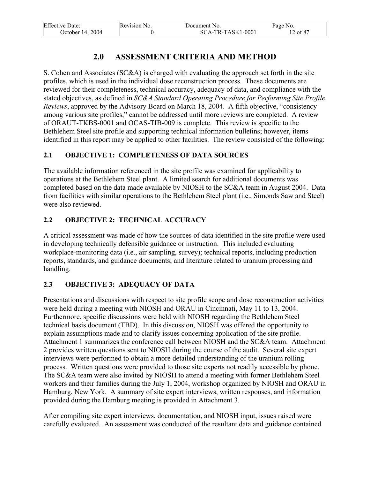| <b>Effective Date:</b> | Revision No. | Document No.        | Page No. |
|------------------------|--------------|---------------------|----------|
| October 14, 2004       |              | $SCA-TR-TASK1-0001$ | 12 of 87 |

# **2.0 ASSESSMENT CRITERIA AND METHOD**

S. Cohen and Associates (SC&A) is charged with evaluating the approach set forth in the site profiles, which is used in the individual dose reconstruction process. These documents are reviewed for their completeness, technical accuracy, adequacy of data, and compliance with the stated objectives, as defined in *SC&A Standard Operating Procedure for Performing Site Profile Reviews*, approved by the Advisory Board on March 18, 2004. A fifth objective, "consistency among various site profiles," cannot be addressed until more reviews are completed. A review of ORAUT-TKBS-0001 and OCAS-TIB-009 is complete. This review is specific to the Bethlehem Steel site profile and supporting technical information bulletins; however, items identified in this report may be applied to other facilities. The review consisted of the following:

# **2.1 OBJECTIVE 1: COMPLETENESS OF DATA SOURCES**

The available information referenced in the site profile was examined for applicability to operations at the Bethlehem Steel plant. A limited search for additional documents was completed based on the data made available by NIOSH to the SC&A team in August 2004. Data from facilities with similar operations to the Bethlehem Steel plant (i.e., Simonds Saw and Steel) were also reviewed.

# **2.2 OBJECTIVE 2: TECHNICAL ACCURACY**

A critical assessment was made of how the sources of data identified in the site profile were used in developing technically defensible guidance or instruction. This included evaluating workplace-monitoring data (i.e., air sampling, survey); technical reports, including production reports, standards, and guidance documents; and literature related to uranium processing and handling.

# **2.3 OBJECTIVE 3: ADEQUACY OF DATA**

Presentations and discussions with respect to site profile scope and dose reconstruction activities were held during a meeting with NIOSH and ORAU in Cincinnati, May 11 to 13, 2004. Furthermore, specific discussions were held with NIOSH regarding the Bethlehem Steel technical basis document (TBD). In this discussion, NIOSH was offered the opportunity to explain assumptions made and to clarify issues concerning application of the site profile. Attachment 1 summarizes the conference call between NIOSH and the SC&A team. Attachment 2 provides written questions sent to NIOSH during the course of the audit. Several site expert interviews were performed to obtain a more detailed understanding of the uranium rolling process. Written questions were provided to those site experts not readily accessible by phone. The SC&A team were also invited by NIOSH to attend a meeting with former Bethlehem Steel workers and their families during the July 1, 2004, workshop organized by NIOSH and ORAU in Hamburg, New York. A summary of site expert interviews, written responses, and information provided during the Hamburg meeting is provided in Attachment 3.

After compiling site expert interviews, documentation, and NIOSH input, issues raised were carefully evaluated. An assessment was conducted of the resultant data and guidance contained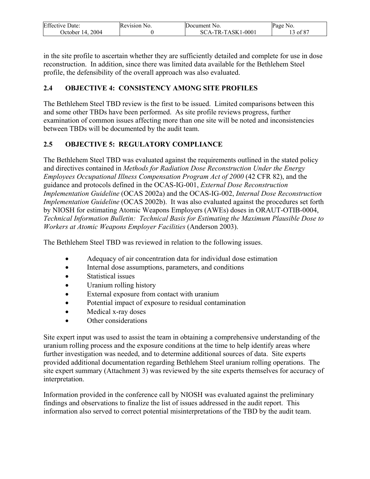| <b>Effective Date:</b> | Revision No. | Document No.      | Page No.      |
|------------------------|--------------|-------------------|---------------|
| 2004<br>Detober 14.    |              | SCA-TR-TASK1-0001 | $\circ$ of 87 |

in the site profile to ascertain whether they are sufficiently detailed and complete for use in dose reconstruction. In addition, since there was limited data available for the Bethlehem Steel profile, the defensibility of the overall approach was also evaluated.

# **2.4 OBJECTIVE 4: CONSISTENCY AMONG SITE PROFILES**

The Bethlehem Steel TBD review is the first to be issued. Limited comparisons between this and some other TBDs have been performed. As site profile reviews progress, further examination of common issues affecting more than one site will be noted and inconsistencies between TBDs will be documented by the audit team.

# **2.5 OBJECTIVE 5: REGULATORY COMPLIANCE**

The Bethlehem Steel TBD was evaluated against the requirements outlined in the stated policy and directives contained in *Methods for Radiation Dose Reconstruction Under the Energy Employees Occupational Illness Compensation Program Act of 2000* (42 CFR 82), and the guidance and protocols defined in the OCAS-IG-001, *External Dose Reconstruction Implementation Guideline* (OCAS 2002a) and the OCAS-IG-002, *Internal Dose Reconstruction Implementation Guideline* (OCAS 2002b). It was also evaluated against the procedures set forth by NIOSH for estimating Atomic Weapons Employers (AWEs) doses in ORAUT-OTIB-0004, *Technical Information Bulletin: Technical Basis for Estimating the Maximum Plausible Dose to Workers at Atomic Weapons Employer Facilities* (Anderson 2003).

The Bethlehem Steel TBD was reviewed in relation to the following issues.

- Adequacy of air concentration data for individual dose estimation
- Internal dose assumptions, parameters, and conditions
- Statistical issues
- Uranium rolling history
- External exposure from contact with uranium
- Potential impact of exposure to residual contamination
- Medical x-ray doses
- Other considerations

Site expert input was used to assist the team in obtaining a comprehensive understanding of the uranium rolling process and the exposure conditions at the time to help identify areas where further investigation was needed, and to determine additional sources of data. Site experts provided additional documentation regarding Bethlehem Steel uranium rolling operations. The site expert summary (Attachment 3) was reviewed by the site experts themselves for accuracy of interpretation.

Information provided in the conference call by NIOSH was evaluated against the preliminary findings and observations to finalize the list of issues addressed in the audit report. This information also served to correct potential misinterpretations of the TBD by the audit team.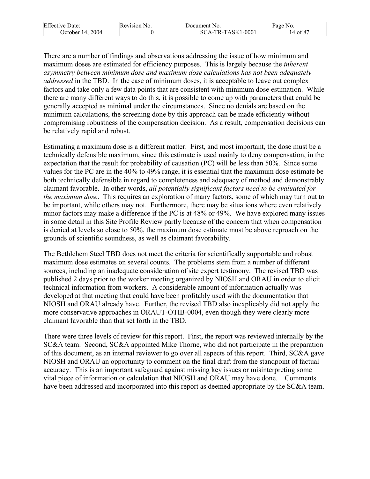| <b>Effective Date:</b> | Revision No. | Document No.      | Page No.     |
|------------------------|--------------|-------------------|--------------|
| 2004<br>Jctober 14.    |              | SCA-TR-TASK1-0001 | $14$ of $87$ |

There are a number of findings and observations addressing the issue of how minimum and maximum doses are estimated for efficiency purposes. This is largely because the *inherent asymmetry between minimum dose and maximum dose calculations has not been adequately addressed* in the TBD. In the case of minimum doses, it is acceptable to leave out complex factors and take only a few data points that are consistent with minimum dose estimation. While there are many different ways to do this, it is possible to come up with parameters that could be generally accepted as minimal under the circumstances. Since no denials are based on the minimum calculations, the screening done by this approach can be made efficiently without compromising robustness of the compensation decision. As a result, compensation decisions can be relatively rapid and robust.

Estimating a maximum dose is a different matter. First, and most important, the dose must be a technically defensible maximum, since this estimate is used mainly to deny compensation, in the expectation that the result for probability of causation (PC) will be less than 50%. Since some values for the PC are in the 40% to 49% range, it is essential that the maximum dose estimate be both technically defensible in regard to completeness and adequacy of method and demonstrably claimant favorable. In other words, *all potentially significant factors need to be evaluated for the maximum dose*. This requires an exploration of many factors, some of which may turn out to be important, while others may not. Furthermore, there may be situations where even relatively minor factors may make a difference if the PC is at 48% or 49%. We have explored many issues in some detail in this Site Profile Review partly because of the concern that when compensation is denied at levels so close to 50%, the maximum dose estimate must be above reproach on the grounds of scientific soundness, as well as claimant favorability.

The Bethlehem Steel TBD does not meet the criteria for scientifically supportable and robust maximum dose estimates on several counts. The problems stem from a number of different sources, including an inadequate consideration of site expert testimony. The revised TBD was published 2 days prior to the worker meeting organized by NIOSH and ORAU in order to elicit technical information from workers. A considerable amount of information actually was developed at that meeting that could have been profitably used with the documentation that NIOSH and ORAU already have. Further, the revised TBD also inexplicably did not apply the more conservative approaches in ORAUT-OTIB-0004, even though they were clearly more claimant favorable than that set forth in the TBD.

There were three levels of review for this report. First, the report was reviewed internally by the SC&A team. Second, SC&A appointed Mike Thorne, who did not participate in the preparation of this document, as an internal reviewer to go over all aspects of this report. Third, SC&A gave NIOSH and ORAU an opportunity to comment on the final draft from the standpoint of factual accuracy. This is an important safeguard against missing key issues or misinterpreting some vital piece of information or calculation that NIOSH and ORAU may have done. Comments have been addressed and incorporated into this report as deemed appropriate by the SC&A team.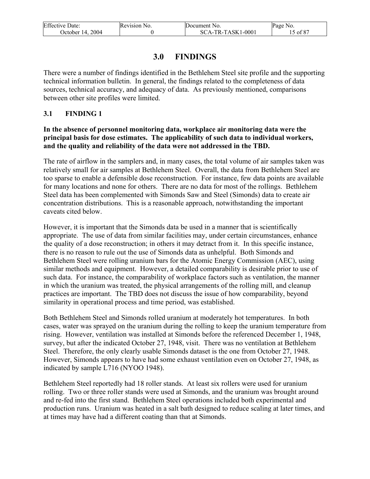| <b>Effective Date:</b> | Revision No. | Document No.      | Page No. |
|------------------------|--------------|-------------------|----------|
| October 14, 2004       |              | SCA-TR-TASK1-0001 | 15 of 87 |

# **3.0 FINDINGS**

There were a number of findings identified in the Bethlehem Steel site profile and the supporting technical information bulletin. In general, the findings related to the completeness of data sources, technical accuracy, and adequacy of data. As previously mentioned, comparisons between other site profiles were limited.

### **3.1 FINDING 1**

#### **In the absence of personnel monitoring data, workplace air monitoring data were the principal basis for dose estimates. The applicability of such data to individual workers, and the quality and reliability of the data were not addressed in the TBD.**

The rate of airflow in the samplers and, in many cases, the total volume of air samples taken was relatively small for air samples at Bethlehem Steel. Overall, the data from Bethlehem Steel are too sparse to enable a defensible dose reconstruction. For instance, few data points are available for many locations and none for others. There are no data for most of the rollings. Bethlehem Steel data has been complemented with Simonds Saw and Steel (Simonds) data to create air concentration distributions. This is a reasonable approach, notwithstanding the important caveats cited below.

However, it is important that the Simonds data be used in a manner that is scientifically appropriate. The use of data from similar facilities may, under certain circumstances, enhance the quality of a dose reconstruction; in others it may detract from it. In this specific instance, there is no reason to rule out the use of Simonds data as unhelpful. Both Simonds and Bethlehem Steel were rolling uranium bars for the Atomic Energy Commission (AEC), using similar methods and equipment. However, a detailed comparability is desirable prior to use of such data. For instance, the comparability of workplace factors such as ventilation, the manner in which the uranium was treated, the physical arrangements of the rolling mill, and cleanup practices are important. The TBD does not discuss the issue of how comparability, beyond similarity in operational process and time period, was established.

Both Bethlehem Steel and Simonds rolled uranium at moderately hot temperatures. In both cases, water was sprayed on the uranium during the rolling to keep the uranium temperature from rising. However, ventilation was installed at Simonds before the referenced December 1, 1948, survey, but after the indicated October 27, 1948, visit. There was no ventilation at Bethlehem Steel. Therefore, the only clearly usable Simonds dataset is the one from October 27, 1948. However, Simonds appears to have had some exhaust ventilation even on October 27, 1948, as indicated by sample L716 (NYOO 1948).

Bethlehem Steel reportedly had 18 roller stands. At least six rollers were used for uranium rolling. Two or three roller stands were used at Simonds, and the uranium was brought around and re-fed into the first stand. Bethlehem Steel operations included both experimental and production runs. Uranium was heated in a salt bath designed to reduce scaling at later times, and at times may have had a different coating than that at Simonds.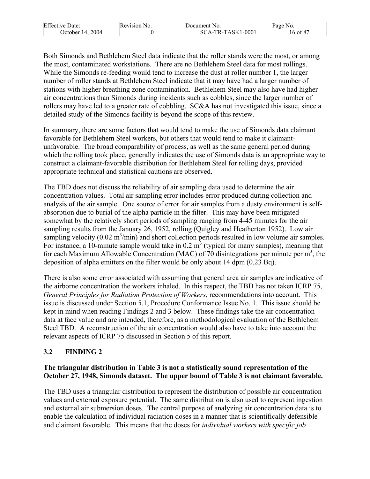| <b>Effective Date:</b> | Revision No. | Document No.      | Page No.                |
|------------------------|--------------|-------------------|-------------------------|
| 2004<br>October 14.    |              | SCA-TR-TASK1-0001 | , of $8^{\circ}$<br>10. |

Both Simonds and Bethlehem Steel data indicate that the roller stands were the most, or among the most, contaminated workstations. There are no Bethlehem Steel data for most rollings. While the Simonds re-feeding would tend to increase the dust at roller number 1, the larger number of roller stands at Bethlehem Steel indicate that it may have had a larger number of stations with higher breathing zone contamination. Bethlehem Steel may also have had higher air concentrations than Simonds during incidents such as cobbles, since the larger number of rollers may have led to a greater rate of cobbling. SC&A has not investigated this issue, since a detailed study of the Simonds facility is beyond the scope of this review.

In summary, there are some factors that would tend to make the use of Simonds data claimant favorable for Bethlehem Steel workers, but others that would tend to make it claimantunfavorable. The broad comparability of process, as well as the same general period during which the rolling took place, generally indicates the use of Simonds data is an appropriate way to construct a claimant-favorable distribution for Bethlehem Steel for rolling days, provided appropriate technical and statistical cautions are observed.

The TBD does not discuss the reliability of air sampling data used to determine the air concentration values. Total air sampling error includes error produced during collection and analysis of the air sample. One source of error for air samples from a dusty environment is selfabsorption due to burial of the alpha particle in the filter. This may have been mitigated somewhat by the relatively short periods of sampling ranging from 4-45 minutes for the air sampling results from the January 26, 1952, rolling (Quigley and Heatherton 1952). Low air sampling velocity  $(0.02 \text{ m}^3/\text{min})$  and short collection periods resulted in low volume air samples. For instance, a 10-minute sample would take in  $0.2 \text{ m}^3$  (typical for many samples), meaning that for each Maximum Allowable Concentration (MAC) of 70 disintegrations per minute per  $m<sup>3</sup>$ , the deposition of alpha emitters on the filter would be only about 14 dpm (0.23 Bq).

There is also some error associated with assuming that general area air samples are indicative of the airborne concentration the workers inhaled. In this respect, the TBD has not taken ICRP 75, *General Principles for Radiation Protection of Workers*, recommendations into account. This issue is discussed under Section 5.1, Procedure Conformance Issue No. 1. This issue should be kept in mind when reading Findings 2 and 3 below. These findings take the air concentration data at face value and are intended, therefore, as a methodological evaluation of the Bethlehem Steel TBD. A reconstruction of the air concentration would also have to take into account the relevant aspects of ICRP 75 discussed in Section 5 of this report.

#### **3.2 FINDING 2**

#### **The triangular distribution in Table 3 is not a statistically sound representation of the October 27, 1948, Simonds dataset. The upper bound of Table 3 is not claimant favorable.**

The TBD uses a triangular distribution to represent the distribution of possible air concentration values and external exposure potential. The same distribution is also used to represent ingestion and external air submersion doses. The central purpose of analyzing air concentration data is to enable the calculation of individual radiation doses in a manner that is scientifically defensible and claimant favorable. This means that the doses for *individual workers with specific job*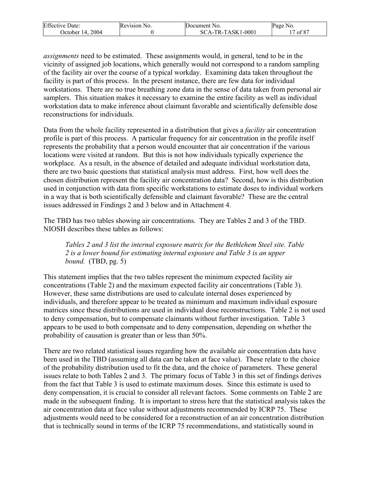| <b>Effective Date:</b> | Revision No. | Document No.      | Page No. |
|------------------------|--------------|-------------------|----------|
| 2004<br>'Jctober 14.   |              | SCA-TR-TASK1-0001 | of 87    |

*assignments* need to be estimated. These assignments would, in general, tend to be in the vicinity of assigned job locations, which generally would not correspond to a random sampling of the facility air over the course of a typical workday. Examining data taken throughout the facility is part of this process. In the present instance, there are few data for individual workstations. There are no true breathing zone data in the sense of data taken from personal air samplers. This situation makes it necessary to examine the entire facility as well as individual workstation data to make inference about claimant favorable and scientifically defensible dose reconstructions for individuals.

Data from the whole facility represented in a distribution that gives a *facility* air concentration profile is part of this process. A particular frequency for air concentration in the profile itself represents the probability that a person would encounter that air concentration if the various locations were visited at random. But this is not how individuals typically experience the workplace. As a result, in the absence of detailed and adequate individual workstation data, there are two basic questions that statistical analysis must address. First, how well does the chosen distribution represent the facility air concentration data? Second, how is this distribution used in conjunction with data from specific workstations to estimate doses to individual workers in a way that is both scientifically defensible and claimant favorable? These are the central issues addressed in Findings 2 and 3 below and in Attachment 4.

The TBD has two tables showing air concentrations. They are Tables 2 and 3 of the TBD. NIOSH describes these tables as follows:

*Tables 2 and 3 list the internal exposure matrix for the Bethlehem Steel site. Table 2 is a lower bound for estimating internal exposure and Table 3 is an upper bound.* (TBD, pg. 5)

This statement implies that the two tables represent the minimum expected facility air concentrations (Table 2) and the maximum expected facility air concentrations (Table 3). However, these same distributions are used to calculate internal doses experienced by individuals, and therefore appear to be treated as minimum and maximum individual exposure matrices since these distributions are used in individual dose reconstructions. Table 2 is not used to deny compensation, but to compensate claimants without further investigation. Table 3 appears to be used to both compensate and to deny compensation, depending on whether the probability of causation is greater than or less than 50%.

There are two related statistical issues regarding how the available air concentration data have been used in the TBD (assuming all data can be taken at face value). These relate to the choice of the probability distribution used to fit the data, and the choice of parameters. These general issues relate to both Tables 2 and 3. The primary focus of Table 3 in this set of findings derives from the fact that Table 3 is used to estimate maximum doses. Since this estimate is used to deny compensation, it is crucial to consider all relevant factors. Some comments on Table 2 are made in the subsequent finding. It is important to stress here that the statistical analysis takes the air concentration data at face value without adjustments recommended by ICRP 75. These adjustments would need to be considered for a reconstruction of an air concentration distribution that is technically sound in terms of the ICRP 75 recommendations, and statistically sound in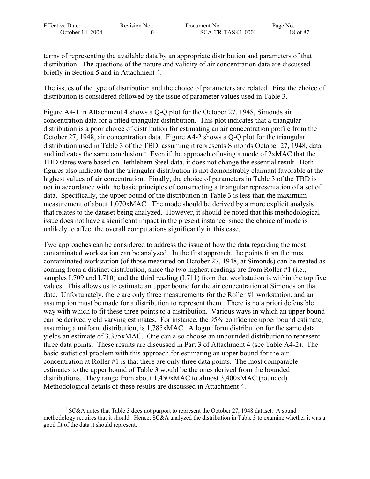| <b>Effective Date:</b> | Revision No. | Document No.      | Page No. |
|------------------------|--------------|-------------------|----------|
| 2004<br>October 14.    |              | SCA-TR-TASK1-0001 | of 87 ر  |

terms of representing the available data by an appropriate distribution and parameters of that distribution. The questions of the nature and validity of air concentration data are discussed briefly in Section 5 and in Attachment 4.

The issues of the type of distribution and the choice of parameters are related. First the choice of distribution is considered followed by the issue of parameter values used in Table 3.

Figure A4-1 in Attachment 4 shows a Q-Q plot for the October 27, 1948, Simonds air concentration data for a fitted triangular distribution. This plot indicates that a triangular distribution is a poor choice of distribution for estimating an air concentration profile from the October 27, 1948, air concentration data. Figure A4-2 shows a Q-Q plot for the triangular distribution used in Table 3 of the TBD, assuming it represents Simonds October 27, 1948, data and indicates the same conclusion.<sup>1</sup> Even if the approach of using a mode of  $2xMAC$  that the TBD states were based on Bethlehem Steel data, it does not change the essential result. Both figures also indicate that the triangular distribution is not demonstrably claimant favorable at the highest values of air concentration. Finally, the choice of parameters in Table 3 of the TBD is not in accordance with the basic principles of constructing a triangular representation of a set of data. Specifically, the upper bound of the distribution in Table 3 is less than the maximum measurement of about 1,070xMAC. The mode should be derived by a more explicit analysis that relates to the dataset being analyzed. However, it should be noted that this methodological issue does not have a significant impact in the present instance, since the choice of mode is unlikely to affect the overall computations significantly in this case.

Two approaches can be considered to address the issue of how the data regarding the most contaminated workstation can be analyzed. In the first approach, the points from the most contaminated workstation (of those measured on October 27, 1948, at Simonds) can be treated as coming from a distinct distribution, since the two highest readings are from Roller #1 (i.e., samples L709 and L710) and the third reading (L711) from that workstation is within the top five values. This allows us to estimate an upper bound for the air concentration at Simonds on that date. Unfortunately, there are only three measurements for the Roller #1 workstation, and an assumption must be made for a distribution to represent them. There is no a priori defensible way with which to fit these three points to a distribution. Various ways in which an upper bound can be derived yield varying estimates. For instance, the 95% confidence upper bound estimate, assuming a uniform distribution, is 1,785xMAC. A loguniform distribution for the same data yields an estimate of 3,375xMAC. One can also choose an unbounded distribution to represent three data points. These results are discussed in Part 3 of Attachment 4 (see Table A4-2). The basic statistical problem with this approach for estimating an upper bound for the air concentration at Roller #1 is that there are only three data points. The most comparable estimates to the upper bound of Table 3 would be the ones derived from the bounded distributions. They range from about 1,450xMAC to almost 3,400xMAC (rounded). Methodological details of these results are discussed in Attachment 4.

 $\overline{a}$ 

<sup>&</sup>lt;sup>1</sup> SC&A notes that Table 3 does not purport to represent the October 27, 1948 dataset. A sound methodology requires that it should. Hence, SC&A analyzed the distribution in Table 3 to examine whether it was a good fit of the data it should represent.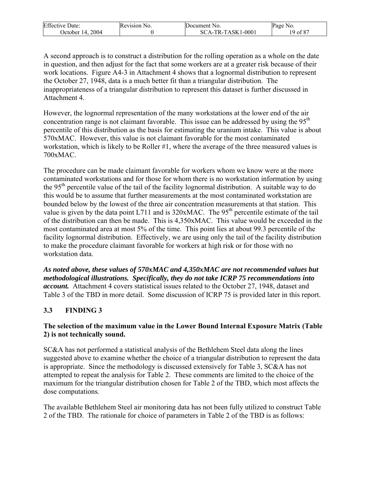| <b>Effective Date:</b> | Revision No. | Document No.      | Page No. |
|------------------------|--------------|-------------------|----------|
| 2004<br>Jctober 14.    |              | SCA-TR-TASK1-0001 | of 87    |

A second approach is to construct a distribution for the rolling operation as a whole on the date in question, and then adjust for the fact that some workers are at a greater risk because of their work locations. Figure A4-3 in Attachment 4 shows that a lognormal distribution to represent the October 27, 1948, data is a much better fit than a triangular distribution. The inappropriateness of a triangular distribution to represent this dataset is further discussed in Attachment 4.

However, the lognormal representation of the many workstations at the lower end of the air concentration range is not claimant favorable. This issue can be addressed by using the  $95<sup>th</sup>$ percentile of this distribution as the basis for estimating the uranium intake. This value is about 570xMAC. However, this value is not claimant favorable for the most contaminated workstation, which is likely to be Roller #1, where the average of the three measured values is 700xMAC.

The procedure can be made claimant favorable for workers whom we know were at the more contaminated workstations and for those for whom there is no workstation information by using the 95<sup>th</sup> percentile value of the tail of the facility lognormal distribution. A suitable way to do this would be to assume that further measurements at the most contaminated workstation are bounded below by the lowest of the three air concentration measurements at that station. This value is given by the data point L711 and is  $320xMAC$ . The 95<sup>th</sup> percentile estimate of the tail of the distribution can then be made. This is 4,350xMAC. This value would be exceeded in the most contaminated area at most 5% of the time. This point lies at about 99.3 percentile of the facility lognormal distribution. Effectively, we are using only the tail of the facility distribution to make the procedure claimant favorable for workers at high risk or for those with no workstation data.

*As noted above, these values of 570xMAC and 4,350xMAC are not recommended values but methodological illustrations. Specifically, they do not take ICRP 75 recommendations into account.* Attachment 4 covers statistical issues related to the October 27, 1948, dataset and Table 3 of the TBD in more detail. Some discussion of ICRP 75 is provided later in this report.

# **3.3 FINDING 3**

#### **The selection of the maximum value in the Lower Bound Internal Exposure Matrix (Table 2) is not technically sound.**

SC&A has not performed a statistical analysis of the Bethlehem Steel data along the lines suggested above to examine whether the choice of a triangular distribution to represent the data is appropriate. Since the methodology is discussed extensively for Table 3, SC&A has not attempted to repeat the analysis for Table 2. These comments are limited to the choice of the maximum for the triangular distribution chosen for Table 2 of the TBD, which most affects the dose computations.

The available Bethlehem Steel air monitoring data has not been fully utilized to construct Table 2 of the TBD. The rationale for choice of parameters in Table 2 of the TBD is as follows: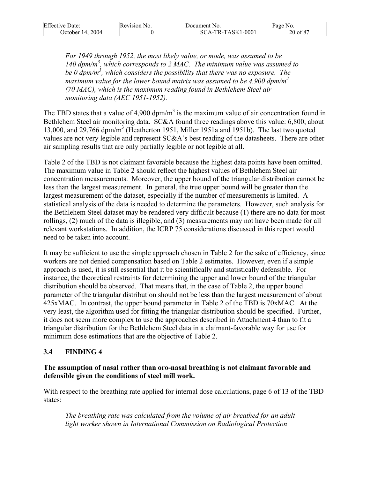| <b>Effective Date:</b> | Revision No. | Document No.      | Page No. |
|------------------------|--------------|-------------------|----------|
| 2004<br>October 14.    |              | SCA-TR-TASK1-0001 | 20 of 87 |

*For 1949 through 1952, the most likely value, or mode, was assumed to be 140 dpm/m3 , which corresponds to 2 MAC. The minimum value was assumed to be 0 dpm/m3 , which considers the possibility that there was no exposure. The*  maximum value for the lower bound matrix was assumed to be 4,900 dpm/m<sup>3</sup> *(70 MAC), which is the maximum reading found in Bethlehem Steel air monitoring data (AEC 1951-1952).* 

The TBD states that a value of 4,900 dpm/m<sup>3</sup> is the maximum value of air concentration found in Bethlehem Steel air monitoring data. SC&A found three readings above this value: 6,800, about 13,000, and 29,766 dpm/m<sup>3</sup> (Heatherton 1951, Miller 1951a and 1951b). The last two quoted values are not very legible and represent SC&A's best reading of the datasheets. There are other air sampling results that are only partially legible or not legible at all.

Table 2 of the TBD is not claimant favorable because the highest data points have been omitted. The maximum value in Table 2 should reflect the highest values of Bethlehem Steel air concentration measurements. Moreover, the upper bound of the triangular distribution cannot be less than the largest measurement. In general, the true upper bound will be greater than the largest measurement of the dataset, especially if the number of measurements is limited. A statistical analysis of the data is needed to determine the parameters. However, such analysis for the Bethlehem Steel dataset may be rendered very difficult because (1) there are no data for most rollings, (2) much of the data is illegible, and (3) measurements may not have been made for all relevant workstations. In addition, the ICRP 75 considerations discussed in this report would need to be taken into account.

It may be sufficient to use the simple approach chosen in Table 2 for the sake of efficiency, since workers are not denied compensation based on Table 2 estimates. However, even if a simple approach is used, it is still essential that it be scientifically and statistically defensible. For instance, the theoretical restraints for determining the upper and lower bound of the triangular distribution should be observed. That means that, in the case of Table 2, the upper bound parameter of the triangular distribution should not be less than the largest measurement of about 425xMAC. In contrast, the upper bound parameter in Table 2 of the TBD is 70xMAC. At the very least, the algorithm used for fitting the triangular distribution should be specified. Further, it does not seem more complex to use the approaches described in Attachment 4 than to fit a triangular distribution for the Bethlehem Steel data in a claimant-favorable way for use for minimum dose estimations that are the objective of Table 2.

#### **3.4 FINDING 4**

#### **The assumption of nasal rather than oro-nasal breathing is not claimant favorable and defensible given the conditions of steel mill work.**

With respect to the breathing rate applied for internal dose calculations, page 6 of 13 of the TBD states:

*The breathing rate was calculated from the volume of air breathed for an adult light worker shown in International Commission on Radiological Protection*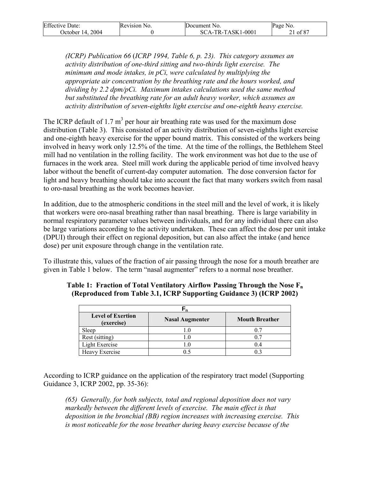| <b>Effective Date:</b> | Revision No. | Document No.      | Page No. |
|------------------------|--------------|-------------------|----------|
| 2004<br>October 14.    |              | SCA-TR-TASK1-0001 | of 87    |

*(ICRP) Publication 66* (*ICRP 1994, Table 6, p. 23). This category assumes an activity distribution of one-third sitting and two-thirds light exercise. The minimum and mode intakes, in pCi, were calculated by multiplying the appropriate air concentration by the breathing rate and the hours worked, and dividing by 2.2 dpm/pCi. Maximum intakes calculations used the same method but substituted the breathing rate for an adult heavy worker, which assumes an activity distribution of seven-eighths light exercise and one-eighth heavy exercise.* 

The ICRP default of 1.7  $m<sup>3</sup>$  per hour air breathing rate was used for the maximum dose distribution (Table 3). This consisted of an activity distribution of seven-eighths light exercise and one-eighth heavy exercise for the upper bound matrix. This consisted of the workers being involved in heavy work only 12.5% of the time. At the time of the rollings, the Bethlehem Steel mill had no ventilation in the rolling facility. The work environment was hot due to the use of furnaces in the work area. Steel mill work during the applicable period of time involved heavy labor without the benefit of current-day computer automation. The dose conversion factor for light and heavy breathing should take into account the fact that many workers switch from nasal to oro-nasal breathing as the work becomes heavier.

In addition, due to the atmospheric conditions in the steel mill and the level of work, it is likely that workers were oro-nasal breathing rather than nasal breathing. There is large variability in normal respiratory parameter values between individuals, and for any individual there can also be large variations according to the activity undertaken. These can affect the dose per unit intake (DPUI) through their effect on regional deposition, but can also affect the intake (and hence dose) per unit exposure through change in the ventilation rate.

To illustrate this, values of the fraction of air passing through the nose for a mouth breather are given in Table 1 below. The term "nasal augmenter" refers to a normal nose breather.

| <b>Level of Exertion</b><br>(exercise) | <b>Nasal Augmenter</b> | <b>Mouth Breather</b> |  |
|----------------------------------------|------------------------|-----------------------|--|
| Sleep                                  |                        |                       |  |
| Rest (sitting)                         |                        |                       |  |
| <b>Light Exercise</b>                  |                        |                       |  |
| Heavy Exercise                         |                        |                       |  |

#### **Table 1: Fraction of Total Ventilatory Airflow Passing Through the Nose Fn (Reproduced from Table 3.1, ICRP Supporting Guidance 3) (ICRP 2002)**

According to ICRP guidance on the application of the respiratory tract model (Supporting Guidance 3, ICRP 2002, pp. 35-36):

*(65) Generally, for both subjects, total and regional deposition does not vary markedly between the different levels of exercise. The main effect is that deposition in the bronchial (BB) region increases with increasing exercise. This is most noticeable for the nose breather during heavy exercise because of the*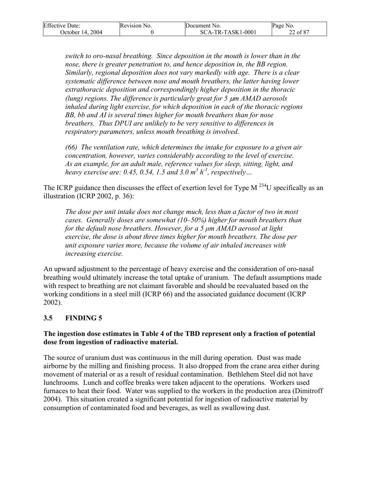| <b>Effective Date:</b> | Revision No. | Document No.      | Page No. |
|------------------------|--------------|-------------------|----------|
| October 14, 2004       |              | SCA-TR-TASK1-0001 | 22 of 87 |

*switch to oro-nasal breathing. Since deposition in the mouth is lower than in the nose, there is greater penetration to, and hence deposition in, the BB region. Similarly, regional deposition does not vary markedly with age. There is a clear systematic difference between nose and mouth breathers, the latter having lower extrathoracic deposition and correspondingly higher deposition in the thoracic (lung) regions. The difference is particularly great for 5 µm AMAD aerosols inhaled during light exercise, for which deposition in each of the thoracic regions BB, bb and AI is several times higher for mouth breathers than for nose breathers. Thus DPUI are unlikely to be very sensitive to differences in respiratory parameters, unless mouth breathing is involved.* 

*(66) The ventilation rate, which determines the intake for exposure to a given air concentration, however, varies considerably according to the level of exercise. As an example, for an adult male, reference values for sleep, sitting, light, and heavy exercise are:* 0.45, 0.54, 1.5 and 3.0  $m^3 h^1$ , respectively...

The ICRP guidance then discusses the effect of exertion level for Type  $M^{234}U$  specifically as an illustration (ICRP 2002, p. 36):

*The dose per unit intake does not change much, less than a factor of two in most cases. Generally doses are somewhat (10–50%) higher for mouth breathers than for the default nose breathers. However, for a 5 µm AMAD aerosol at light exercise, the dose is about three times higher for mouth breathers. The dose per unit exposure varies more, because the volume of air inhaled increases with increasing exercise.* 

An upward adjustment to the percentage of heavy exercise and the consideration of oro-nasal breathing would ultimately increase the total uptake of uranium. The default assumptions made with respect to breathing are not claimant favorable and should be reevaluated based on the working conditions in a steel mill (ICRP 66) and the associated guidance document (ICRP 2002).

# **3.5 FINDING 5**

#### **The ingestion dose estimates in Table 4 of the TBD represent only a fraction of potential dose from ingestion of radioactive material.**

The source of uranium dust was continuous in the mill during operation. Dust was made airborne by the milling and finishing process. It also dropped from the crane area either during movement of material or as a result of residual contamination. Bethlehem Steel did not have lunchrooms. Lunch and coffee breaks were taken adjacent to the operations. Workers used furnaces to heat their food. Water was supplied to the workers in the production area (Dimitroff 2004). This situation created a significant potential for ingestion of radioactive material by consumption of contaminated food and beverages, as well as swallowing dust.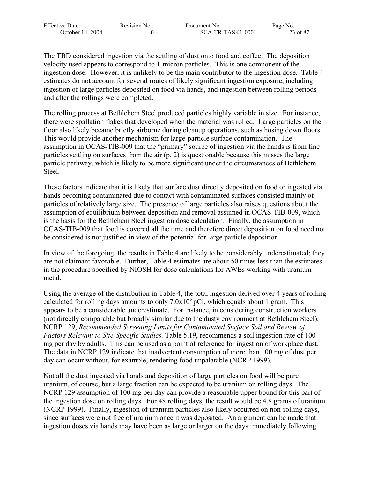| <b>Effective Date:</b> | Revision No. | Document No.        | Page No.      |
|------------------------|--------------|---------------------|---------------|
| 2004<br>Jctober 14.    |              | $SCA-TR-TASK1-0001$ | $\cdot$ of 87 |

The TBD considered ingestion via the settling of dust onto food and coffee. The deposition velocity used appears to correspond to 1-micron particles. This is one component of the ingestion dose. However, it is unlikely to be the main contributor to the ingestion dose. Table 4 estimates do not account for several routes of likely significant ingestion exposure, including ingestion of large particles deposited on food via hands, and ingestion between rolling periods and after the rollings were completed.

The rolling process at Bethlehem Steel produced particles highly variable in size. For instance, there were spallation flakes that developed when the material was rolled. Large particles on the floor also likely became briefly airborne during cleanup operations, such as hosing down floors. This would provide another mechanism for large-particle surface contamination. The assumption in OCAS-TIB-009 that the "primary" source of ingestion via the hands is from fine particles settling on surfaces from the air (p. 2) is questionable because this misses the large particle pathway, which is likely to be more significant under the circumstances of Bethlehem Steel.

These factors indicate that it is likely that surface dust directly deposited on food or ingested via hands becoming contaminated due to contact with contaminated surfaces consisted mainly of particles of relatively large size. The presence of large particles also raises questions about the assumption of equilibrium between deposition and removal assumed in OCAS-TIB-009, which is the basis for the Bethlehem Steel ingestion dose calculation. Finally, the assumption in OCAS-TIB-009 that food is covered all the time and therefore direct deposition on food need not be considered is not justified in view of the potential for large particle deposition.

In view of the foregoing, the results in Table 4 are likely to be considerably underestimated; they are not claimant favorable. Further, Table 4 estimates are about 50 times less than the estimates in the procedure specified by NIOSH for dose calculations for AWEs working with uranium metal.

Using the average of the distribution in Table 4, the total ingestion derived over 4 years of rolling calculated for rolling days amounts to only  $7.0x10<sup>5</sup> pCi$ , which equals about 1 gram. This appears to be a considerable underestimate. For instance, in considering construction workers (not directly comparable but broadly similar due to the dusty environment at Bethlehem Steel), NCRP 129, *Recommended Screening Limits for Contaminated Surface Soil and Review of Factors Relevant to Site-Specific Studies,* Table 5.19, recommends a soil ingestion rate of 100 mg per day by adults. This can be used as a point of reference for ingestion of workplace dust. The data in NCRP 129 indicate that inadvertent consumption of more than 100 mg of dust per day can occur without, for example, rendering food unpalatable (NCRP 1999).

Not all the dust ingested via hands and deposition of large particles on food will be pure uranium, of course, but a large fraction can be expected to be uranium on rolling days. The NCRP 129 assumption of 100 mg per day can provide a reasonable upper bound for this part of the ingestion dose on rolling days. For 48 rolling days, the result would be 4.8 grams of uranium (NCRP 1999). Finally, ingestion of uranium particles also likely occurred on non-rolling days, since surfaces were not free of uranium once it was deposited. An argument can be made that ingestion doses via hands may have been as large or larger on the days immediately following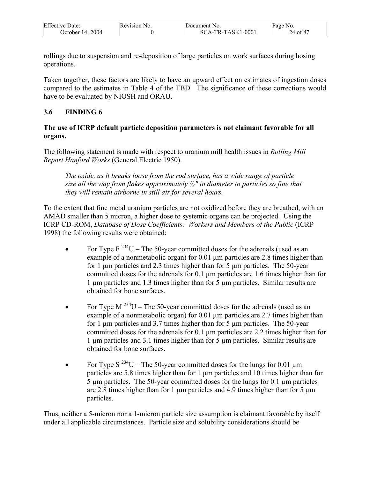| <b>Effective Date:</b> | Revision No. | Document No.            | Page<br>N <sub>0</sub> |
|------------------------|--------------|-------------------------|------------------------|
| 2004<br>14.<br>Jctober |              | CA-TR-TASK1-0001<br>-SC | of 87<br>24            |

rollings due to suspension and re-deposition of large particles on work surfaces during hosing operations.

Taken together, these factors are likely to have an upward effect on estimates of ingestion doses compared to the estimates in Table 4 of the TBD. The significance of these corrections would have to be evaluated by NIOSH and ORAU.

## **3.6 FINDING 6**

#### **The use of ICRP default particle deposition parameters is not claimant favorable for all organs.**

The following statement is made with respect to uranium mill health issues in *Rolling Mill Report Hanford Works* (General Electric 1950).

*The oxide, as it breaks loose from the rod surface, has a wide range of particle size all the way from flakes approximately ½″ in diameter to particles so fine that they will remain airborne in still air for several hours.* 

To the extent that fine metal uranium particles are not oxidized before they are breathed, with an AMAD smaller than 5 micron, a higher dose to systemic organs can be projected. Using the ICRP CD-ROM, *Database of Dose Coefficients: Workers and Members of the Public* (ICRP 1998) the following results were obtained:

- For Type  $F^{234}U$  The 50-year committed doses for the adrenals (used as an example of a nonmetabolic organ) for 0.01  $\mu$ m particles are 2.8 times higher than for 1  $\mu$ m particles and 2.3 times higher than for 5  $\mu$ m particles. The 50-year committed doses for the adrenals for 0.1 µm particles are 1.6 times higher than for 1 µm particles and 1.3 times higher than for 5 µm particles. Similar results are obtained for bone surfaces.
- For Type M  $^{234}$ U The 50-year committed doses for the adrenals (used as an example of a nonmetabolic organ) for 0.01  $\mu$ m particles are 2.7 times higher than for 1  $\mu$ m particles and 3.7 times higher than for 5  $\mu$ m particles. The 50-year committed doses for the adrenals for 0.1 µm particles are 2.2 times higher than for 1 µm particles and 3.1 times higher than for 5 µm particles. Similar results are obtained for bone surfaces.
- For Type S<sup>234</sup>U The 50-year committed doses for the lungs for 0.01  $\mu$ m particles are 5.8 times higher than for 1 µm particles and 10 times higher than for  $5 \mu m$  particles. The  $50$ -year committed doses for the lungs for 0.1  $\mu m$  particles are 2.8 times higher than for 1  $\mu$ m particles and 4.9 times higher than for 5  $\mu$ m particles.

Thus, neither a 5-micron nor a 1-micron particle size assumption is claimant favorable by itself under all applicable circumstances. Particle size and solubility considerations should be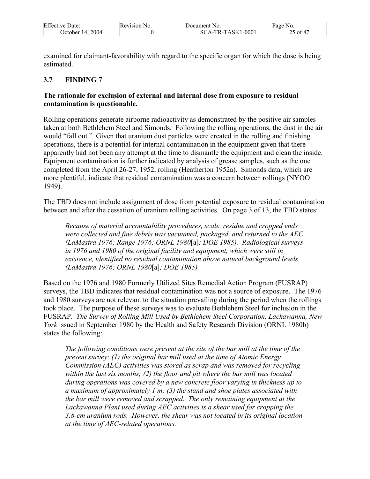| <b>Effective Date:</b> | Revision No. | Document No.      | Page No. |
|------------------------|--------------|-------------------|----------|
| 2004<br>Dctober 14.    |              | SCA-TR-TASK1-0001 | of 87    |

examined for claimant-favorability with regard to the specific organ for which the dose is being estimated.

## **3.7 FINDING 7**

#### **The rationale for exclusion of external and internal dose from exposure to residual contamination is questionable.**

Rolling operations generate airborne radioactivity as demonstrated by the positive air samples taken at both Bethlehem Steel and Simonds. Following the rolling operations, the dust in the air would "fall out." Given that uranium dust particles were created in the rolling and finishing operations, there is a potential for internal contamination in the equipment given that there apparently had not been any attempt at the time to dismantle the equipment and clean the inside. Equipment contamination is further indicated by analysis of grease samples, such as the one completed from the April 26-27, 1952, rolling (Heatherton 1952a). Simonds data, which are more plentiful, indicate that residual contamination was a concern between rollings (NYOO 1949).

The TBD does not include assignment of dose from potential exposure to residual contamination between and after the cessation of uranium rolling activities. On page 3 of 13, the TBD states:

*Because of material accountability procedures, scale, residue and cropped ends were collected and fine debris was vacuumed, packaged, and returned to the AEC (LaMastra 1976; Range 1976; ORNL 1980*[a]*; DOE 1985). Radiological surveys in 1976 and 1980 of the original facility and equipment, which were still in existence, identified no residual contamination above natural background levels (LaMastra 1976; ORNL 1980*[a]*; DOE 1985).* 

Based on the 1976 and 1980 Formerly Utilized Sites Remedial Action Program (FUSRAP) surveys, the TBD indicates that residual contamination was not a source of exposure. The 1976 and 1980 surveys are not relevant to the situation prevailing during the period when the rollings took place. The purpose of these surveys was to evaluate Bethlehem Steel for inclusion in the FUSRAP. *The Survey of Rolling Mill Used by Bethlehem Steel Corporation, Lackawanna, New York* issued in September 1980 by the Health and Safety Research Division (ORNL 1980b) states the following:

*The following conditions were present at the site of the bar mill at the time of the present survey: (1) the original bar mill used at the time of Atomic Energy Commission (AEC) activities was stored as scrap and was removed for recycling within the last six months; (2) the floor and pit where the bar mill was located during operations was covered by a new concrete floor varying in thickness up to a maximum of approximately 1 m; (3) the stand and shoe plates associated with the bar mill were removed and scrapped. The only remaining equipment at the Lackawanna Plant used during AEC activities is a shear used for cropping the 3.8-cm uranium rods. However, the shear was not located in its original location at the time of AEC-related operations.*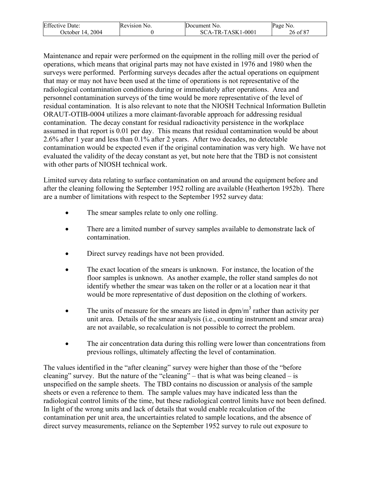| <b>Effective Date:</b> | Revision<br>N <sub>O</sub> | Document No.                    | Page<br>NO.  |
|------------------------|----------------------------|---------------------------------|--------------|
| 2004<br>Jetober 14.    |                            | CA-TR-TASK1-0001<br>$SC_{\ell}$ | $26$ of $87$ |

Maintenance and repair were performed on the equipment in the rolling mill over the period of operations, which means that original parts may not have existed in 1976 and 1980 when the surveys were performed. Performing surveys decades after the actual operations on equipment that may or may not have been used at the time of operations is not representative of the radiological contamination conditions during or immediately after operations. Area and personnel contamination surveys of the time would be more representative of the level of residual contamination. It is also relevant to note that the NIOSH Technical Information Bulletin ORAUT-OTIB-0004 utilizes a more claimant-favorable approach for addressing residual contamination. The decay constant for residual radioactivity persistence in the workplace assumed in that report is 0.01 per day. This means that residual contamination would be about 2.6% after 1 year and less than 0.1% after 2 years. After two decades, no detectable contamination would be expected even if the original contamination was very high. We have not evaluated the validity of the decay constant as yet, but note here that the TBD is not consistent with other parts of NIOSH technical work.

Limited survey data relating to surface contamination on and around the equipment before and after the cleaning following the September 1952 rolling are available (Heatherton 1952b). There are a number of limitations with respect to the September 1952 survey data:

- The smear samples relate to only one rolling.
- There are a limited number of survey samples available to demonstrate lack of contamination.
- Direct survey readings have not been provided.
- The exact location of the smears is unknown. For instance, the location of the floor samples is unknown. As another example, the roller stand samples do not identify whether the smear was taken on the roller or at a location near it that would be more representative of dust deposition on the clothing of workers.
- The units of measure for the smears are listed in  $dpm/m<sup>3</sup>$  rather than activity per unit area. Details of the smear analysis (i.e., counting instrument and smear area) are not available, so recalculation is not possible to correct the problem.
- The air concentration data during this rolling were lower than concentrations from previous rollings, ultimately affecting the level of contamination.

The values identified in the "after cleaning" survey were higher than those of the "before cleaning" survey. But the nature of the "cleaning" – that is what was being cleaned – is unspecified on the sample sheets. The TBD contains no discussion or analysis of the sample sheets or even a reference to them. The sample values may have indicated less than the radiological control limits of the time, but these radiological control limits have not been defined. In light of the wrong units and lack of details that would enable recalculation of the contamination per unit area, the uncertainties related to sample locations, and the absence of direct survey measurements, reliance on the September 1952 survey to rule out exposure to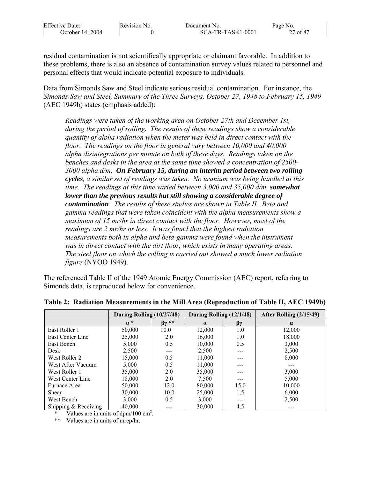| <b>Effective Date:</b> | Revision N<br>N <sub>0</sub> | Document No.      | Page No.                |
|------------------------|------------------------------|-------------------|-------------------------|
| 2004<br>)ctober 14.    |                              | SCA-TR-TASK1-0001 | of 87<br>$\overline{ }$ |

residual contamination is not scientifically appropriate or claimant favorable. In addition to these problems, there is also an absence of contamination survey values related to personnel and personal effects that would indicate potential exposure to individuals.

Data from Simonds Saw and Steel indicate serious residual contamination. For instance, the *Simonds Saw and Steel, Summary of the Three Surveys, October 27, 1948 to February 15, 1949*  (AEC 1949b) states (emphasis added):

*Readings were taken of the working area on October 27th and December 1st, during the period of rolling. The results of these readings show a considerable quantity of alpha radiation when the meter was held in direct contact with the floor. The readings on the floor in general vary between 10,000 and 40,000 alpha disintegrations per minute on both of these days. Readings taken on the benches and desks in the area at the same time showed a concentration of 2500- 3000 alpha d/m. On February 15, during an interim period between two rolling cycles, a similar set of readings was taken. No uranium was being handled at this time. The readings at this time varied between 3,000 and 35,000 d/m, somewhat lower than the previous results but still showing a considerable degree of contamination. The results of these studies are shown in Table II. Beta and gamma readings that were taken coincident with the alpha measurements show a maximum of 15 mr/hr in direct contact with the floor. However, most of the readings are 2 mr/hr or less. It was found that the highest radiation measurements both in alpha and beta-gamma were found when the instrument was in direct contact with the dirt floor, which exists in many operating areas. The steel floor on which the rolling is carried out showed a much lower radiation figure* (NYOO 1949).

The referenced Table II of the 1949 Atomic Energy Commission (AEC) report, referring to Simonds data, is reproduced below for convenience.

|                        | During Rolling (10/27/48) |                   | During Rolling (12/1/48) |      | After Rolling (2/15/49) |
|------------------------|---------------------------|-------------------|--------------------------|------|-------------------------|
|                        | $\alpha^*$                | $\beta \gamma$ ** | $\alpha$                 | βγ   | $\alpha$                |
| East Roller 1          | 50,000                    | 10.0              | 12.000                   | 1.0  | 12,000                  |
| East Center Line       | 25,000                    | 2.0               | 16,000                   | 1.0  | 18,000                  |
| East Bench             | 5,000                     | 0.5               | 10,000                   | 0.5  | 3,000                   |
| <b>Desk</b>            | 2,500                     | $---$             | 2,500                    | ---  | 2,500                   |
| West Roller 2          | 15,000                    | 0.5               | 11,000                   |      | 8,000                   |
| West After Vacuum      | 5,000                     | 0.5               | 11,000                   | ---  |                         |
| West Roller 1          | 35,000                    | 2.0               | 35,000                   | ---  | 3,000                   |
| West Center Line       | 18,000                    | 2.0               | 7,500                    |      | 5,000                   |
| Furnace Area           | 50,000                    | 12.0              | 80,000                   | 15.0 | 10,000                  |
| Shear                  | 30,000                    | 10.0              | 25,000                   | 1.5  | 6,000                   |
| West Bench             | 3,000                     | 0.5               | 3,000                    | ---  | 2,500                   |
| Shipping $&$ Receiving | 40,000                    |                   | 30,000                   | 4.5  |                         |

#### **Table 2: Radiation Measurements in the Mill Area (Reproduction of Table II, AEC 1949b)**

\* Values are in units of  $dpm/100$  cm<sup>2</sup>.

\*\* Values are in units of mrep/hr.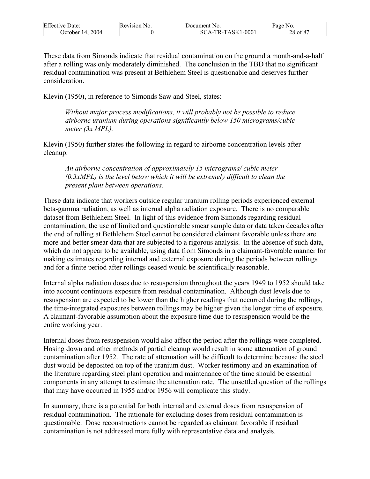| <b>Effective Date:</b> | Revision No. | Document No.      | Page No. |
|------------------------|--------------|-------------------|----------|
| 2004<br>October 14.    |              | SCA-TR-TASK1-0001 | 28 of 87 |

These data from Simonds indicate that residual contamination on the ground a month-and-a-half after a rolling was only moderately diminished. The conclusion in the TBD that no significant residual contamination was present at Bethlehem Steel is questionable and deserves further consideration.

Klevin (1950), in reference to Simonds Saw and Steel, states:

*Without major process modifications, it will probably not be possible to reduce airborne uranium during operations significantly below 150 micrograms/cubic meter (3x MPL).* 

Klevin (1950) further states the following in regard to airborne concentration levels after cleanup.

*An airborne concentration of approximately 15 micrograms/ cubic meter (0.3xMPL) is the level below which it will be extremely difficult to clean the present plant between operations.* 

These data indicate that workers outside regular uranium rolling periods experienced external beta-gamma radiation, as well as internal alpha radiation exposure. There is no comparable dataset from Bethlehem Steel. In light of this evidence from Simonds regarding residual contamination, the use of limited and questionable smear sample data or data taken decades after the end of rolling at Bethlehem Steel cannot be considered claimant favorable unless there are more and better smear data that are subjected to a rigorous analysis. In the absence of such data, which do not appear to be available, using data from Simonds in a claimant-favorable manner for making estimates regarding internal and external exposure during the periods between rollings and for a finite period after rollings ceased would be scientifically reasonable.

Internal alpha radiation doses due to resuspension throughout the years 1949 to 1952 should take into account continuous exposure from residual contamination. Although dust levels due to resuspension are expected to be lower than the higher readings that occurred during the rollings, the time-integrated exposures between rollings may be higher given the longer time of exposure. A claimant-favorable assumption about the exposure time due to resuspension would be the entire working year.

Internal doses from resuspension would also affect the period after the rollings were completed. Hosing down and other methods of partial cleanup would result in some attenuation of ground contamination after 1952. The rate of attenuation will be difficult to determine because the steel dust would be deposited on top of the uranium dust. Worker testimony and an examination of the literature regarding steel plant operation and maintenance of the time should be essential components in any attempt to estimate the attenuation rate. The unsettled question of the rollings that may have occurred in 1955 and/or 1956 will complicate this study.

In summary, there is a potential for both internal and external doses from resuspension of residual contamination. The rationale for excluding doses from residual contamination is questionable. Dose reconstructions cannot be regarded as claimant favorable if residual contamination is not addressed more fully with representative data and analysis.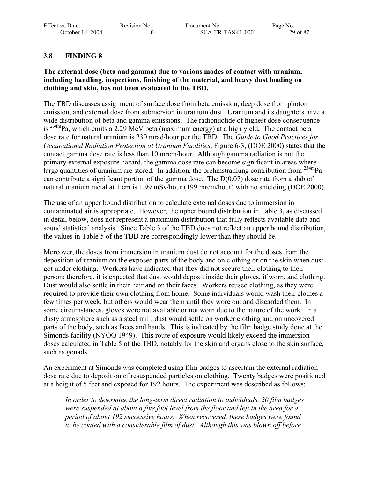| <b>Effective Date:</b> | Revision No. | Document No.      | Page No. |
|------------------------|--------------|-------------------|----------|
| October 14, 2004       |              | SCA-TR-TASK1-0001 | 29 of 87 |

### **3.8 FINDING 8**

#### **The external dose (beta and gamma) due to various modes of contact with uranium, including handling, inspections, finishing of the material, and heavy dust loading on clothing and skin, has not been evaluated in the TBD.**

The TBD discusses assignment of surface dose from beta emission, deep dose from photon emission, and external dose from submersion in uranium dust. Uranium and its daughters have a wide distribution of beta and gamma emissions. The radionuclide of highest dose consequence is 234mPa, which emits a 2.29 MeV beta (maximum energy) at a high yield**.** The contact beta dose rate for natural uranium is 230 mrad/hour per the TBD. The *Guide to Good Practices for Occupational Radiation Protection at Uranium Facilities*, Figure 6-3, (DOE 2000) states that the contact gamma dose rate is less than 10 mrem/hour. Although gamma radiation is not the primary external exposure hazard, the gamma dose rate can become significant in areas where large quantities of uranium are stored. In addition, the brehmstrahlung contribution from  $^{234}$ mPa can contribute a significant portion of the gamma dose. The  $D(0.07)$  dose rate from a slab of natural uranium metal at 1 cm is 1.99 mSv/hour (199 mrem/hour) with no shielding (DOE 2000).

The use of an upper bound distribution to calculate external doses due to immersion in contaminated air is appropriate. However, the upper bound distribution in Table 3, as discussed in detail below, does not represent a maximum distribution that fully reflects available data and sound statistical analysis. Since Table 3 of the TBD does not reflect an upper bound distribution, the values in Table 5 of the TBD are correspondingly lower than they should be.

Moreover, the doses from immersion in uranium dust do not account for the doses from the deposition of uranium on the exposed parts of the body and on clothing or on the skin when dust got under clothing. Workers have indicated that they did not secure their clothing to their person; therefore, it is expected that dust would deposit inside their gloves, if worn, and clothing. Dust would also settle in their hair and on their faces. Workers reused clothing, as they were required to provide their own clothing from home. Some individuals would wash their clothes a few times per week, but others would wear them until they wore out and discarded them. In some circumstances, gloves were not available or not worn due to the nature of the work. In a dusty atmosphere such as a steel mill, dust would settle on worker clothing and on uncovered parts of the body, such as faces and hands. This is indicated by the film badge study done at the Simonds facility (NYOO 1949). This route of exposure would likely exceed the immersion doses calculated in Table 5 of the TBD, notably for the skin and organs close to the skin surface, such as gonads.

An experiment at Simonds was completed using film badges to ascertain the external radiation dose rate due to deposition of resuspended particles on clothing. Twenty badges were positioned at a height of 5 feet and exposed for 192 hours. The experiment was described as follows:

*In order to determine the long-term direct radiation to individuals, 20 film badges were suspended at about a five foot level from the floor and left in the area for a period of about 192 successive hours. When recovered, these badges were found to be coated with a considerable film of dust. Although this was blown off before*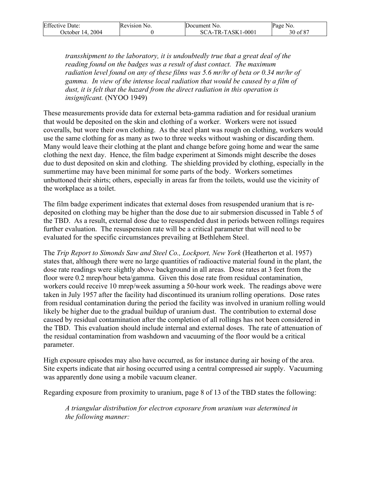| <b>Effective Date:</b> | Revision No. | Document No.        | Page No. |
|------------------------|--------------|---------------------|----------|
| October 14, 2004       |              | $SCA-TR-TASK1-0001$ | 30 of 87 |

*transshipment to the laboratory, it is undoubtedly true that a great deal of the reading found on the badges was a result of dust contact. The maximum*  radiation level found on any of these films was 5.6 mr/hr of beta or 0.34 mr/hr of *gamma. In view of the intense local radiation that would be caused by a film of dust, it is felt that the hazard from the direct radiation in this operation is insignificant.* (NYOO 1949)

These measurements provide data for external beta-gamma radiation and for residual uranium that would be deposited on the skin and clothing of a worker. Workers were not issued coveralls, but wore their own clothing. As the steel plant was rough on clothing, workers would use the same clothing for as many as two to three weeks without washing or discarding them. Many would leave their clothing at the plant and change before going home and wear the same clothing the next day. Hence, the film badge experiment at Simonds might describe the doses due to dust deposited on skin and clothing. The shielding provided by clothing, especially in the summertime may have been minimal for some parts of the body. Workers sometimes unbuttoned their shirts; others, especially in areas far from the toilets, would use the vicinity of the workplace as a toilet.

The film badge experiment indicates that external doses from resuspended uranium that is redeposited on clothing may be higher than the dose due to air submersion discussed in Table 5 of the TBD. As a result, external dose due to resuspended dust in periods between rollings requires further evaluation. The resuspension rate will be a critical parameter that will need to be evaluated for the specific circumstances prevailing at Bethlehem Steel.

The *Trip Report to Simonds Saw and Steel Co., Lockport, New York* (Heatherton et al. 1957) states that, although there were no large quantities of radioactive material found in the plant, the dose rate readings were slightly above background in all areas. Dose rates at 3 feet from the floor were 0.2 mrep/hour beta/gamma. Given this dose rate from residual contamination, workers could receive 10 mrep/week assuming a 50-hour work week. The readings above were taken in July 1957 after the facility had discontinued its uranium rolling operations. Dose rates from residual contamination during the period the facility was involved in uranium rolling would likely be higher due to the gradual buildup of uranium dust. The contribution to external dose caused by residual contamination after the completion of all rollings has not been considered in the TBD. This evaluation should include internal and external doses. The rate of attenuation of the residual contamination from washdown and vacuuming of the floor would be a critical parameter.

High exposure episodes may also have occurred, as for instance during air hosing of the area. Site experts indicate that air hosing occurred using a central compressed air supply. Vacuuming was apparently done using a mobile vacuum cleaner.

Regarding exposure from proximity to uranium, page 8 of 13 of the TBD states the following:

*A triangular distribution for electron exposure from uranium was determined in the following manner:*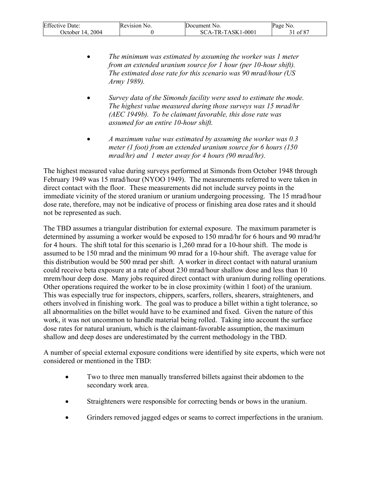| <b>Effective Date:</b> | Revision No. | Document No.        | Page No. |
|------------------------|--------------|---------------------|----------|
| October 14, 2004       |              | $SCA-TR-TASK1-0001$ | 31 of 87 |

- *The minimum was estimated by assuming the worker was 1 meter from an extended uranium source for 1 hour (per 10-hour shift). The estimated dose rate for this scenario was 90 mrad/hour (US Army 1989).*
- *Survey data of the Simonds facility were used to estimate the mode. The highest value measured during those surveys was 15 mrad/hr (AEC 1949b). To be claimant favorable, this dose rate was assumed for an entire 10-hour shift.*
- *A maximum value was estimated by assuming the worker was 0.3 meter (1 foot) from an extended uranium source for 6 hours (150 mrad/hr) and 1 meter away for 4 hours (90 mrad/hr).*

The highest measured value during surveys performed at Simonds from October 1948 through February 1949 was 15 mrad/hour (NYOO 1949). The measurements referred to were taken in direct contact with the floor. These measurements did not include survey points in the immediate vicinity of the stored uranium or uranium undergoing processing. The 15 mrad/hour dose rate, therefore, may not be indicative of process or finishing area dose rates and it should not be represented as such.

The TBD assumes a triangular distribution for external exposure. The maximum parameter is determined by assuming a worker would be exposed to 150 mrad/hr for 6 hours and 90 mrad/hr for 4 hours. The shift total for this scenario is 1,260 mrad for a 10-hour shift. The mode is assumed to be 150 mrad and the minimum 90 mrad for a 10-hour shift. The average value for this distribution would be 500 mrad per shift. A worker in direct contact with natural uranium could receive beta exposure at a rate of about 230 mrad/hour shallow dose and less than 10 mrem/hour deep dose. Many jobs required direct contact with uranium during rolling operations. Other operations required the worker to be in close proximity (within 1 foot) of the uranium. This was especially true for inspectors, chippers, scarfers, rollers, shearers, straighteners, and others involved in finishing work. The goal was to produce a billet within a tight tolerance, so all abnormalities on the billet would have to be examined and fixed. Given the nature of this work, it was not uncommon to handle material being rolled. Taking into account the surface dose rates for natural uranium, which is the claimant-favorable assumption, the maximum shallow and deep doses are underestimated by the current methodology in the TBD.

A number of special external exposure conditions were identified by site experts, which were not considered or mentioned in the TBD:

- Two to three men manually transferred billets against their abdomen to the secondary work area.
- Straighteners were responsible for correcting bends or bows in the uranium.
- Grinders removed jagged edges or seams to correct imperfections in the uranium.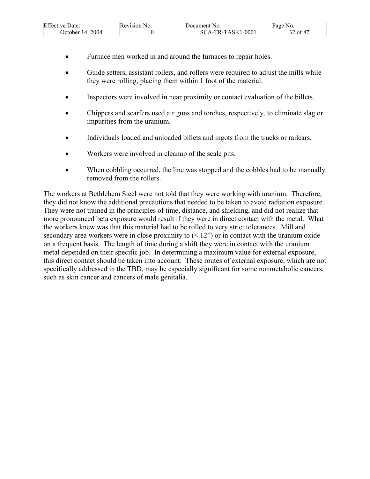| <b>Effective Date:</b> | Revision No. | Document No.      | "Page No. |
|------------------------|--------------|-------------------|-----------|
| 2004<br>October 14.    |              | SCA-TR-TASK1-0001 | of $87$   |

- Furnace men worked in and around the furnaces to repair holes.
- Guide setters, assistant rollers, and rollers were required to adjust the mills while they were rolling, placing them within 1 foot of the material.
- Inspectors were involved in near proximity or contact evaluation of the billets.
- Chippers and scarfers used air guns and torches, respectively, to eliminate slag or impurities from the uranium.
- Individuals loaded and unloaded billets and ingots from the trucks or railcars.
- Workers were involved in cleanup of the scale pits.
- When cobbling occurred, the line was stopped and the cobbles had to be manually removed from the rollers.

The workers at Bethlehem Steel were not told that they were working with uranium. Therefore, they did not know the additional precautions that needed to be taken to avoid radiation exposure. They were not trained in the principles of time, distance, and shielding, and did not realize that more pronounced beta exposure would result if they were in direct contact with the metal. What the workers knew was that this material had to be rolled to very strict tolerances. Mill and secondary area workers were in close proximity to  $(12)$  or in contact with the uranium oxide on a frequent basis. The length of time during a shift they were in contact with the uranium metal depended on their specific job. In determining a maximum value for external exposure, this direct contact should be taken into account. These routes of external exposure, which are not specifically addressed in the TBD, may be especially significant for some nonmetabolic cancers, such as skin cancer and cancers of male genitalia.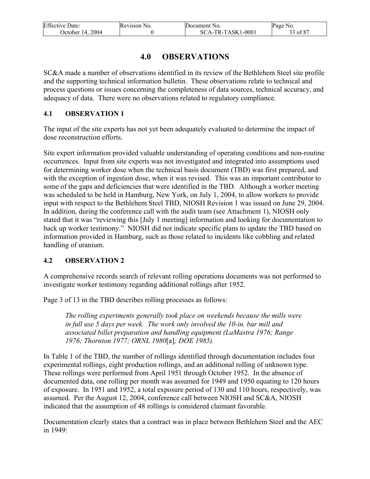| <b>Effective Date:</b> | Revision No. | Document No.      | Page No. |
|------------------------|--------------|-------------------|----------|
| October 14, 2004       |              | SCA-TR-TASK1-0001 | 33 of 87 |

# **4.0 OBSERVATIONS**

SC&A made a number of observations identified in its review of the Bethlehem Steel site profile and the supporting technical information bulletin. These observations relate to technical and process questions or issues concerning the completeness of data sources, technical accuracy, and adequacy of data. There were no observations related to regulatory compliance.

### **4.1 OBSERVATION 1**

The input of the site experts has not yet been adequately evaluated to determine the impact of dose reconstruction efforts.

Site expert information provided valuable understanding of operating conditions and non-routine occurrences. Input from site experts was not investigated and integrated into assumptions used for determining worker dose when the technical basis document (TBD) was first prepared, and with the exception of ingestion dose, when it was revised. This was an important contributor to some of the gaps and deficiencies that were identified in the TBD. Although a worker meeting was scheduled to be held in Hamburg, New York, on July 1, 2004, to allow workers to provide input with respect to the Bethlehem Steel TBD, NIOSH Revision 1 was issued on June 29, 2004. In addition, during the conference call with the audit team (see Attachment 1), NIOSH only stated that it was "reviewing this [July 1 meeting] information and looking for documentation to back up worker testimony."<sup>*NIOSH* did not indicate specific plans to update the TBD based on</sup> information provided in Hamburg, such as those related to incidents like cobbling and related handling of uranium.

# **4.2 OBSERVATION 2**

A comprehensive records search of relevant rolling operations documents was not performed to investigate worker testimony regarding additional rollings after 1952.

Page 3 of 13 in the TBD describes rolling processes as follows:

*The rolling experiments generally took place on weekends because the mills were in full use 5 days per week. The work only involved the 10-in. bar mill and associated billet preparation and handling equipment (LaMastra 1976; Range 1976; Thornton 1977; ORNL 1980*[a]*; DOE 1985).* 

In Table 1 of the TBD, the number of rollings identified through documentation includes four experimental rollings, eight production rollings, and an additional rolling of unknown type. These rollings were performed from April 1951 through October 1952. In the absence of documented data, one rolling per month was assumed for 1949 and 1950 equating to 120 hours of exposure. In 1951 and 1952, a total exposure period of 130 and 110 hours, respectively, was assumed. Per the August 12, 2004, conference call between NIOSH and SC&A, NIOSH indicated that the assumption of 48 rollings is considered claimant favorable.

Documentation clearly states that a contract was in place between Bethlehem Steel and the AEC in 1949: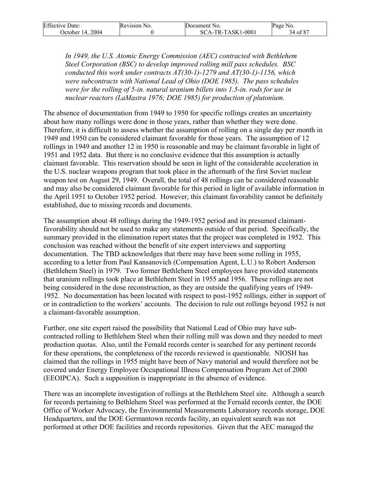| <b>Effective Date:</b> | Revision No. | Document No.        | Page No. |
|------------------------|--------------|---------------------|----------|
| October 14, 2004       |              | $SCA-TR-TASK1-0001$ | 34 of 87 |

*In 1949, the U.S. Atomic Energy Commission (AEC) contracted with Bethlehem Steel Corporation (BSC) to develop improved rolling mill pass schedules. BSC conducted this work under contracts AT(30-1)-1279 and AT(30-1)-1156, which were subcontracts with National Lead of Ohio (DOE 1985). The pass schedules were for the rolling of 5-in. natural uranium billets into 1.5-in. rods for use in nuclear reactors (LaMastra 1976; DOE 1985) for production of plutonium.* 

The absence of documentation from 1949 to 1950 for specific rollings creates an uncertainty about how many rollings were done in those years, rather than whether they were done. Therefore, it is difficult to assess whether the assumption of rolling on a single day per month in 1949 and 1950 can be considered claimant favorable for those years. The assumption of 12 rollings in 1949 and another 12 in 1950 is reasonable and may be claimant favorable in light of 1951 and 1952 data. But there is no conclusive evidence that this assumption is actually claimant favorable. This reservation should be seen in light of the considerable acceleration in the U.S. nuclear weapons program that took place in the aftermath of the first Soviet nuclear weapon test on August 29, 1949. Overall, the total of 48 rollings can be considered reasonable and may also be considered claimant favorable for this period in light of available information in the April 1951 to October 1952 period. However, this claimant favorability cannot be definitely established, due to missing records and documents.

The assumption about 48 rollings during the 1949-1952 period and its presumed claimantfavorability should not be used to make any statements outside of that period. Specifically, the summary provided in the elimination report states that the project was completed in 1952. This conclusion was reached without the benefit of site expert interviews and supporting documentation. The TBD acknowledges that there may have been some rolling in 1955, according to a letter from Paul Kansanovich (Compensation Agent, L.U.) to Robert Anderson (Bethlehem Steel) in 1979. Two former Bethlehem Steel employees have provided statements that uranium rollings took place at Bethlehem Steel in 1955 and 1956. These rollings are not being considered in the dose reconstruction, as they are outside the qualifying years of 1949- 1952. No documentation has been located with respect to post-1952 rollings, either in support of or in contradiction to the workers' accounts. The decision to rule out rollings beyond 1952 is not a claimant-favorable assumption.

Further, one site expert raised the possibility that National Lead of Ohio may have subcontracted rolling to Bethlehem Steel when their rolling mill was down and they needed to meet production quotas. Also, until the Fernald records center is searched for any pertinent records for these operations, the completeness of the records reviewed is questionable. NIOSH has claimed that the rollings in 1955 might have been of Navy material and would therefore not be covered under Energy Employee Occupational Illness Compensation Program Act of 2000 (EEOIPCA). Such a supposition is inappropriate in the absence of evidence.

There was an incomplete investigation of rollings at the Bethlehem Steel site. Although a search for records pertaining to Bethlehem Steel was performed at the Fernald records center, the DOE Office of Worker Advocacy, the Environmental Measurements Laboratory records storage, DOE Headquarters, and the DOE Germantown records facility, an equivalent search was not performed at other DOE facilities and records repositories. Given that the AEC managed the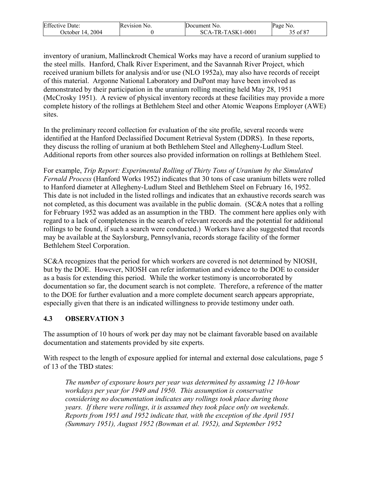| <b>Effective Date:</b> | Revision No. | <b>IDocument</b> No.                | Page No. |
|------------------------|--------------|-------------------------------------|----------|
| 2004<br>Dctober 14.    |              | CA-TR-TASK1-0001<br>SC <sup>-</sup> | of 87    |

inventory of uranium, Mallinckrodt Chemical Works may have a record of uranium supplied to the steel mills. Hanford, Chalk River Experiment, and the Savannah River Project, which received uranium billets for analysis and/or use (NLO 1952a), may also have records of receipt of this material. Argonne National Laboratory and DuPont may have been involved as demonstrated by their participation in the uranium rolling meeting held May 28, 1951 (McCrosky 1951).A review of physical inventory records at these facilities may provide a more complete history of the rollings at Bethlehem Steel and other Atomic Weapons Employer (AWE) sites.

In the preliminary record collection for evaluation of the site profile, several records were identified at the Hanford Declassified Document Retrieval System (DDRS). In these reports, they discuss the rolling of uranium at both Bethlehem Steel and Allegheny-Ludlum Steel. Additional reports from other sources also provided information on rollings at Bethlehem Steel.

For example, *Trip Report: Experimental Rolling of Thirty Tons of Uranium by the Simulated Fernald Process* (Hanford Works 1952) indicates that 30 tons of case uranium billets were rolled to Hanford diameter at Allegheny-Ludlum Steel and Bethlehem Steel on February 16, 1952. This date is not included in the listed rollings and indicates that an exhaustive records search was not completed, as this document was available in the public domain. (SC&A notes that a rolling for February 1952 was added as an assumption in the TBD. The comment here applies only with regard to a lack of completeness in the search of relevant records and the potential for additional rollings to be found, if such a search were conducted.) Workers have also suggested that records may be available at the Saylorsburg, Pennsylvania, records storage facility of the former Bethlehem Steel Corporation.

SC&A recognizes that the period for which workers are covered is not determined by NIOSH, but by the DOE. However, NIOSH can refer information and evidence to the DOE to consider as a basis for extending this period. While the worker testimony is uncorroborated by documentation so far, the document search is not complete. Therefore, a reference of the matter to the DOE for further evaluation and a more complete document search appears appropriate, especially given that there is an indicated willingness to provide testimony under oath.

# **4.3 OBSERVATION 3**

The assumption of 10 hours of work per day may not be claimant favorable based on available documentation and statements provided by site experts.

With respect to the length of exposure applied for internal and external dose calculations, page 5 of 13 of the TBD states:

*The number of exposure hours per year was determined by assuming 12 10-hour workdays per year for 1949 and 1950. This assumption is conservative considering no documentation indicates any rollings took place during those years. If there were rollings, it is assumed they took place only on weekends. Reports from 1951 and 1952 indicate that, with the exception of the April 1951 (Summary 1951), August 1952 (Bowman et al. 1952), and September 1952*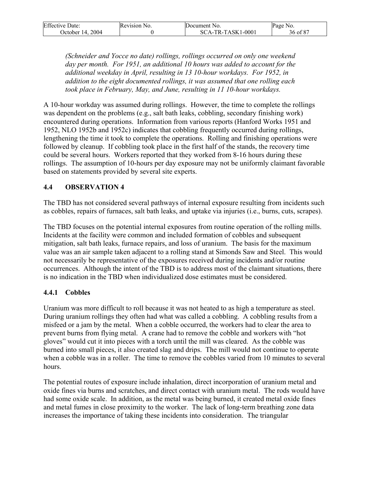| <b>Effective Date:</b> | Revision No. | Document No.        | Page No. |
|------------------------|--------------|---------------------|----------|
| October 14, 2004       |              | $SCA-TR-TASK1-0001$ | 36 of 87 |

*(Schneider and Yocce no date) rollings, rollings occurred on only one weekend day per month. For 1951, an additional 10 hours was added to account for the additional weekday in April, resulting in 13 10-hour workdays. For 1952, in addition to the eight documented rollings, it was assumed that one rolling each took place in February, May, and June, resulting in 11 10-hour workdays.* 

A 10-hour workday was assumed during rollings. However, the time to complete the rollings was dependent on the problems (e.g., salt bath leaks, cobbling, secondary finishing work) encountered during operations. Information from various reports (Hanford Works 1951 and 1952, NLO 1952b and 1952c) indicates that cobbling frequently occurred during rollings, lengthening the time it took to complete the operations. Rolling and finishing operations were followed by cleanup. If cobbling took place in the first half of the stands, the recovery time could be several hours. Workers reported that they worked from 8-16 hours during these rollings. The assumption of 10-hours per day exposure may not be uniformly claimant favorable based on statements provided by several site experts.

### **4.4 OBSERVATION 4**

The TBD has not considered several pathways of internal exposure resulting from incidents such as cobbles, repairs of furnaces, salt bath leaks, and uptake via injuries (i.e., burns, cuts, scrapes).

The TBD focuses on the potential internal exposures from routine operation of the rolling mills. Incidents at the facility were common and included formation of cobbles and subsequent mitigation, salt bath leaks, furnace repairs, and loss of uranium. The basis for the maximum value was an air sample taken adjacent to a rolling stand at Simonds Saw and Steel. This would not necessarily be representative of the exposures received during incidents and/or routine occurrences. Although the intent of the TBD is to address most of the claimant situations, there is no indication in the TBD when individualized dose estimates must be considered.

#### **4.4.1 Cobbles**

Uranium was more difficult to roll because it was not heated to as high a temperature as steel. During uranium rollings they often had what was called a cobbling. A cobbling results from a misfeed or a jam by the metal. When a cobble occurred, the workers had to clear the area to prevent burns from flying metal. A crane had to remove the cobble and workers with "hot gloves" would cut it into pieces with a torch until the mill was cleared. As the cobble was burned into small pieces, it also created slag and drips. The mill would not continue to operate when a cobble was in a roller. The time to remove the cobbles varied from 10 minutes to several hours.

The potential routes of exposure include inhalation, direct incorporation of uranium metal and oxide fines via burns and scratches, and direct contact with uranium metal. The rods would have had some oxide scale. In addition, as the metal was being burned, it created metal oxide fines and metal fumes in close proximity to the worker. The lack of long-term breathing zone data increases the importance of taking these incidents into consideration. The triangular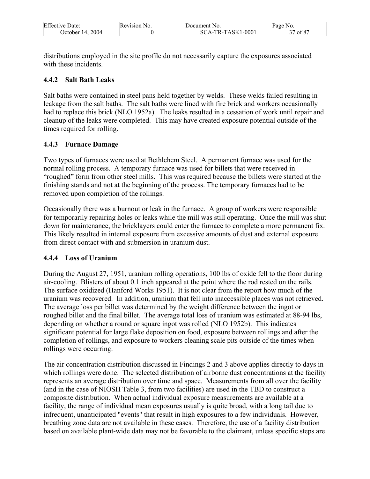| <b>Effective Date:</b> | Revision No. | Document No.      | Page No. |
|------------------------|--------------|-------------------|----------|
| 2004<br>Dctober 14.    |              | SCA-TR-TASK1-0001 | of 87    |

distributions employed in the site profile do not necessarily capture the exposures associated with these incidents.

### **4.4.2 Salt Bath Leaks**

Salt baths were contained in steel pans held together by welds. These welds failed resulting in leakage from the salt baths. The salt baths were lined with fire brick and workers occasionally had to replace this brick (NLO 1952a). The leaks resulted in a cessation of work until repair and cleanup of the leaks were completed. This may have created exposure potential outside of the times required for rolling.

## **4.4.3 Furnace Damage**

Two types of furnaces were used at Bethlehem Steel. A permanent furnace was used for the normal rolling process. A temporary furnace was used for billets that were received in "roughed" form from other steel mills. This was required because the billets were started at the finishing stands and not at the beginning of the process. The temporary furnaces had to be removed upon completion of the rollings.

Occasionally there was a burnout or leak in the furnace. A group of workers were responsible for temporarily repairing holes or leaks while the mill was still operating. Once the mill was shut down for maintenance, the bricklayers could enter the furnace to complete a more permanent fix. This likely resulted in internal exposure from excessive amounts of dust and external exposure from direct contact with and submersion in uranium dust.

## **4.4.4 Loss of Uranium**

During the August 27, 1951, uranium rolling operations, 100 lbs of oxide fell to the floor during air-cooling. Blisters of about 0.1 inch appeared at the point where the rod rested on the rails. The surface oxidized (Hanford Works 1951). It is not clear from the report how much of the uranium was recovered. In addition, uranium that fell into inaccessible places was not retrieved. The average loss per billet was determined by the weight difference between the ingot or roughed billet and the final billet. The average total loss of uranium was estimated at 88-94 lbs, depending on whether a round or square ingot was rolled (NLO 1952b). This indicates significant potential for large flake deposition on food, exposure between rollings and after the completion of rollings, and exposure to workers cleaning scale pits outside of the times when rollings were occurring.

The air concentration distribution discussed in Findings 2 and 3 above applies directly to days in which rollings were done. The selected distribution of airborne dust concentrations at the facility represents an average distribution over time and space. Measurements from all over the facility (and in the case of NIOSH Table 3, from two facilities) are used in the TBD to construct a composite distribution. When actual individual exposure measurements are available at a facility, the range of individual mean exposures usually is quite broad, with a long tail due to infrequent, unanticipated "events" that result in high exposures to a few individuals. However, breathing zone data are not available in these cases. Therefore, the use of a facility distribution based on available plant-wide data may not be favorable to the claimant, unless specific steps are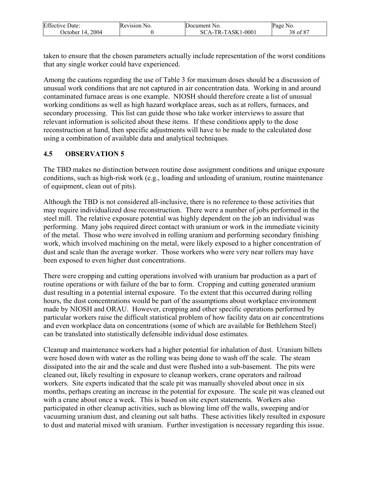| <b>Effective Date:</b> | Revision No. | Document No.        | Page No.           |
|------------------------|--------------|---------------------|--------------------|
| 2004<br>October 14.    |              | $SCA-TR-TASK1-0001$ | of 87<br>າດ<br>58. |

taken to ensure that the chosen parameters actually include representation of the worst conditions that any single worker could have experienced.

Among the cautions regarding the use of Table 3 for maximum doses should be a discussion of unusual work conditions that are not captured in air concentration data. Working in and around contaminated furnace areas is one example. NIOSH should therefore create a list of unusual working conditions as well as high hazard workplace areas, such as at rollers, furnaces, and secondary processing. This list can guide those who take worker interviews to assure that relevant information is solicited about these items. If these conditions apply to the dose reconstruction at hand, then specific adjustments will have to be made to the calculated dose using a combination of available data and analytical techniques.

### **4.5 OBSERVATION 5**

The TBD makes no distinction between routine dose assignment conditions and unique exposure conditions, such as high-risk work (e.g., loading and unloading of uranium, routine maintenance of equipment, clean out of pits).

Although the TBD is not considered all-inclusive, there is no reference to those activities that may require individualized dose reconstruction. There were a number of jobs performed in the steel mill. The relative exposure potential was highly dependent on the job an individual was performing. Many jobs required direct contact with uranium or work in the immediate vicinity of the metal. Those who were involved in rolling uranium and performing secondary finishing work, which involved machining on the metal, were likely exposed to a higher concentration of dust and scale than the average worker. Those workers who were very near rollers may have been exposed to even higher dust concentrations.

There were cropping and cutting operations involved with uranium bar production as a part of routine operations or with failure of the bar to form. Cropping and cutting generated uranium dust resulting in a potential internal exposure. To the extent that this occurred during rolling hours, the dust concentrations would be part of the assumptions about workplace environment made by NIOSH and ORAU. However, cropping and other specific operations performed by particular workers raise the difficult statistical problem of how facility data on air concentrations and even workplace data on concentrations (some of which are available for Bethlehem Steel) can be translated into statistically defensible individual dose estimates.

Cleanup and maintenance workers had a higher potential for inhalation of dust. Uranium billets were hosed down with water as the rolling was being done to wash off the scale. The steam dissipated into the air and the scale and dust were flushed into a sub-basement. The pits were cleaned out, likely resulting in exposure to cleanup workers, crane operators and railroad workers. Site experts indicated that the scale pit was manually shoveled about once in six months, perhaps creating an increase in the potential for exposure. The scale pit was cleaned out with a crane about once a week. This is based on site expert statements. Workers also participated in other cleanup activities, such as blowing lime off the walls, sweeping and/or vacuuming uranium dust, and cleaning out salt baths. These activities likely resulted in exposure to dust and material mixed with uranium. Further investigation is necessary regarding this issue.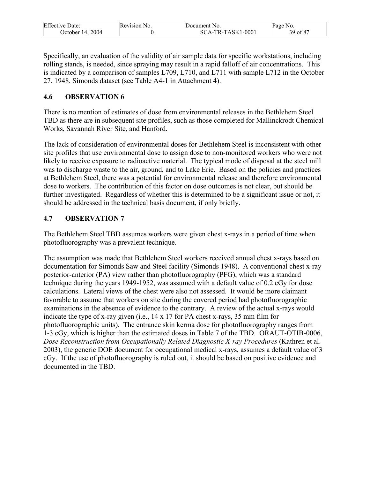| <b>Effective Date:</b>  | Revision No. | Document No.        | Page No.                             |
|-------------------------|--------------|---------------------|--------------------------------------|
| 2004<br>$\degree$ : 14. |              | $SCA-TR-TASK1-0001$ | $\sim$ C O $\sim$<br>$^{\circ}$ of 8 |

Specifically, an evaluation of the validity of air sample data for specific workstations, including rolling stands, is needed, since spraying may result in a rapid falloff of air concentrations. This is indicated by a comparison of samples L709, L710, and L711 with sample L712 in the October 27, 1948, Simonds dataset (see Table A4-1 in Attachment 4).

## **4.6 OBSERVATION 6**

There is no mention of estimates of dose from environmental releases in the Bethlehem Steel TBD as there are in subsequent site profiles, such as those completed for Mallinckrodt Chemical Works, Savannah River Site, and Hanford.

The lack of consideration of environmental doses for Bethlehem Steel is inconsistent with other site profiles that use environmental dose to assign dose to non-monitored workers who were not likely to receive exposure to radioactive material. The typical mode of disposal at the steel mill was to discharge waste to the air, ground, and to Lake Erie. Based on the policies and practices at Bethlehem Steel, there was a potential for environmental release and therefore environmental dose to workers. The contribution of this factor on dose outcomes is not clear, but should be further investigated. Regardless of whether this is determined to be a significant issue or not, it should be addressed in the technical basis document, if only briefly.

## **4.7 OBSERVATION 7**

The Bethlehem Steel TBD assumes workers were given chest x-rays in a period of time when photofluorography was a prevalent technique.

The assumption was made that Bethlehem Steel workers received annual chest x-rays based on documentation for Simonds Saw and Steel facility (Simonds 1948). A conventional chest x-ray posterior-anterior (PA) view rather than photofluorography (PFG), which was a standard technique during the years 1949-1952, was assumed with a default value of 0.2 cGy for dose calculations. Lateral views of the chest were also not assessed. It would be more claimant favorable to assume that workers on site during the covered period had photofluorographic examinations in the absence of evidence to the contrary. A review of the actual x-rays would indicate the type of x-ray given (i.e., 14 x 17 for PA chest x-rays, 35 mm film for photofluorographic units). The entrance skin kerma dose for photofluorography ranges from 1-3 cGy, which is higher than the estimated doses in Table 7 of the TBD. ORAUT-OTIB-0006, *Dose Reconstruction from Occupationally Related Diagnostic X-ray Procedures* (Kathren et al. 2003), the generic DOE document for occupational medical x-rays, assumes a default value of 3 cGy. If the use of photofluorography is ruled out, it should be based on positive evidence and documented in the TBD.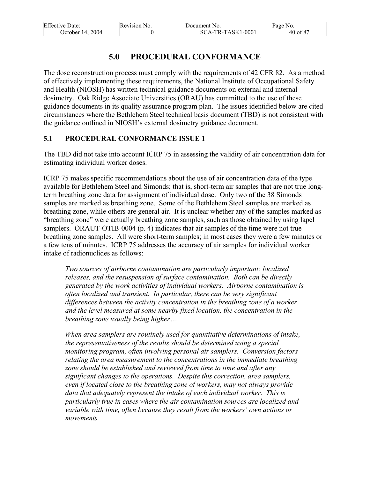| <b>Effective Date:</b> | Revision No. | Document No.        | Page No. |
|------------------------|--------------|---------------------|----------|
| October 14, 2004       |              | $SCA-TR-TASK1-0001$ | 40 of 87 |

# **5.0 PROCEDURAL CONFORMANCE**

The dose reconstruction process must comply with the requirements of 42 CFR 82. As a method of effectively implementing these requirements, the National Institute of Occupational Safety and Health (NIOSH) has written technical guidance documents on external and internal dosimetry. Oak Ridge Associate Universities (ORAU) has committed to the use of these guidance documents in its quality assurance program plan. The issues identified below are cited circumstances where the Bethlehem Steel technical basis document (TBD) is not consistent with the guidance outlined in NIOSH's external dosimetry guidance document.

## **5.1 PROCEDURAL CONFORMANCE ISSUE 1**

The TBD did not take into account ICRP 75 in assessing the validity of air concentration data for estimating individual worker doses.

ICRP 75 makes specific recommendations about the use of air concentration data of the type available for Bethlehem Steel and Simonds; that is, short-term air samples that are not true longterm breathing zone data for assignment of individual dose. Only two of the 38 Simonds samples are marked as breathing zone. Some of the Bethlehem Steel samples are marked as breathing zone, while others are general air. It is unclear whether any of the samples marked as "breathing zone" were actually breathing zone samples, such as those obtained by using lapel samplers. ORAUT-OTIB-0004 (p. 4) indicates that air samples of the time were not true breathing zone samples. All were short-term samples; in most cases they were a few minutes or a few tens of minutes. ICRP 75 addresses the accuracy of air samples for individual worker intake of radionuclides as follows:

*Two sources of airborne contamination are particularly important: localized releases, and the resuspension of surface contamination. Both can be directly generated by the work activities of individual workers. Airborne contamination is often localized and transient. In particular, there can be very significant differences between the activity concentration in the breathing zone of a worker and the level measured at some nearby fixed location, the concentration in the breathing zone usually being higher….* 

*When area samplers are routinely used for quantitative determinations of intake, the representativeness of the results should be determined using a special monitoring program, often involving personal air samplers. Conversion factors relating the area measurement to the concentrations in the immediate breathing zone should be established and reviewed from time to time and after any significant changes to the operations. Despite this correction, area samplers, even if located close to the breathing zone of workers, may not always provide data that adequately represent the intake of each individual worker. This is particularly true in cases where the air contamination sources are localized and variable with time, often because they result from the workers' own actions or movements.*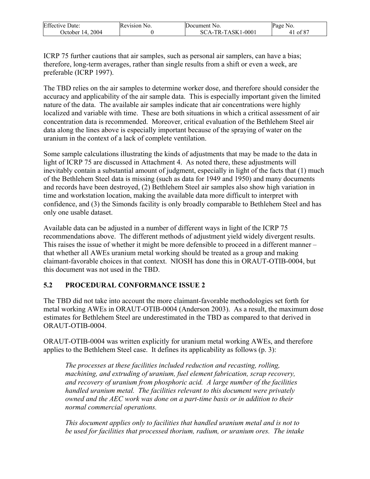| <b>Effective Date:</b> | Revision No. | Document No.        | Page No.      |
|------------------------|--------------|---------------------|---------------|
| 2004<br>October 14.    |              | $SCA-TR-TASK1-0001$ | $\cdot$ of 87 |

ICRP 75 further cautions that air samples, such as personal air samplers, can have a bias; therefore, long-term averages, rather than single results from a shift or even a week, are preferable (ICRP 1997).

The TBD relies on the air samples to determine worker dose, and therefore should consider the accuracy and applicability of the air sample data. This is especially important given the limited nature of the data. The available air samples indicate that air concentrations were highly localized and variable with time. These are both situations in which a critical assessment of air concentration data is recommended. Moreover, critical evaluation of the Bethlehem Steel air data along the lines above is especially important because of the spraying of water on the uranium in the context of a lack of complete ventilation.

Some sample calculations illustrating the kinds of adjustments that may be made to the data in light of ICRP 75 are discussed in Attachment 4. As noted there, these adjustments will inevitably contain a substantial amount of judgment, especially in light of the facts that (1) much of the Bethlehem Steel data is missing (such as data for 1949 and 1950) and many documents and records have been destroyed, (2) Bethlehem Steel air samples also show high variation in time and workstation location, making the available data more difficult to interpret with confidence, and (3) the Simonds facility is only broadly comparable to Bethlehem Steel and has only one usable dataset.

Available data can be adjusted in a number of different ways in light of the ICRP 75 recommendations above. The different methods of adjustment yield widely divergent results. This raises the issue of whether it might be more defensible to proceed in a different manner – that whether all AWEs uranium metal working should be treated as a group and making claimant-favorable choices in that context. NIOSH has done this in ORAUT-OTIB-0004, but this document was not used in the TBD.

## **5.2 PROCEDURAL CONFORMANCE ISSUE 2**

The TBD did not take into account the more claimant-favorable methodologies set forth for metal working AWEs in ORAUT-OTIB-0004 (Anderson 2003). As a result, the maximum dose estimates for Bethlehem Steel are underestimated in the TBD as compared to that derived in ORAUT-OTIB-0004.

ORAUT-OTIB-0004 was written explicitly for uranium metal working AWEs, and therefore applies to the Bethlehem Steel case. It defines its applicability as follows (p. 3):

*The processes at these facilities included reduction and recasting, rolling, machining, and extruding of uranium, fuel element fabrication, scrap recovery, and recovery of uranium from phosphoric acid. A large number of the facilities handled uranium metal. The facilities relevant to this document were privately owned and the AEC work was done on a part-time basis or in addition to their normal commercial operations.* 

*This document applies only to facilities that handled uranium metal and is not to be used for facilities that processed thorium, radium, or uranium ores. The intake*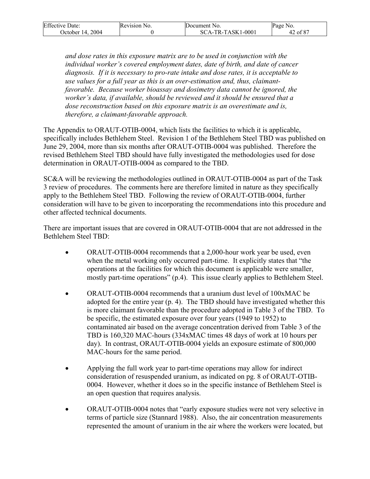| <b>Effective Date:</b> | Revision No. | Document No.        | Page No.         |
|------------------------|--------------|---------------------|------------------|
| 2004<br>October 14.    |              | $SCA-TR-TASK1-0001$ | .607<br>42 of 8, |

*and dose rates in this exposure matrix are to be used in conjunction with the individual worker's covered employment dates, date of birth, and date of cancer diagnosis. If it is necessary to pro-rate intake and dose rates, it is acceptable to use values for a full year as this is an over-estimation and, thus, claimantfavorable. Because worker bioassay and dosimetry data cannot be ignored, the worker's data, if available, should be reviewed and it should be ensured that a dose reconstruction based on this exposure matrix is an overestimate and is, therefore, a claimant-favorable approach.* 

The Appendix to ORAUT-OTIB-0004, which lists the facilities to which it is applicable, specifically includes Bethlehem Steel. Revision 1 of the Bethlehem Steel TBD was published on June 29, 2004, more than six months after ORAUT-OTIB-0004 was published. Therefore the revised Bethlehem Steel TBD should have fully investigated the methodologies used for dose determination in ORAUT-OTIB-0004 as compared to the TBD.

SC&A will be reviewing the methodologies outlined in ORAUT-OTIB-0004 as part of the Task 3 review of procedures. The comments here are therefore limited in nature as they specifically apply to the Bethlehem Steel TBD. Following the review of ORAUT-OTIB-0004, further consideration will have to be given to incorporating the recommendations into this procedure and other affected technical documents.

There are important issues that are covered in ORAUT-OTIB-0004 that are not addressed in the Bethlehem Steel TBD:

- ORAUT-OTIB-0004 recommends that a 2,000-hour work year be used, even when the metal working only occurred part-time. It explicitly states that "the operations at the facilities for which this document is applicable were smaller, mostly part-time operations" (p.4). This issue clearly applies to Bethlehem Steel.
- ORAUT-OTIB-0004 recommends that a uranium dust level of 100xMAC be adopted for the entire year (p. 4). The TBD should have investigated whether this is more claimant favorable than the procedure adopted in Table 3 of the TBD. To be specific, the estimated exposure over four years (1949 to 1952) to contaminated air based on the average concentration derived from Table 3 of the TBD is 160,320 MAC-hours (334xMAC times 48 days of work at 10 hours per day). In contrast, ORAUT-OTIB-0004 yields an exposure estimate of 800,000 MAC-hours for the same period.
- Applying the full work year to part-time operations may allow for indirect consideration of resuspended uranium, as indicated on pg. 8 of ORAUT-OTIB-0004. However, whether it does so in the specific instance of Bethlehem Steel is an open question that requires analysis.
- ORAUT-OTIB-0004 notes that "early exposure studies were not very selective in terms of particle size (Stannard 1988). Also, the air concentration measurements represented the amount of uranium in the air where the workers were located, but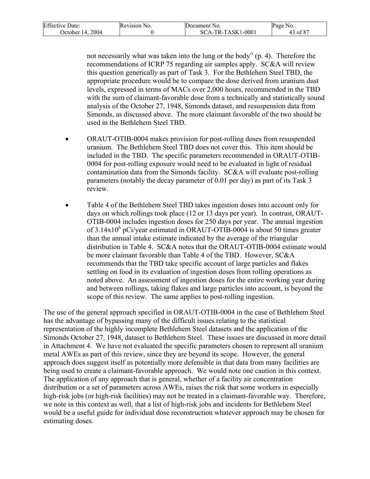| <b>Effective Date:</b> | Revision No. | Document No.        | Page No. |
|------------------------|--------------|---------------------|----------|
| October 14, 2004       |              | $SCA-TR-TASK1-0001$ | 3 of 87  |

not necessarily what was taken into the lung or the body" (p. 4). Therefore the recommendations of ICRP 75 regarding air samples apply. SC&A will review this question generically as part of Task 3. For the Bethlehem Steel TBD, the appropriate procedure would be to compare the dose derived from uranium dust levels, expressed in terms of MACs over 2,000 hours, recommended in the TBD with the sum of claimant-favorable dose from a technically and statistically sound analysis of the October 27, 1948, Simonds dataset, and resuspension data from Simonds, as discussed above. The more claimant favorable of the two should be used in the Bethlehem Steel TBD.

- ORAUT-OTIB-0004 makes provision for post-rolling doses from resuspended uranium. The Bethlehem Steel TBD does not cover this. This item should be included in the TBD. The specific parameters recommended in ORAUT-OTIB-0004 for post-rolling exposure would need to be evaluated in light of residual contamination data from the Simonds facility. SC&A will evaluate post-rolling parameters (notably the decay parameter of 0.01 per day) as part of its Task 3 review.
- Table 4 of the Bethlehem Steel TBD takes ingestion doses into account only for days on which rollings took place (12 or 13 days per year). In contrast, ORAUT-OTIB-0004 includes ingestion doses for 250 days per year. The annual ingestion of  $3.14 \times 10^6$  pCi/year estimated in ORAUT-OTIB-0004 is about 50 times greater than the annual intake estimate indicated by the average of the triangular distribution in Table 4. SC&A notes that the ORAUT-OTIB-0004 estimate would be more claimant favorable than Table 4 of the TBD. However, SC&A recommends that the TBD take specific account of large particles and flakes settling on food in its evaluation of ingestion doses from rolling operations as noted above. An assessment of ingestion doses for the entire working year during and between rollings, taking flakes and large particles into account, is beyond the scope of this review. The same applies to post-rolling ingestion.

The use of the general approach specified in ORAUT-OTIB-0004 in the case of Bethlehem Steel has the advantage of bypassing many of the difficult issues relating to the statistical representation of the highly incomplete Bethlehem Steel datasets and the application of the Simonds October 27, 1948, dataset to Bethlehem Steel. These issues are discussed in more detail in Attachment 4. We have not evaluated the specific parameters chosen to represent all uranium metal AWEs as part of this review, since they are beyond its scope. However, the general approach does suggest itself as potentially more defensible in that data from many facilities are being used to create a claimant-favorable approach. We would note one caution in this context. The application of any approach that is general, whether of a facility air concentration distribution or a set of parameters across AWEs, raises the risk that some workers in especially high-risk jobs (or high-risk facilities) may not be treated in a claimant-favorable way. Therefore, we note in this context as well, that a list of high-risk jobs and incidents for Bethlehem Steel would be a useful guide for individual dose reconstruction whatever approach may be chosen for estimating doses.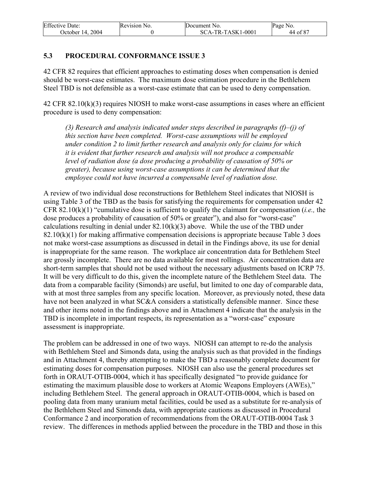| <b>Effective Date:</b> | Revision No. | Document No.        | Page No. |
|------------------------|--------------|---------------------|----------|
| October 14, 2004       |              | $SCA-TR-TASK1-0001$ | 44 of 87 |

### **5.3 PROCEDURAL CONFORMANCE ISSUE 3**

42 CFR 82 requires that efficient approaches to estimating doses when compensation is denied should be worst-case estimates. The maximum dose estimation procedure in the Bethlehem Steel TBD is not defensible as a worst-case estimate that can be used to deny compensation.

42 CFR 82.10(k)(3) requires NIOSH to make worst-case assumptions in cases where an efficient procedure is used to deny compensation:

*(3) Research and analysis indicated under steps described in paragraphs (f)–(j) of this section have been completed. Worst-case assumptions will be employed under condition 2 to limit further research and analysis only for claims for which it is evident that further research and analysis will not produce a compensable level of radiation dose (a dose producing a probability of causation of 50% or greater), because using worst-case assumptions it can be determined that the employee could not have incurred a compensable level of radiation dose.* 

A review of two individual dose reconstructions for Bethlehem Steel indicates that NIOSH is using Table 3 of the TBD as the basis for satisfying the requirements for compensation under 42 CFR 82.10(k)(1) "cumulative dose is sufficient to qualify the claimant for compensation (*i.e.,* the dose produces a probability of causation of 50% or greater"), and also for "worst-case" calculations resulting in denial under  $82.10(k)(3)$  above. While the use of the TBD under  $82.10(k)(1)$  for making affirmative compensation decisions is appropriate because Table 3 does not make worst-case assumptions as discussed in detail in the Findings above, its use for denial is inappropriate for the same reason. The workplace air concentration data for Bethlehem Steel are grossly incomplete. There are no data available for most rollings. Air concentration data are short-term samples that should not be used without the necessary adjustments based on ICRP 75. It will be very difficult to do this, given the incomplete nature of the Bethlehem Steel data. The data from a comparable facility (Simonds) are useful, but limited to one day of comparable data, with at most three samples from any specific location. Moreover, as previously noted, these data have not been analyzed in what SC&A considers a statistically defensible manner. Since these and other items noted in the findings above and in Attachment 4 indicate that the analysis in the TBD is incomplete in important respects, its representation as a "worst-case" exposure assessment is inappropriate.

The problem can be addressed in one of two ways. NIOSH can attempt to re-do the analysis with Bethlehem Steel and Simonds data, using the analysis such as that provided in the findings and in Attachment 4, thereby attempting to make the TBD a reasonably complete document for estimating doses for compensation purposes. NIOSH can also use the general procedures set forth in ORAUT-OTIB-0004, which it has specifically designated "to provide guidance for estimating the maximum plausible dose to workers at Atomic Weapons Employers (AWEs)," including Bethlehem Steel. The general approach in ORAUT-OTIB-0004, which is based on pooling data from many uranium metal facilities, could be used as a substitute for re-analysis of the Bethlehem Steel and Simonds data, with appropriate cautions as discussed in Procedural Conformance 2 and incorporation of recommendations from the ORAUT-OTIB-0004 Task 3 review. The differences in methods applied between the procedure in the TBD and those in this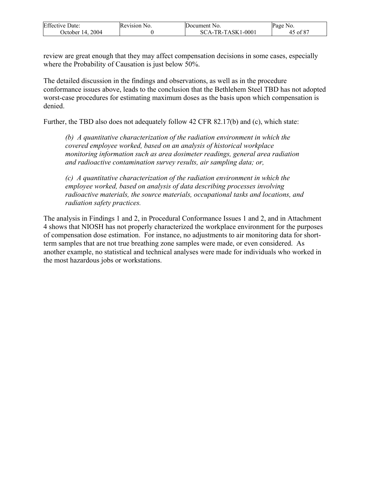| <b>Effective Date:</b> | Revision No. | Document No.      | Page No. |
|------------------------|--------------|-------------------|----------|
| 2004<br>Jctober 14.    |              | SCA-TR-TASK1-0001 | of 87 /  |

review are great enough that they may affect compensation decisions in some cases, especially where the Probability of Causation is just below 50%.

The detailed discussion in the findings and observations, as well as in the procedure conformance issues above, leads to the conclusion that the Bethlehem Steel TBD has not adopted worst-case procedures for estimating maximum doses as the basis upon which compensation is denied.

Further, the TBD also does not adequately follow 42 CFR 82.17(b) and (c), which state:

*(b) A quantitative characterization of the radiation environment in which the covered employee worked, based on an analysis of historical workplace monitoring information such as area dosimeter readings, general area radiation and radioactive contamination survey results, air sampling data; or,* 

*(c) A quantitative characterization of the radiation environment in which the employee worked, based on analysis of data describing processes involving radioactive materials, the source materials, occupational tasks and locations, and radiation safety practices.* 

The analysis in Findings 1 and 2, in Procedural Conformance Issues 1 and 2, and in Attachment 4 shows that NIOSH has not properly characterized the workplace environment for the purposes of compensation dose estimation. For instance, no adjustments to air monitoring data for shortterm samples that are not true breathing zone samples were made, or even considered. As another example, no statistical and technical analyses were made for individuals who worked in the most hazardous jobs or workstations.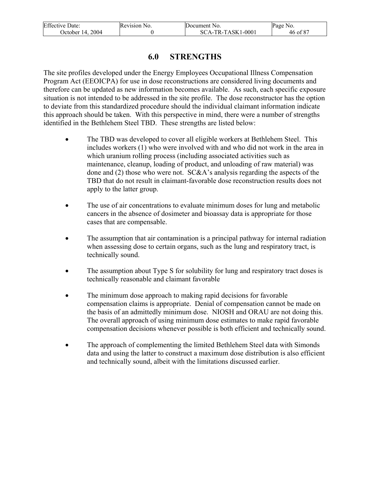| <b>Effective Date:</b> | Revision No. | Document No.      | Page No. |
|------------------------|--------------|-------------------|----------|
| October 14, 2004       |              | SCA-TR-TASK1-0001 | 46 of 87 |

## **6.0 STRENGTHS**

The site profiles developed under the Energy Employees Occupational Illness Compensation Program Act (EEOICPA) for use in dose reconstructions are considered living documents and therefore can be updated as new information becomes available. As such, each specific exposure situation is not intended to be addressed in the site profile. The dose reconstructor has the option to deviate from this standardized procedure should the individual claimant information indicate this approach should be taken. With this perspective in mind, there were a number of strengths identified in the Bethlehem Steel TBD. These strengths are listed below:

- The TBD was developed to cover all eligible workers at Bethlehem Steel. This includes workers (1) who were involved with and who did not work in the area in which uranium rolling process (including associated activities such as maintenance, cleanup, loading of product, and unloading of raw material) was done and (2) those who were not. SC&A's analysis regarding the aspects of the TBD that do not result in claimant-favorable dose reconstruction results does not apply to the latter group.
- The use of air concentrations to evaluate minimum doses for lung and metabolic cancers in the absence of dosimeter and bioassay data is appropriate for those cases that are compensable.
- The assumption that air contamination is a principal pathway for internal radiation when assessing dose to certain organs, such as the lung and respiratory tract, is technically sound.
- The assumption about Type S for solubility for lung and respiratory tract doses is technically reasonable and claimant favorable
- The minimum dose approach to making rapid decisions for favorable compensation claims is appropriate. Denial of compensation cannot be made on the basis of an admittedly minimum dose. NIOSH and ORAU are not doing this. The overall approach of using minimum dose estimates to make rapid favorable compensation decisions whenever possible is both efficient and technically sound.
- The approach of complementing the limited Bethlehem Steel data with Simonds data and using the latter to construct a maximum dose distribution is also efficient and technically sound, albeit with the limitations discussed earlier.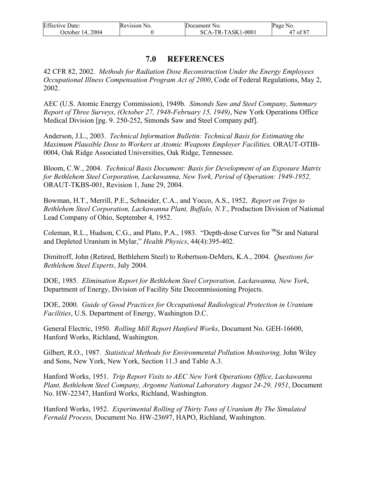| <b>Effective Date:</b> | Revision No. | Document No.      | Page No. |
|------------------------|--------------|-------------------|----------|
| October 14, 2004       |              | SCA-TR-TASK1-0001 | 47 of 87 |

## **7.0 REFERENCES**

42 CFR 82, 2002. *Methods for Radiation Dose Reconstruction Under the Energy Employees Occupational Illness Compensation Program Act of 2000*, Code of Federal Regulations, May 2, 2002.

AEC (U.S. Atomic Energy Commission), 1949b. *Simonds Saw and Steel Company, Summary Report of Three Surveys, (October 27, 1948-February 15, 1949)*, New York Operations Office Medical Division [pg. 9. 250-252, Simonds Saw and Steel Company.pdf].

Anderson, J.L., 2003. *Technical Information Bulletin: Technical Basis for Estimating the Maximum Plausible Dose to Workers at Atomic Weapons Employer Facilities,* ORAUT-OTIB-0004, Oak Ridge Associated Universities, Oak Ridge, Tennessee.

Bloom, C.W., 2004. *Technical Basis Document: Basis for Development of an Exposure Matrix for Bethlehem Steel Corporation, Lackawanna, New York, Period of Operation: 1949-1952,* ORAUT-TKBS-001, Revision 1, June 29, 2004.

Bowman, H.T., Merrill, P.E., Schneider, C.A., and Yocco, A.S., 1952. *Report on Trips to Bethlehem Steel Corporation, Lackawanna Plant, Buffalo, N.Y.*, Production Division of National Lead Company of Ohio, September 4, 1952.

Coleman, R.L., Hudson, C.G., and Plato, P.A., 1983. "Depth-dose Curves for <sup>90</sup>Sr and Natural and Depleted Uranium in Mylar," *Health Physics*, 44(4):395-402.

Dimitroff, John (Retired, Bethlehem Steel) to Robertson-DeMers, K.A., 2004. *Questions for Bethlehem Steel Experts*, July 2004.

DOE, 1985. *Elimination Report for Bethlehem Steel Corporation, Lackawanna, New York*, Department of Energy, Division of Facility Site Decommissioning Projects.

DOE, 2000. *Guide of Good Practices for Occupational Radiological Protection in Uranium Facilities*, U.S. Department of Energy, Washington D.C.

General Electric, 1950. *Rolling Mill Report Hanford Works*, Document No. GEH-16600, Hanford Works, Richland, Washington.

Gilbert, R.O., 1987. *Statistical Methods for Environmental Pollution Monitoring,* John Wiley and Sons, New York, New York, Section 11.3 and Table A.3.

Hanford Works, 1951. *Trip Report Visits to AEC New York Operations Office, Lackawanna Plant, Bethlehem Steel Company, Argonne National Laboratory August 24-29, 1951*, Document No. HW-22347, Hanford Works, Richland, Washington.

Hanford Works, 1952. *Experimental Rolling of Thirty Tons of Uranium By The Simulated Fernald Process,* Document No. HW-23697, HAPO, Richland, Washington.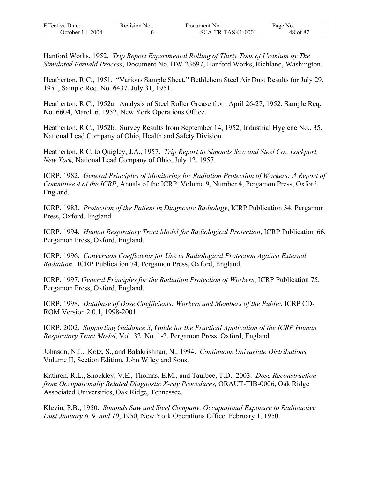| <b>Effective Date:</b> | Revision No. | Document No.      | Page No. |
|------------------------|--------------|-------------------|----------|
| October 14. 2004       |              | SCA-TR-TASK1-0001 | 48 of 87 |

Hanford Works, 1952. *Trip Report Experimental Rolling of Thirty Tons of Uranium by The Simulated Fernald Process*, Document No. HW-23697, Hanford Works, Richland, Washington.

Heatherton, R.C., 1951. "Various Sample Sheet," Bethlehem Steel Air Dust Results for July 29, 1951, Sample Req. No. 6437, July 31, 1951.

Heatherton, R.C., 1952a. Analysis of Steel Roller Grease from April 26-27, 1952, Sample Req. No. 6604, March 6, 1952, New York Operations Office.

Heatherton, R.C., 1952b. Survey Results from September 14, 1952, Industrial Hygiene No., 35, National Lead Company of Ohio, Health and Safety Division.

Heatherton, R.C. to Quigley, J.A., 1957. *Trip Report to Simonds Saw and Steel Co., Lockport, New York,* National Lead Company of Ohio, July 12, 1957.

ICRP, 1982. *General Principles of Monitoring for Radiation Protection of Workers: A Report of Committee 4 of the ICRP*, Annals of the ICRP, Volume 9, Number 4, Pergamon Press, Oxford, England.

ICRP, 1983. *Protection of the Patient in Diagnostic Radiology*, ICRP Publication 34, Pergamon Press, Oxford, England.

ICRP, 1994. *Human Respiratory Tract Model for Radiological Protection*, ICRP Publication 66, Pergamon Press, Oxford, England.

ICRP, 1996. *Conversion Coefficients for Use in Radiological Protection Against External Radiation*. ICRP Publication 74, Pergamon Press, Oxford, England.

ICRP, 1997. *General Principles for the Radiation Protection of Workers*, ICRP Publication 75, Pergamon Press, Oxford, England.

ICRP, 1998. *Database of Dose Coefficients: Workers and Members of the Public*, ICRP CD-ROM Version 2.0.1, 1998-2001.

ICRP, 2002. *Supporting Guidance 3, Guide for the Practical Application of the ICRP Human Respiratory Tract Model*, Vol. 32, No. 1-2, Pergamon Press, Oxford, England.

Johnson, N.L., Kotz, S., and Balakrishnan, N., 1994. *Continuous Univariate Distributions,*  Volume II, Section Edition, John Wiley and Sons.

Kathren, R.L., Shockley, V.E., Thomas, E.M., and Taulbee, T.D., 2003. *Dose Reconstruction from Occupationally Related Diagnostic X-ray Procedures,* ORAUT-TIB-0006, Oak Ridge Associated Universities, Oak Ridge, Tennessee.

Klevin, P.B., 1950. *Simonds Saw and Steel Company, Occupational Exposure to Radioactive Dust January 6, 9, and 10*, 1950, New York Operations Office, February 1, 1950.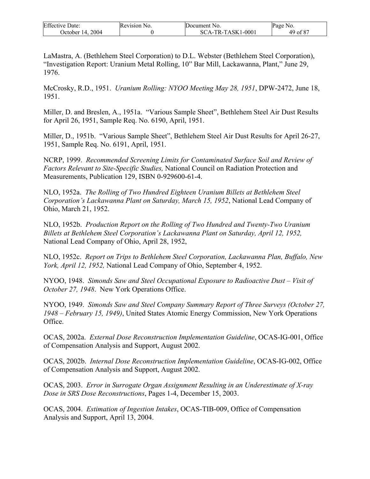| <b>Effective Date:</b> | Revision No. | Document No.      | Page No. |
|------------------------|--------------|-------------------|----------|
| 2004<br>October 14.    |              | SCA-TR-TASK1-0001 | 49 of 87 |

LaMastra, A. (Bethlehem Steel Corporation) to D.L. Webster (Bethlehem Steel Corporation), "Investigation Report: Uranium Metal Rolling, 10" Bar Mill, Lackawanna, Plant," June 29, 1976.

McCrosky, R.D., 1951. *Uranium Rolling: NYOO Meeting May 28, 1951*, DPW-2472, June 18, 1951.

Miller, D. and Breslen, A., 1951a. "Various Sample Sheet", Bethlehem Steel Air Dust Results for April 26, 1951, Sample Req. No. 6190, April, 1951.

Miller, D., 1951b. "Various Sample Sheet", Bethlehem Steel Air Dust Results for April 26-27, 1951, Sample Req. No. 6191, April, 1951.

NCRP, 1999. *Recommended Screening Limits for Contaminated Surface Soil and Review of Factors Relevant to Site-Specific Studies,* National Council on Radiation Protection and Measurements, Publication 129, ISBN 0-929600-61-4.

NLO, 1952a. *The Rolling of Two Hundred Eighteen Uranium Billets at Bethlehem Steel Corporation's Lackawanna Plant on Saturday, March 15, 1952*, National Lead Company of Ohio, March 21, 1952.

NLO, 1952b. *Production Report on the Rolling of Two Hundred and Twenty-Two Uranium Billets at Bethlehem Steel Corporation's Lackawanna Plant on Saturday, April 12, 1952,*  National Lead Company of Ohio, April 28, 1952,

NLO, 1952c. *Report on Trips to Bethlehem Steel Corporation, Lackawanna Plan, Buffalo, New York, April 12, 1952,* National Lead Company of Ohio, September 4, 1952.

NYOO, 1948. *Simonds Saw and Steel Occupational Exposure to Radioactive Dust – Visit of October 27, 1948*. New York Operations Office.

NYOO, 1949. *Simonds Saw and Steel Company Summary Report of Three Surveys (October 27, 1948 – February 15, 1949)*, United States Atomic Energy Commission, New York Operations Office.

OCAS, 2002a. *External Dose Reconstruction Implementation Guideline*, OCAS-IG-001, Office of Compensation Analysis and Support, August 2002.

OCAS, 2002b. *Internal Dose Reconstruction Implementation Guideline*, OCAS-IG-002, Office of Compensation Analysis and Support, August 2002.

OCAS, 2003. *Error in Surrogate Organ Assignment Resulting in an Underestimate of X-ray Dose in SRS Dose Reconstructions*, Pages 1-4, December 15, 2003.

OCAS, 2004. *Estimation of Ingestion Intakes*, OCAS-TIB-009, Office of Compensation Analysis and Support, April 13, 2004.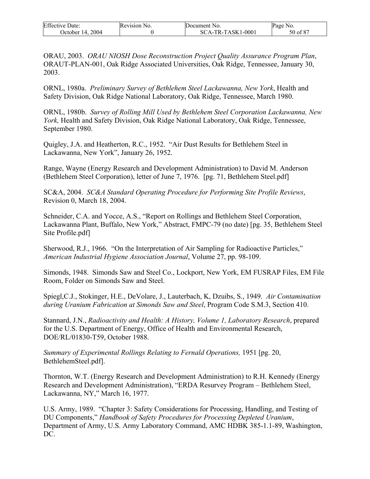| <b>Effective Date:</b> | Revision No. | Document No.      | Page No. |
|------------------------|--------------|-------------------|----------|
| October 14. 2004       |              | SCA-TR-TASK1-0001 | 50 of 87 |

ORAU, 2003. *ORAU NIOSH Dose Reconstruction Project Quality Assurance Program Plan*, ORAUT-PLAN-001, Oak Ridge Associated Universities, Oak Ridge, Tennessee, January 30, 2003.

ORNL, 1980a. *Preliminary Survey of Bethlehem Steel Lackawanna, New York*, Health and Safety Division, Oak Ridge National Laboratory, Oak Ridge, Tennessee, March 1980.

ORNL, 1980b. *Survey of Rolling Mill Used by Bethlehem Steel Corporation Lackawanna, New York,* Health and Safety Division, Oak Ridge National Laboratory, Oak Ridge, Tennessee, September 1980.

Quigley, J.A. and Heatherton, R.C., 1952. "Air Dust Results for Bethlehem Steel in Lackawanna, New York", January 26, 1952.

Range, Wayne (Energy Research and Development Administration) to David M. Anderson (Bethlehem Steel Corporation), letter of June 7, 1976. [pg. 71, Bethlehem Steel.pdf]

SC&A, 2004. *SC&A Standard Operating Procedure for Performing Site Profile Reviews*, Revision 0, March 18, 2004.

Schneider, C.A. and Yocce, A.S., "Report on Rollings and Bethlehem Steel Corporation, Lackawanna Plant, Buffalo, New York," Abstract, FMPC-79 (no date) [pg. 35, Bethlehem Steel Site Profile.pdf]

Sherwood, R.J., 1966. "On the Interpretation of Air Sampling for Radioactive Particles," *American Industrial Hygiene Association Journal*, Volume 27, pp. 98-109.

Simonds, 1948. Simonds Saw and Steel Co., Lockport, New York, EM FUSRAP Files, EM File Room, Folder on Simonds Saw and Steel.

Spiegl,C.J., Stokinger, H.E., DeVolare, J., Lauterbach, K, Dzuibs, S., 1949. *Air Contamination during Uranium Fabrication at Simonds Saw and Steel*, Program Code S.M.3, Section 410.

Stannard, J.N., *Radioactivity and Health: A History, Volume 1, Laboratory Research*, prepared for the U.S. Department of Energy, Office of Health and Environmental Research, DOE/RL/01830-T59, October 1988.

*Summary of Experimental Rollings Relating to Fernald Operations,* 1951 [pg. 20, BethlehemSteel.pdf].

Thornton, W.T. (Energy Research and Development Administration) to R.H. Kennedy (Energy Research and Development Administration), "ERDA Resurvey Program – Bethlehem Steel, Lackawanna, NY," March 16, 1977.

U.S. Army, 1989. "Chapter 3: Safety Considerations for Processing, Handling, and Testing of DU Components," *Handbook of Safety Procedures for Processing Depleted Uranium*, Department of Army, U.S. Army Laboratory Command, AMC HDBK 385-1.1-89, Washington, DC.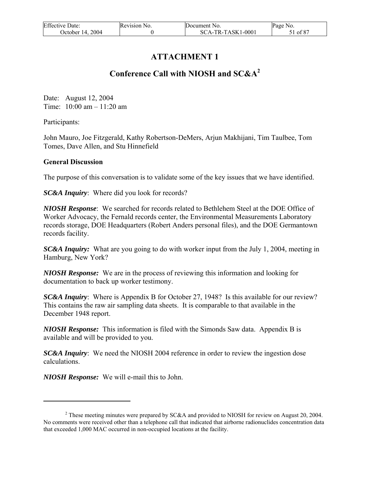| <b>Effective Date:</b> | Revision No. | Document No.      | Page No. |
|------------------------|--------------|-------------------|----------|
| October 14, 2004       |              | SCA-TR-TASK1-0001 | 51 of 87 |

# **ATTACHMENT 1**

# **Conference Call with NIOSH and SC&A<sup>2</sup>**

Date: August 12, 2004 Time: 10:00 am – 11:20 am

Participants:

 $\overline{a}$ 

John Mauro, Joe Fitzgerald, Kathy Robertson-DeMers, Arjun Makhijani, Tim Taulbee, Tom Tomes, Dave Allen, and Stu Hinnefield

#### **General Discussion**

The purpose of this conversation is to validate some of the key issues that we have identified.

*SC&A Inquiry*: Where did you look for records?

*NIOSH Response*: We searched for records related to Bethlehem Steel at the DOE Office of Worker Advocacy, the Fernald records center, the Environmental Measurements Laboratory records storage, DOE Headquarters (Robert Anders personal files), and the DOE Germantown records facility.

*SC&A Inquiry:* What are you going to do with worker input from the July 1, 2004, meeting in Hamburg, New York?

*NIOSH Response:* We are in the process of reviewing this information and looking for documentation to back up worker testimony.

*SC&A Inquiry*: Where is Appendix B for October 27, 1948? Is this available for our review? This contains the raw air sampling data sheets. It is comparable to that available in the December 1948 report.

*NIOSH Response:* This information is filed with the Simonds Saw data. Appendix B is available and will be provided to you.

*SC&A Inquiry*: We need the NIOSH 2004 reference in order to review the ingestion dose calculations.

*NIOSH Response:* We will e-mail this to John.

<sup>&</sup>lt;sup>2</sup> These meeting minutes were prepared by SC&A and provided to NIOSH for review on August 20, 2004. No comments were received other than a telephone call that indicated that airborne radionuclides concentration data that exceeded 1,000 MAC occurred in non-occupied locations at the facility.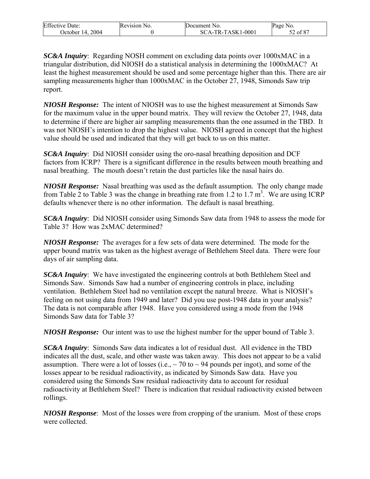| <b>Effective Date:</b> | Revision<br>NO. | Document No.      | Page No. |
|------------------------|-----------------|-------------------|----------|
| 2004<br>Jetober 14.    |                 | SCA-TR-TASK1-0001 | . of 87  |

*SC&A Inquiry*: Regarding NOSH comment on excluding data points over 1000xMAC in a triangular distribution, did NIOSH do a statistical analysis in determining the 1000xMAC? At least the highest measurement should be used and some percentage higher than this. There are air sampling measurements higher than 1000xMAC in the October 27, 1948, Simonds Saw trip report.

*NIOSH Response:* The intent of NIOSH was to use the highest measurement at Simonds Saw for the maximum value in the upper bound matrix. They will review the October 27, 1948, data to determine if there are higher air sampling measurements than the one assumed in the TBD. It was not NIOSH's intention to drop the highest value. NIOSH agreed in concept that the highest value should be used and indicated that they will get back to us on this matter.

*SC&A Inquiry*: Did NIOSH consider using the oro-nasal breathing deposition and DCF factors from ICRP? There is a significant difference in the results between mouth breathing and nasal breathing. The mouth doesn't retain the dust particles like the nasal hairs do.

*NIOSH Response:* Nasal breathing was used as the default assumption. The only change made from Table 2 to Table 3 was the change in breathing rate from 1.2 to 1.7  $m^3$ . We are using ICRP defaults whenever there is no other information. The default is nasal breathing.

*SC&A Inquiry*: Did NIOSH consider using Simonds Saw data from 1948 to assess the mode for Table 3? How was 2xMAC determined?

*NIOSH Response:* The averages for a few sets of data were determined. The mode for the upper bound matrix was taken as the highest average of Bethlehem Steel data. There were four days of air sampling data.

*SC&A Inquiry*: We have investigated the engineering controls at both Bethlehem Steel and Simonds Saw. Simonds Saw had a number of engineering controls in place, including ventilation. Bethlehem Steel had no ventilation except the natural breeze. What is NIOSH's feeling on not using data from 1949 and later? Did you use post-1948 data in your analysis? The data is not comparable after 1948. Have you considered using a mode from the 1948 Simonds Saw data for Table 3?

*NIOSH Response:* Our intent was to use the highest number for the upper bound of Table 3.

*SC&A Inquiry*: Simonds Saw data indicates a lot of residual dust. All evidence in the TBD indicates all the dust, scale, and other waste was taken away. This does not appear to be a valid assumption. There were a lot of losses (i.e.,  $\sim$  70 to  $\sim$  94 pounds per ingot), and some of the losses appear to be residual radioactivity, as indicated by Simonds Saw data. Have you considered using the Simonds Saw residual radioactivity data to account for residual radioactivity at Bethlehem Steel? There is indication that residual radioactivity existed between rollings.

*NIOSH Response*: Most of the losses were from cropping of the uranium. Most of these crops were collected.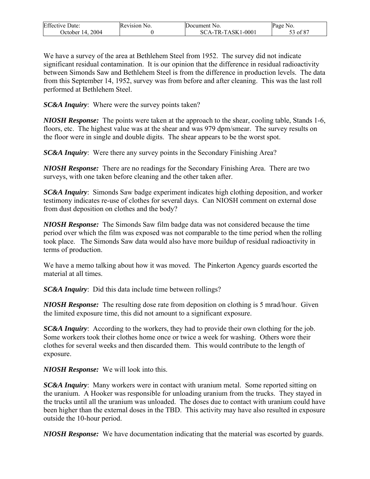| <b>Effective Date:</b> | Revision No. | Document No.      | Page No.     |
|------------------------|--------------|-------------------|--------------|
| 2004<br>October 14.    |              | SCA-TR-TASK1-0001 | $53$ of $87$ |

We have a survey of the area at Bethlehem Steel from 1952. The survey did not indicate significant residual contamination. It is our opinion that the difference in residual radioactivity between Simonds Saw and Bethlehem Steel is from the difference in production levels. The data from this September 14, 1952, survey was from before and after cleaning. This was the last roll performed at Bethlehem Steel.

*SC&A Inquiry*: Where were the survey points taken?

*NIOSH Response:* The points were taken at the approach to the shear, cooling table, Stands 1-6, floors, etc. The highest value was at the shear and was 979 dpm/smear. The survey results on the floor were in single and double digits. The shear appears to be the worst spot.

*SC&A Inquiry*: Were there any survey points in the Secondary Finishing Area?

*NIOSH Response:* There are no readings for the Secondary Finishing Area. There are two surveys, with one taken before cleaning and the other taken after.

*SC&A Inquiry*: Simonds Saw badge experiment indicates high clothing deposition, and worker testimony indicates re-use of clothes for several days. Can NIOSH comment on external dose from dust deposition on clothes and the body?

*NIOSH Response:* The Simonds Saw film badge data was not considered because the time period over which the film was exposed was not comparable to the time period when the rolling took place. The Simonds Saw data would also have more buildup of residual radioactivity in terms of production.

We have a memo talking about how it was moved. The Pinkerton Agency guards escorted the material at all times.

*SC&A Inquiry*: Did this data include time between rollings?

*NIOSH Response:* The resulting dose rate from deposition on clothing is 5 mrad/hour. Given the limited exposure time, this did not amount to a significant exposure.

*SC&A Inquiry*: According to the workers, they had to provide their own clothing for the job. Some workers took their clothes home once or twice a week for washing. Others wore their clothes for several weeks and then discarded them. This would contribute to the length of exposure.

*NIOSH Response:* We will look into this.

*SC&A Inquiry*: Many workers were in contact with uranium metal. Some reported sitting on the uranium. A Hooker was responsible for unloading uranium from the trucks. They stayed in the trucks until all the uranium was unloaded. The doses due to contact with uranium could have been higher than the external doses in the TBD. This activity may have also resulted in exposure outside the 10-hour period.

*NIOSH Response:* We have documentation indicating that the material was escorted by guards.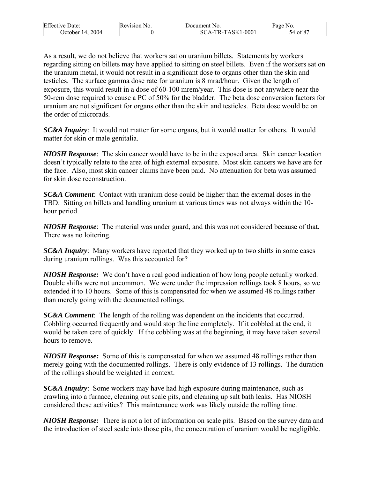| <b>Effective Date:</b> | Revision No. | Document No.      | Page No. |
|------------------------|--------------|-------------------|----------|
| 2004<br>October 14.    |              | SCA-TR-TASK1-0001 | 54 of 87 |

As a result, we do not believe that workers sat on uranium billets. Statements by workers regarding sitting on billets may have applied to sitting on steel billets. Even if the workers sat on the uranium metal, it would not result in a significant dose to organs other than the skin and testicles. The surface gamma dose rate for uranium is 8 mrad/hour. Given the length of exposure, this would result in a dose of 60-100 mrem/year. This dose is not anywhere near the 50-rem dose required to cause a PC of 50% for the bladder. The beta dose conversion factors for uranium are not significant for organs other than the skin and testicles. Beta dose would be on the order of microrads.

*SC&A Inquiry*: It would not matter for some organs, but it would matter for others. It would matter for skin or male genitalia.

*NIOSH Response*: The skin cancer would have to be in the exposed area. Skin cancer location doesn't typically relate to the area of high external exposure. Most skin cancers we have are for the face. Also, most skin cancer claims have been paid. No attenuation for beta was assumed for skin dose reconstruction.

*SC&A Comment*: Contact with uranium dose could be higher than the external doses in the TBD. Sitting on billets and handling uranium at various times was not always within the 10 hour period.

*NIOSH Response*: The material was under guard, and this was not considered because of that. There was no loitering.

*SC&A Inquiry*: Many workers have reported that they worked up to two shifts in some cases during uranium rollings. Was this accounted for?

*NIOSH Response:* We don't have a real good indication of how long people actually worked. Double shifts were not uncommon. We were under the impression rollings took 8 hours, so we extended it to 10 hours. Some of this is compensated for when we assumed 48 rollings rather than merely going with the documented rollings.

*SC&A Comment*: The length of the rolling was dependent on the incidents that occurred. Cobbling occurred frequently and would stop the line completely. If it cobbled at the end, it would be taken care of quickly. If the cobbling was at the beginning, it may have taken several hours to remove.

*NIOSH Response:* Some of this is compensated for when we assumed 48 rollings rather than merely going with the documented rollings. There is only evidence of 13 rollings. The duration of the rollings should be weighted in context.

*SC&A Inquiry*: Some workers may have had high exposure during maintenance, such as crawling into a furnace, cleaning out scale pits, and cleaning up salt bath leaks. Has NIOSH considered these activities? This maintenance work was likely outside the rolling time.

*NIOSH Response:* There is not a lot of information on scale pits. Based on the survey data and the introduction of steel scale into those pits, the concentration of uranium would be negligible.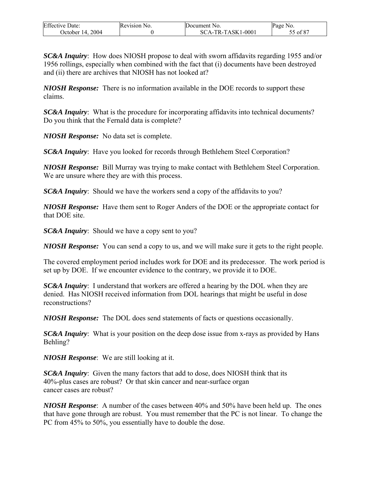| <b>Effective Date:</b> | Revision No. | Document No.      | Page No. |
|------------------------|--------------|-------------------|----------|
| 2004<br>October $14.$  |              | SCA-TR-TASK1-0001 | 55 of 87 |

*SC&A Inquiry*: How does NIOSH propose to deal with sworn affidavits regarding 1955 and/or 1956 rollings, especially when combined with the fact that (i) documents have been destroyed and (ii) there are archives that NIOSH has not looked at?

*NIOSH Response:* There is no information available in the DOE records to support these claims.

*SC&A Inquiry*: What is the procedure for incorporating affidavits into technical documents? Do you think that the Fernald data is complete?

*NIOSH Response:* No data set is complete.

*SC&A Inquiry*: Have you looked for records through Bethlehem Steel Corporation?

*NIOSH Response:* Bill Murray was trying to make contact with Bethlehem Steel Corporation. We are unsure where they are with this process.

*SC&A Inquiry*: Should we have the workers send a copy of the affidavits to you?

*NIOSH Response:* Have them sent to Roger Anders of the DOE or the appropriate contact for that DOE site.

*SC&A Inquiry*: Should we have a copy sent to you?

*NIOSH Response:* You can send a copy to us, and we will make sure it gets to the right people.

The covered employment period includes work for DOE and its predecessor. The work period is set up by DOE. If we encounter evidence to the contrary, we provide it to DOE.

*SC&A Inquiry*: I understand that workers are offered a hearing by the DOL when they are denied. Has NIOSH received information from DOL hearings that might be useful in dose reconstructions?

*NIOSH Response:* The DOL does send statements of facts or questions occasionally.

*SC&A Inquiry*: What is your position on the deep dose issue from x-rays as provided by Hans Behling?

*NIOSH Response*: We are still looking at it.

*SC&A Inquiry*: Given the many factors that add to dose, does NIOSH think that its 40%-plus cases are robust? Or that skin cancer and near-surface organ cancer cases are robust?

*NIOSH Response*: A number of the cases between 40% and 50% have been held up. The ones that have gone through are robust. You must remember that the PC is not linear. To change the PC from 45% to 50%, you essentially have to double the dose.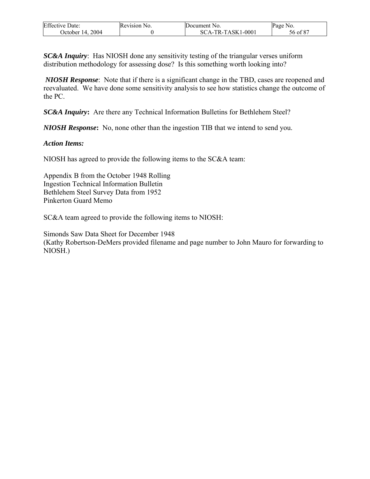| <b>Effective Date:</b> | Revision No. | Document No.        | Page No. |
|------------------------|--------------|---------------------|----------|
| October 14, 2004       |              | $SCA-TR-TASK1-0001$ | 56 of 87 |

*SC&A Inquiry*: Has NIOSH done any sensitivity testing of the triangular verses uniform distribution methodology for assessing dose? Is this something worth looking into?

*NIOSH Response*: Note that if there is a significant change in the TBD, cases are reopened and reevaluated. We have done some sensitivity analysis to see how statistics change the outcome of the PC.

*SC&A Inquiry***:** Are there any Technical Information Bulletins for Bethlehem Steel?

*NIOSH Response***:** No, none other than the ingestion TIB that we intend to send you.

#### *Action Items:*

NIOSH has agreed to provide the following items to the SC&A team:

Appendix B from the October 1948 Rolling Ingestion Technical Information Bulletin Bethlehem Steel Survey Data from 1952 Pinkerton Guard Memo

SC&A team agreed to provide the following items to NIOSH:

Simonds Saw Data Sheet for December 1948 (Kathy Robertson-DeMers provided filename and page number to John Mauro for forwarding to NIOSH.)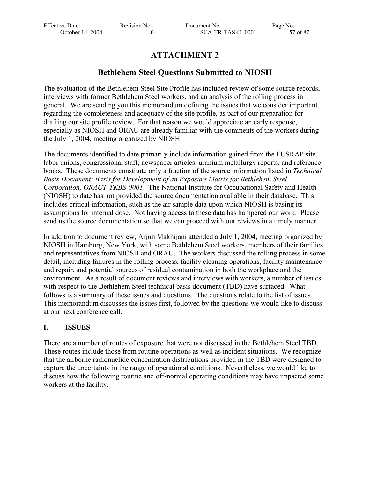| <b>Effective Date:</b> | Revision No. | Document No.        | Page No. |
|------------------------|--------------|---------------------|----------|
| October 14, 2004       |              | $SCA-TR-TASK1-0001$ | of 87    |

# **ATTACHMENT 2**

# **Bethlehem Steel Questions Submitted to NIOSH**

The evaluation of the Bethlehem Steel Site Profile has included review of some source records, interviews with former Bethlehem Steel workers, and an analysis of the rolling process in general. We are sending you this memorandum defining the issues that we consider important regarding the completeness and adequacy of the site profile, as part of our preparation for drafting our site profile review. For that reason we would appreciate an early response, especially as NIOSH and ORAU are already familiar with the comments of the workers during the July 1, 2004, meeting organized by NIOSH.

The documents identified to date primarily include information gained from the FUSRAP site, labor unions, congressional staff, newspaper articles, uranium metallurgy reports, and reference books. These documents constitute only a fraction of the source information listed in *Technical Basis Document: Basis for Development of an Exposure Matrix for Bethlehem Steel Corporation, ORAUT-TKBS-0001*. The National Institute for Occupational Safety and Health (NIOSH) to date has not provided the source documentation available in their database. This includes critical information, such as the air sample data upon which NIOSH is basing its assumptions for internal dose. Not having access to these data has hampered our work. Please send us the source documentation so that we can proceed with our reviews in a timely manner.

In addition to document review, Arjun Makhijani attended a July 1, 2004, meeting organized by NIOSH in Hamburg, New York, with some Bethlehem Steel workers, members of their families, and representatives from NIOSH and ORAU. The workers discussed the rolling process in some detail, including failures in the rolling process, facility cleaning operations, facility maintenance and repair, and potential sources of residual contamination in both the workplace and the environment. As a result of document reviews and interviews with workers, a number of issues with respect to the Bethlehem Steel technical basis document (TBD) have surfaced. What follows is a summary of these issues and questions. The questions relate to the list of issues. This memorandum discusses the issues first, followed by the questions we would like to discuss at our next conference call.

### **I. ISSUES**

There are a number of routes of exposure that were not discussed in the Bethlehem Steel TBD. These routes include those from routine operations as well as incident situations. We recognize that the airborne radionuclide concentration distributions provided in the TBD were designed to capture the uncertainty in the range of operational conditions. Nevertheless, we would like to discuss how the following routine and off-normal operating conditions may have impacted some workers at the facility.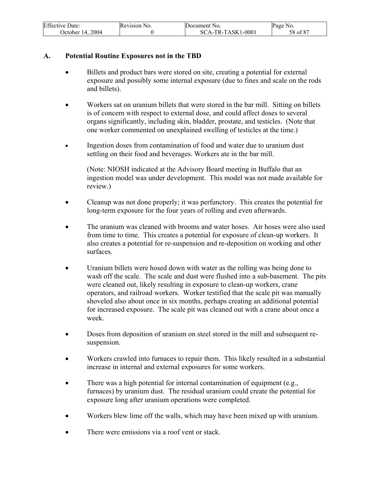| <b>Effective Date:</b> | Revision No. | Document No.        | Page No. |
|------------------------|--------------|---------------------|----------|
| October 14, 2004       |              | $SCA-TR-TASK1-0001$ | 58 of 87 |

#### **A. Potential Routine Exposures not in the TBD**

- Billets and product bars were stored on site, creating a potential for external exposure and possibly some internal exposure (due to fines and scale on the rods and billets).
- Workers sat on uranium billets that were stored in the bar mill. Sitting on billets is of concern with respect to external dose, and could affect doses to several organs significantly, including skin, bladder, prostate, and testicles. (Note that one worker commented on unexplained swelling of testicles at the time.)
- Ingestion doses from contamination of food and water due to uranium dust settling on their food and beverages. Workers ate in the bar mill.

(Note: NIOSH indicated at the Advisory Board meeting in Buffalo that an ingestion model was under development. This model was not made available for review.)

- Cleanup was not done properly; it was perfunctory. This creates the potential for long-term exposure for the four years of rolling and even afterwards.
- The uranium was cleaned with brooms and water hoses. Air hoses were also used from time to time. This creates a potential for exposure of clean-up workers. It also creates a potential for re-suspension and re-deposition on working and other surfaces.
- Uranium billets were hosed down with water as the rolling was being done to wash off the scale. The scale and dust were flushed into a sub-basement. The pits were cleaned out, likely resulting in exposure to clean-up workers, crane operators, and railroad workers. Worker testified that the scale pit was manually shoveled also about once in six months, perhaps creating an additional potential for increased exposure. The scale pit was cleaned out with a crane about once a week.
- Doses from deposition of uranium on steel stored in the mill and subsequent resuspension.
- Workers crawled into furnaces to repair them. This likely resulted in a substantial increase in internal and external exposures for some workers.
- There was a high potential for internal contamination of equipment (e.g., furnaces) by uranium dust. The residual uranium could create the potential for exposure long after uranium operations were completed.
- Workers blew lime off the walls, which may have been mixed up with uranium.
- There were emissions via a roof vent or stack.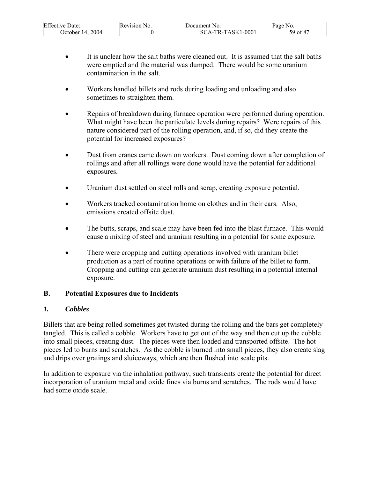| <b>Effective Date:</b> | Revision No. | Document No.      | Page No.             |
|------------------------|--------------|-------------------|----------------------|
| 2004<br>October 14.    |              | SCA-TR-TASK1-0001 | 59 of 8 <sup>7</sup> |

- It is unclear how the salt baths were cleaned out. It is assumed that the salt baths were emptied and the material was dumped. There would be some uranium contamination in the salt.
- Workers handled billets and rods during loading and unloading and also sometimes to straighten them.
- Repairs of breakdown during furnace operation were performed during operation. What might have been the particulate levels during repairs? Were repairs of this nature considered part of the rolling operation, and, if so, did they create the potential for increased exposures?
- Dust from cranes came down on workers. Dust coming down after completion of rollings and after all rollings were done would have the potential for additional exposures.
- Uranium dust settled on steel rolls and scrap, creating exposure potential.
- Workers tracked contamination home on clothes and in their cars. Also, emissions created offsite dust.
- The butts, scraps, and scale may have been fed into the blast furnace. This would cause a mixing of steel and uranium resulting in a potential for some exposure.
- There were cropping and cutting operations involved with uranium billet production as a part of routine operations or with failure of the billet to form. Cropping and cutting can generate uranium dust resulting in a potential internal exposure.

### **B. Potential Exposures due to Incidents**

### *1. Cobbles*

Billets that are being rolled sometimes get twisted during the rolling and the bars get completely tangled. This is called a cobble. Workers have to get out of the way and then cut up the cobble into small pieces, creating dust. The pieces were then loaded and transported offsite. The hot pieces led to burns and scratches. As the cobble is burned into small pieces, they also create slag and drips over gratings and sluiceways, which are then flushed into scale pits.

In addition to exposure via the inhalation pathway, such transients create the potential for direct incorporation of uranium metal and oxide fines via burns and scratches. The rods would have had some oxide scale.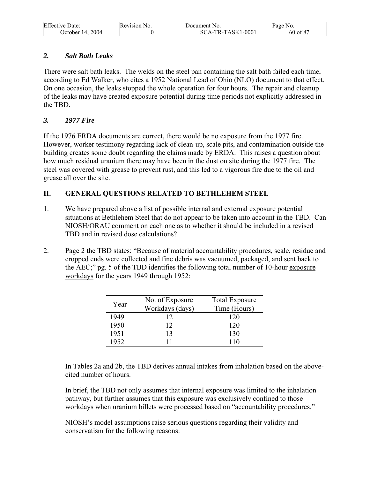| <b>Effective Date:</b> | Revision No. | Document No.      | Page No. |
|------------------------|--------------|-------------------|----------|
| 2004<br>October $14.$  |              | SCA-TR-TASK1-0001 | 60 of 87 |

### *2. Salt Bath Leaks*

There were salt bath leaks. The welds on the steel pan containing the salt bath failed each time, according to Ed Walker, who cites a 1952 National Lead of Ohio (NLO) document to that effect. On one occasion, the leaks stopped the whole operation for four hours. The repair and cleanup of the leaks may have created exposure potential during time periods not explicitly addressed in the TBD.

## *3. 1977 Fire*

If the 1976 ERDA documents are correct, there would be no exposure from the 1977 fire. However, worker testimony regarding lack of clean-up, scale pits, and contamination outside the building creates some doubt regarding the claims made by ERDA. This raises a question about how much residual uranium there may have been in the dust on site during the 1977 fire. The steel was covered with grease to prevent rust, and this led to a vigorous fire due to the oil and grease all over the site.

## **II. GENERAL QUESTIONS RELATED TO BETHLEHEM STEEL**

- 1. We have prepared above a list of possible internal and external exposure potential situations at Bethlehem Steel that do not appear to be taken into account in the TBD. Can NIOSH/ORAU comment on each one as to whether it should be included in a revised TBD and in revised dose calculations?
- 2. Page 2 the TBD states: "Because of material accountability procedures, scale, residue and cropped ends were collected and fine debris was vacuumed, packaged, and sent back to the AEC;" pg. 5 of the TBD identifies the following total number of 10-hour exposure workdays for the years 1949 through 1952:

| Year | No. of Exposure<br>Workdays (days) | <b>Total Exposure</b><br>Time (Hours) |
|------|------------------------------------|---------------------------------------|
| 1949 | 12                                 | 120                                   |
| 1950 | 12                                 | 120                                   |
| 1951 | 13                                 | 130                                   |
| 1952 |                                    | 110                                   |

In Tables 2a and 2b, the TBD derives annual intakes from inhalation based on the abovecited number of hours.

In brief, the TBD not only assumes that internal exposure was limited to the inhalation pathway, but further assumes that this exposure was exclusively confined to those workdays when uranium billets were processed based on "accountability procedures."

NIOSH's model assumptions raise serious questions regarding their validity and conservatism for the following reasons: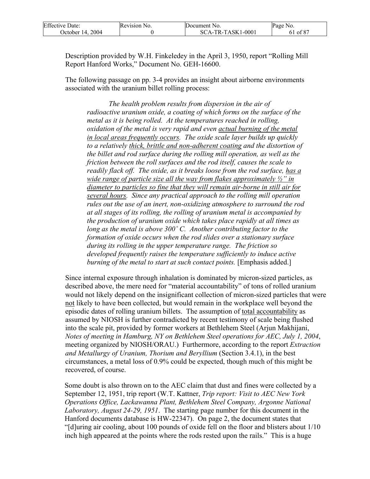| <b>Effective Date:</b> | Revision No. | Document No.        | Page No. |
|------------------------|--------------|---------------------|----------|
| October 14, 2004       |              | $SCA-TR-TASK1-0001$ | 61 of 87 |

Description provided by W.H. Finkeledey in the April 3, 1950, report "Rolling Mill Report Hanford Works," Document No. GEH-16600.

The following passage on pp. 3-4 provides an insight about airborne environments associated with the uranium billet rolling process:

 *The health problem results from dispersion in the air of radioactive uranium oxide, a coating of which forms on the surface of the metal as it is being rolled. At the temperatures reached in rolling, oxidation of the metal is very rapid and even actual burning of the metal in local areas frequently occurs. The oxide scale layer builds up quickly to a relatively thick, brittle and non-adherent coating and the distortion of the billet and rod surface during the rolling mill operation, as well as the friction between the roll surfaces and the rod itself, causes the scale to readily flack off. The oxide, as it breaks loose from the rod surface, has a wide range of particle size all the way from flakes approximately ½" in diameter to particles so fine that they will remain air-borne in still air for several hours. Since any practical approach to the rolling mill operation rules out the use of an inert, non-oxidizing atmosphere to surround the rod at all stages of its rolling, the rolling of uranium metal is accompanied by the production of uranium oxide which takes place rapidly at all times as long as the metal is above 300˚ C. Another contributing factor to the formation of oxide occurs when the rod slides over a stationary surface during its rolling in the upper temperature range. The friction so developed frequently raises the temperature sufficiently to induce active burning of the metal to start at such contact points.* [Emphasis added.]

Since internal exposure through inhalation is dominated by micron-sized particles, as described above, the mere need for "material accountability" of tons of rolled uranium would not likely depend on the insignificant collection of micron-sized particles that were not likely to have been collected, but would remain in the workplace well beyond the episodic dates of rolling uranium billets. The assumption of total accountability as assumed by NIOSH is further contradicted by recent testimony of scale being flushed into the scale pit, provided by former workers at Bethlehem Steel (Arjun Makhijani, *Notes of meeting in Hamburg, NY on Bethlehem Steel operations for AEC, July 1, 2004*, meeting organized by NIOSH/ORAU.) Furthermore, according to the report *Extraction and Metallurgy of Uranium, Thorium and Beryllium* (Section 3.4.1), in the best circumstances, a metal loss of 0.9% could be expected, though much of this might be recovered, of course.

Some doubt is also thrown on to the AEC claim that dust and fines were collected by a September 12, 1951, trip report (W.T. Kattner, *Trip report: Visit to AEC New York Operations Office, Lackawanna Plant, Bethlehem Steel Company, Argonne National Laboratory, August 24-29, 1951*. The starting page number for this document in the Hanford documents database is HW-22347). On page 2, the document states that "[d]uring air cooling, about 100 pounds of oxide fell on the floor and blisters about 1/10 inch high appeared at the points where the rods rested upon the rails." This is a huge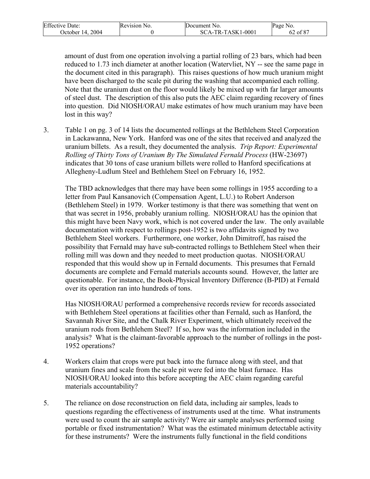| <b>Effective Date:</b> | Revision No. | <b>IDocument</b> No.             | Page No.           |
|------------------------|--------------|----------------------------------|--------------------|
| 2004<br>October 14.    |              | $1 - 0001$<br>`A-TR-TASK1<br>SC. | . ലാ<br>ot 8<br>ΟŹ |

amount of dust from one operation involving a partial rolling of 23 bars, which had been reduced to 1.73 inch diameter at another location (Watervliet, NY -- see the same page in the document cited in this paragraph). This raises questions of how much uranium might have been discharged to the scale pit during the washing that accompanied each rolling. Note that the uranium dust on the floor would likely be mixed up with far larger amounts of steel dust. The description of this also puts the AEC claim regarding recovery of fines into question. Did NIOSH/ORAU make estimates of how much uranium may have been lost in this way?

3. Table 1 on pg. 3 of 14 lists the documented rollings at the Bethlehem Steel Corporation in Lackawanna, New York. Hanford was one of the sites that received and analyzed the uranium billets. As a result, they documented the analysis. *Trip Report: Experimental Rolling of Thirty Tons of Uranium By The Simulated Fernald Process* (HW-23697) indicates that 30 tons of case uranium billets were rolled to Hanford specifications at Allegheny-Ludlum Steel and Bethlehem Steel on February 16, 1952.

The TBD acknowledges that there may have been some rollings in 1955 according to a letter from Paul Kansanovich (Compensation Agent, L.U.) to Robert Anderson (Bethlehem Steel) in 1979. Worker testimony is that there was something that went on that was secret in 1956, probably uranium rolling. NIOSH/ORAU has the opinion that this might have been Navy work, which is not covered under the law. The only available documentation with respect to rollings post-1952 is two affidavits signed by two Bethlehem Steel workers. Furthermore, one worker, John Dimitroff, has raised the possibility that Fernald may have sub-contracted rollings to Bethlehem Steel when their rolling mill was down and they needed to meet production quotas. NIOSH/ORAU responded that this would show up in Fernald documents. This presumes that Fernald documents are complete and Fernald materials accounts sound. However, the latter are questionable. For instance, the Book-Physical Inventory Difference (B-PID) at Fernald over its operation ran into hundreds of tons.

Has NIOSH/ORAU performed a comprehensive records review for records associated with Bethlehem Steel operations at facilities other than Fernald, such as Hanford, the Savannah River Site, and the Chalk River Experiment, which ultimately received the uranium rods from Bethlehem Steel? If so, how was the information included in the analysis? What is the claimant-favorable approach to the number of rollings in the post-1952 operations?

- 4. Workers claim that crops were put back into the furnace along with steel, and that uranium fines and scale from the scale pit were fed into the blast furnace. Has NIOSH/ORAU looked into this before accepting the AEC claim regarding careful materials accountability?
- 5. The reliance on dose reconstruction on field data, including air samples, leads to questions regarding the effectiveness of instruments used at the time. What instruments were used to count the air sample activity? Were air sample analyses performed using portable or fixed instrumentation? What was the estimated minimum detectable activity for these instruments? Were the instruments fully functional in the field conditions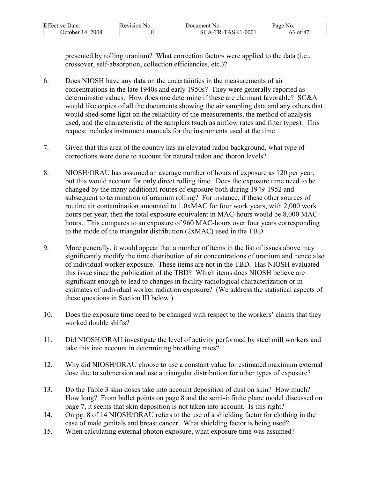| <b>Effective Date:</b> | Revision No. | Document No.      | Page No.      |
|------------------------|--------------|-------------------|---------------|
| 2004<br>Jctober 14.    |              | SCA-TR-TASK1-0001 | $\cdot$ of 87 |

presented by rolling uranium? What correction factors were applied to the data (i.e., crossover, self-absorption, collection efficiencies, etc.)?

- 6. Does NIOSH have any data on the uncertainties in the measurements of air concentrations in the late 1940s and early 1950s? They were generally reported as deterministic values. How does one determine if these are claimant favorable? SC&A would like copies of all the documents showing the air sampling data and any others that would shed some light on the reliability of the measurements, the method of analysis used, and the characteristic of the samplers (such as airflow rates and filter types). This request includes instrument manuals for the instruments used at the time.
- 7. Given that this area of the country has an elevated radon background, what type of corrections were done to account for natural radon and thoron levels?
- 8. NIOSH/ORAU has assumed an average number of hours of exposure as 120 per year, but this would account for only direct rolling time. Does the exposure time need to be changed by the many additional routes of exposure both during 1949-1952 and subsequent to termination of uranium rolling? For instance, if these other sources of routine air contamination amounted to 1.0xMAC for four work years, with 2,000 work hours per year, then the total exposure equivalent in MAC-hours would be 8,000 MAChours. This compares to an exposure of 960 MAC-hours over four years corresponding to the mode of the triangular distribution (2xMAC) used in the TBD.
- 9. More generally, it would appear that a number of items in the list of issues above may significantly modify the time distribution of air concentrations of uranium and hence also of individual worker exposure. These items are not in the TBD. Has NIOSH evaluated this issue since the publication of the TBD? Which items does NIOSH believe are significant enough to lead to changes in facility radiological characterization or in estimates of individual worker radiation exposure? (We address the statistical aspects of these questions in Section III below.)
- 10. Does the exposure time need to be changed with respect to the workers' claims that they worked double shifts?
- 11. Did NIOSH/ORAU investigate the level of activity performed by steel mill workers and take this into account in determining breathing rates?
- 12. Why did NIOSH/ORAU choose to use a constant value for estimated maximum external dose due to submersion and use a triangular distribution for other types of exposure?
- 13. Do the Table 3 skin doses take into account deposition of dust on skin? How much? How long? From bullet points on page 8 and the semi-infinite plane model discussed on page 7, it seems that skin deposition is not taken into account. Is this right?
- 14. On pg. 8 of 14 NIOSH/ORAU refers to the use of a shielding factor for clothing in the case of male genitals and breast cancer. What shielding factor is being used?
- 15. When calculating external photon exposure, what exposure time was assumed?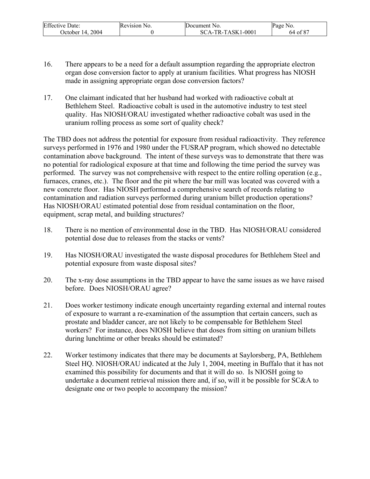| <b>Effective Date:</b> | Revision No. | Document No.        | Page No. |
|------------------------|--------------|---------------------|----------|
| October 14, 2004       |              | $SCA-TR-TASK1-0001$ | 64 of 87 |

- 16. There appears to be a need for a default assumption regarding the appropriate electron organ dose conversion factor to apply at uranium facilities. What progress has NIOSH made in assigning appropriate organ dose conversion factors?
- 17. One claimant indicated that her husband had worked with radioactive cobalt at Bethlehem Steel. Radioactive cobalt is used in the automotive industry to test steel quality. Has NIOSH/ORAU investigated whether radioactive cobalt was used in the uranium rolling process as some sort of quality check?

The TBD does not address the potential for exposure from residual radioactivity. They reference surveys performed in 1976 and 1980 under the FUSRAP program, which showed no detectable contamination above background. The intent of these surveys was to demonstrate that there was no potential for radiological exposure at that time and following the time period the survey was performed. The survey was not comprehensive with respect to the entire rolling operation (e.g., furnaces, cranes, etc.). The floor and the pit where the bar mill was located was covered with a new concrete floor. Has NIOSH performed a comprehensive search of records relating to contamination and radiation surveys performed during uranium billet production operations? Has NIOSH/ORAU estimated potential dose from residual contamination on the floor, equipment, scrap metal, and building structures?

- 18. There is no mention of environmental dose in the TBD. Has NIOSH/ORAU considered potential dose due to releases from the stacks or vents?
- 19. Has NIOSH/ORAU investigated the waste disposal procedures for Bethlehem Steel and potential exposure from waste disposal sites?
- 20. The x-ray dose assumptions in the TBD appear to have the same issues as we have raised before. Does NIOSH/ORAU agree?
- 21. Does worker testimony indicate enough uncertainty regarding external and internal routes of exposure to warrant a re-examination of the assumption that certain cancers, such as prostate and bladder cancer, are not likely to be compensable for Bethlehem Steel workers? For instance, does NIOSH believe that doses from sitting on uranium billets during lunchtime or other breaks should be estimated?
- 22. Worker testimony indicates that there may be documents at Saylorsberg, PA, Bethlehem Steel HQ. NIOSH/ORAU indicated at the July 1, 2004, meeting in Buffalo that it has not examined this possibility for documents and that it will do so. Is NIOSH going to undertake a document retrieval mission there and, if so, will it be possible for SC&A to designate one or two people to accompany the mission?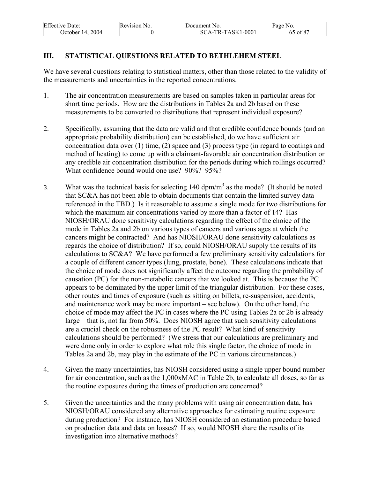| <b>Effective Date:</b> | Revision No. | Document No.      | Page No. |
|------------------------|--------------|-------------------|----------|
| October 14, 2004       |              | SCA-TR-TASK1-0001 | 65 of 87 |

## **III. STATISTICAL QUESTIONS RELATED TO BETHLEHEM STEEL**

We have several questions relating to statistical matters, other than those related to the validity of the measurements and uncertainties in the reported concentrations.

- 1. The air concentration measurements are based on samples taken in particular areas for short time periods. How are the distributions in Tables 2a and 2b based on these measurements to be converted to distributions that represent individual exposure?
- 2. Specifically, assuming that the data are valid and that credible confidence bounds (and an appropriate probability distribution) can be established, do we have sufficient air concentration data over  $(1)$  time,  $(2)$  space and  $(3)$  process type (in regard to coatings and method of heating) to come up with a claimant-favorable air concentration distribution or any credible air concentration distribution for the periods during which rollings occurred? What confidence bound would one use? 90%? 95%?
- 3. What was the technical basis for selecting  $140 \text{ dpm/m}^3$  as the mode? (It should be noted that SC&A has not been able to obtain documents that contain the limited survey data referenced in the TBD.) Is it reasonable to assume a single mode for two distributions for which the maximum air concentrations varied by more than a factor of 14? Has NIOSH/ORAU done sensitivity calculations regarding the effect of the choice of the mode in Tables 2a and 2b on various types of cancers and various ages at which the cancers might be contracted? And has NIOSH/ORAU done sensitivity calculations as regards the choice of distribution? If so, could NIOSH/ORAU supply the results of its calculations to SC&A? We have performed a few preliminary sensitivity calculations for a couple of different cancer types (lung, prostate, bone). These calculations indicate that the choice of mode does not significantly affect the outcome regarding the probability of causation (PC) for the non-metabolic cancers that we looked at. This is because the PC appears to be dominated by the upper limit of the triangular distribution. For these cases, other routes and times of exposure (such as sitting on billets, re-suspension, accidents, and maintenance work may be more important – see below). On the other hand, the choice of mode may affect the PC in cases where the PC using Tables 2a or 2b is already large – that is, not far from 50%. Does NIOSH agree that such sensitivity calculations are a crucial check on the robustness of the PC result? What kind of sensitivity calculations should be performed? (We stress that our calculations are preliminary and were done only in order to explore what role this single factor, the choice of mode in Tables 2a and 2b, may play in the estimate of the PC in various circumstances.)
- 4. Given the many uncertainties, has NIOSH considered using a single upper bound number for air concentration, such as the 1,000xMAC in Table 2b, to calculate all doses, so far as the routine exposures during the times of production are concerned?
- 5. Given the uncertainties and the many problems with using air concentration data, has NIOSH/ORAU considered any alternative approaches for estimating routine exposure during production? For instance, has NIOSH considered an estimation procedure based on production data and data on losses? If so, would NIOSH share the results of its investigation into alternative methods?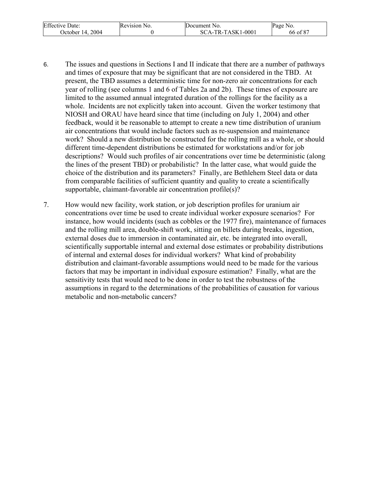| <b>Effective Date:</b> | Revision No. | Document No.      | Page No. |
|------------------------|--------------|-------------------|----------|
| October 14, 2004       |              | SCA-TR-TASK1-0001 | 66 of 87 |

- 6. The issues and questions in Sections I and II indicate that there are a number of pathways and times of exposure that may be significant that are not considered in the TBD. At present, the TBD assumes a deterministic time for non-zero air concentrations for each year of rolling (see columns 1 and 6 of Tables 2a and 2b). These times of exposure are limited to the assumed annual integrated duration of the rollings for the facility as a whole. Incidents are not explicitly taken into account. Given the worker testimony that NIOSH and ORAU have heard since that time (including on July 1, 2004) and other feedback, would it be reasonable to attempt to create a new time distribution of uranium air concentrations that would include factors such as re-suspension and maintenance work? Should a new distribution be constructed for the rolling mill as a whole, or should different time-dependent distributions be estimated for workstations and/or for job descriptions? Would such profiles of air concentrations over time be deterministic (along the lines of the present TBD) or probabilistic? In the latter case, what would guide the choice of the distribution and its parameters? Finally, are Bethlehem Steel data or data from comparable facilities of sufficient quantity and quality to create a scientifically supportable, claimant-favorable air concentration profile(s)?
- 7. How would new facility, work station, or job description profiles for uranium air concentrations over time be used to create individual worker exposure scenarios? For instance, how would incidents (such as cobbles or the 1977 fire), maintenance of furnaces and the rolling mill area, double-shift work, sitting on billets during breaks, ingestion, external doses due to immersion in contaminated air, etc. be integrated into overall, scientifically supportable internal and external dose estimates or probability distributions of internal and external doses for individual workers? What kind of probability distribution and claimant-favorable assumptions would need to be made for the various factors that may be important in individual exposure estimation? Finally, what are the sensitivity tests that would need to be done in order to test the robustness of the assumptions in regard to the determinations of the probabilities of causation for various metabolic and non-metabolic cancers?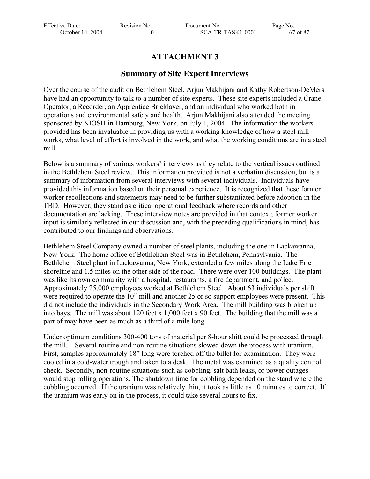| <b>Effective Date:</b> | Revision No. | Document No.        | Page No. |
|------------------------|--------------|---------------------|----------|
| October 14, 2004       |              | $SCA-TR-TASK1-0001$ | 67 of 87 |

# **ATTACHMENT 3**

## **Summary of Site Expert Interviews**

Over the course of the audit on Bethlehem Steel, Arjun Makhijani and Kathy Robertson-DeMers have had an opportunity to talk to a number of site experts. These site experts included a Crane Operator, a Recorder, an Apprentice Bricklayer, and an individual who worked both in operations and environmental safety and health. Arjun Makhijani also attended the meeting sponsored by NIOSH in Hamburg, New York, on July 1, 2004. The information the workers provided has been invaluable in providing us with a working knowledge of how a steel mill works, what level of effort is involved in the work, and what the working conditions are in a steel mill.

Below is a summary of various workers' interviews as they relate to the vertical issues outlined in the Bethlehem Steel review. This information provided is not a verbatim discussion, but is a summary of information from several interviews with several individuals. Individuals have provided this information based on their personal experience. It is recognized that these former worker recollections and statements may need to be further substantiated before adoption in the TBD. However, they stand as critical operational feedback where records and other documentation are lacking. These interview notes are provided in that context; former worker input is similarly reflected in our discussion and, with the preceding qualifications in mind, has contributed to our findings and observations.

Bethlehem Steel Company owned a number of steel plants, including the one in Lackawanna, New York. The home office of Bethlehem Steel was in Bethlehem, Pennsylvania. The Bethlehem Steel plant in Lackawanna, New York, extended a few miles along the Lake Erie shoreline and 1.5 miles on the other side of the road. There were over 100 buildings. The plant was like its own community with a hospital, restaurants, a fire department, and police. Approximately 25,000 employees worked at Bethlehem Steel. About 63 individuals per shift were required to operate the 10" mill and another 25 or so support employees were present. This did not include the individuals in the Secondary Work Area. The mill building was broken up into bays. The mill was about 120 feet x 1,000 feet x 90 feet. The building that the mill was a part of may have been as much as a third of a mile long.

Under optimum conditions 300-400 tons of material per 8-hour shift could be processed through the mill. Several routine and non-routine situations slowed down the process with uranium. First, samples approximately 18" long were torched off the billet for examination. They were cooled in a cold-water trough and taken to a desk. The metal was examined as a quality control check. Secondly, non-routine situations such as cobbling, salt bath leaks, or power outages would stop rolling operations. The shutdown time for cobbling depended on the stand where the cobbling occurred. If the uranium was relatively thin, it took as little as 10 minutes to correct. If the uranium was early on in the process, it could take several hours to fix.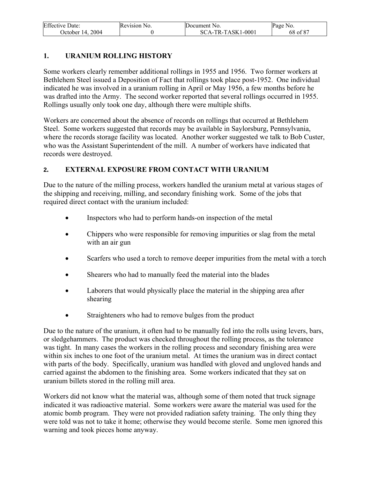| <b>Effective Date:</b> | Revision No. | Document No.        | Page No. |
|------------------------|--------------|---------------------|----------|
| October 14, 2004       |              | $SCA-TR-TASK1-0001$ | 68 of 87 |

### **1. URANIUM ROLLING HISTORY**

Some workers clearly remember additional rollings in 1955 and 1956. Two former workers at Bethlehem Steel issued a Deposition of Fact that rollings took place post-1952. One individual indicated he was involved in a uranium rolling in April or May 1956, a few months before he was drafted into the Army. The second worker reported that several rollings occurred in 1955. Rollings usually only took one day, although there were multiple shifts.

Workers are concerned about the absence of records on rollings that occurred at Bethlehem Steel. Some workers suggested that records may be available in Saylorsburg, Pennsylvania, where the records storage facility was located. Another worker suggested we talk to Bob Custer, who was the Assistant Superintendent of the mill. A number of workers have indicated that records were destroyed.

## **2. EXTERNAL EXPOSURE FROM CONTACT WITH URANIUM**

Due to the nature of the milling process, workers handled the uranium metal at various stages of the shipping and receiving, milling, and secondary finishing work. Some of the jobs that required direct contact with the uranium included:

- Inspectors who had to perform hands-on inspection of the metal
- Chippers who were responsible for removing impurities or slag from the metal with an air gun
- Scarfers who used a torch to remove deeper impurities from the metal with a torch
- Shearers who had to manually feed the material into the blades
- Laborers that would physically place the material in the shipping area after shearing
- Straighteners who had to remove bulges from the product

Due to the nature of the uranium, it often had to be manually fed into the rolls using levers, bars, or sledgehammers. The product was checked throughout the rolling process, as the tolerance was tight. In many cases the workers in the rolling process and secondary finishing area were within six inches to one foot of the uranium metal. At times the uranium was in direct contact with parts of the body. Specifically, uranium was handled with gloved and ungloved hands and carried against the abdomen to the finishing area. Some workers indicated that they sat on uranium billets stored in the rolling mill area.

Workers did not know what the material was, although some of them noted that truck signage indicated it was radioactive material. Some workers were aware the material was used for the atomic bomb program. They were not provided radiation safety training. The only thing they were told was not to take it home; otherwise they would become sterile. Some men ignored this warning and took pieces home anyway.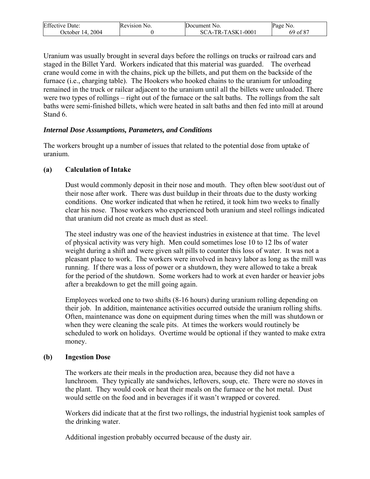| <b>Effective Date:</b> | Revision No. | <b>IDocument</b> No.    | Page No. |
|------------------------|--------------|-------------------------|----------|
| 2004<br>Dctober 14.    |              | CA-TR-TASK1-0001<br>SC. | of 87    |

Uranium was usually brought in several days before the rollings on trucks or railroad cars and staged in the Billet Yard. Workers indicated that this material was guarded. The overhead crane would come in with the chains, pick up the billets, and put them on the backside of the furnace (i.e., charging table). The Hookers who hooked chains to the uranium for unloading remained in the truck or railcar adjacent to the uranium until all the billets were unloaded. There were two types of rollings – right out of the furnace or the salt baths. The rollings from the salt baths were semi-finished billets, which were heated in salt baths and then fed into mill at around Stand 6.

#### *Internal Dose Assumptions, Parameters, and Conditions*

The workers brought up a number of issues that related to the potential dose from uptake of uranium.

#### **(a) Calculation of Intake**

Dust would commonly deposit in their nose and mouth. They often blew soot/dust out of their nose after work. There was dust buildup in their throats due to the dusty working conditions. One worker indicated that when he retired, it took him two weeks to finally clear his nose. Those workers who experienced both uranium and steel rollings indicated that uranium did not create as much dust as steel.

The steel industry was one of the heaviest industries in existence at that time. The level of physical activity was very high. Men could sometimes lose 10 to 12 lbs of water weight during a shift and were given salt pills to counter this loss of water. It was not a pleasant place to work. The workers were involved in heavy labor as long as the mill was running. If there was a loss of power or a shutdown, they were allowed to take a break for the period of the shutdown. Some workers had to work at even harder or heavier jobs after a breakdown to get the mill going again.

Employees worked one to two shifts (8-16 hours) during uranium rolling depending on their job. In addition, maintenance activities occurred outside the uranium rolling shifts. Often, maintenance was done on equipment during times when the mill was shutdown or when they were cleaning the scale pits. At times the workers would routinely be scheduled to work on holidays. Overtime would be optional if they wanted to make extra money.

#### **(b) Ingestion Dose**

The workers ate their meals in the production area, because they did not have a lunchroom. They typically ate sandwiches, leftovers, soup, etc. There were no stoves in the plant. They would cook or heat their meals on the furnace or the hot metal. Dust would settle on the food and in beverages if it wasn't wrapped or covered.

Workers did indicate that at the first two rollings, the industrial hygienist took samples of the drinking water.

Additional ingestion probably occurred because of the dusty air.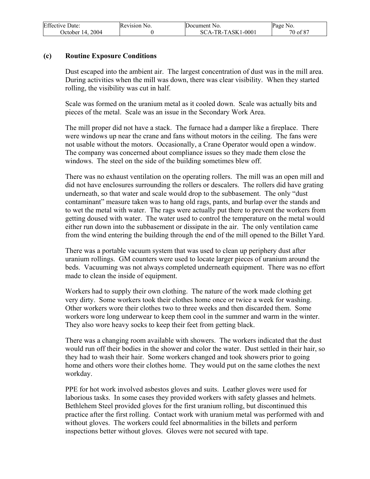| <b>Effective Date:</b> | Revision No. | Document No.      | Page No. |
|------------------------|--------------|-------------------|----------|
| October 14, 2004       |              | SCA-TR-TASK1-0001 | 70 of 87 |

#### **(c) Routine Exposure Conditions**

Dust escaped into the ambient air. The largest concentration of dust was in the mill area. During activities when the mill was down, there was clear visibility. When they started rolling, the visibility was cut in half.

Scale was formed on the uranium metal as it cooled down. Scale was actually bits and pieces of the metal. Scale was an issue in the Secondary Work Area.

The mill proper did not have a stack. The furnace had a damper like a fireplace. There were windows up near the crane and fans without motors in the ceiling. The fans were not usable without the motors. Occasionally, a Crane Operator would open a window. The company was concerned about compliance issues so they made them close the windows. The steel on the side of the building sometimes blew off.

There was no exhaust ventilation on the operating rollers. The mill was an open mill and did not have enclosures surrounding the rollers or descalers. The rollers did have grating underneath, so that water and scale would drop to the subbasement. The only "dust contaminant" measure taken was to hang old rags, pants, and burlap over the stands and to wet the metal with water. The rags were actually put there to prevent the workers from getting doused with water. The water used to control the temperature on the metal would either run down into the subbasement or dissipate in the air. The only ventilation came from the wind entering the building through the end of the mill opened to the Billet Yard.

There was a portable vacuum system that was used to clean up periphery dust after uranium rollings. GM counters were used to locate larger pieces of uranium around the beds. Vacuuming was not always completed underneath equipment. There was no effort made to clean the inside of equipment.

Workers had to supply their own clothing. The nature of the work made clothing get very dirty. Some workers took their clothes home once or twice a week for washing. Other workers wore their clothes two to three weeks and then discarded them. Some workers wore long underwear to keep them cool in the summer and warm in the winter. They also wore heavy socks to keep their feet from getting black.

There was a changing room available with showers. The workers indicated that the dust would run off their bodies in the shower and color the water. Dust settled in their hair, so they had to wash their hair. Some workers changed and took showers prior to going home and others wore their clothes home. They would put on the same clothes the next workday.

PPE for hot work involved asbestos gloves and suits. Leather gloves were used for laborious tasks. In some cases they provided workers with safety glasses and helmets. Bethlehem Steel provided gloves for the first uranium rolling, but discontinued this practice after the first rolling. Contact work with uranium metal was performed with and without gloves. The workers could feel abnormalities in the billets and perform inspections better without gloves. Gloves were not secured with tape.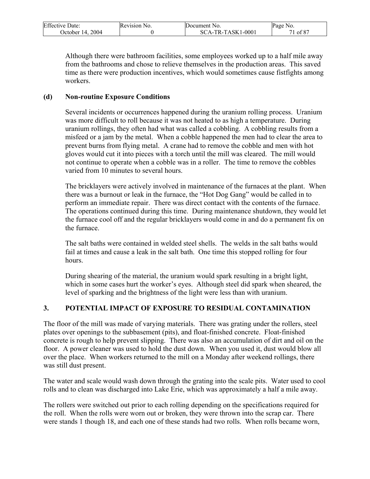| <b>Effective Date:</b> | Revision No. | Document No.      | Page No. |
|------------------------|--------------|-------------------|----------|
| October 14, 2004       |              | SCA-TR-TASK1-0001 | 1 of 87  |

Although there were bathroom facilities, some employees worked up to a half mile away from the bathrooms and chose to relieve themselves in the production areas. This saved time as there were production incentives, which would sometimes cause fistfights among workers.

#### **(d) Non-routine Exposure Conditions**

Several incidents or occurrences happened during the uranium rolling process. Uranium was more difficult to roll because it was not heated to as high a temperature. During uranium rollings, they often had what was called a cobbling. A cobbling results from a misfeed or a jam by the metal. When a cobble happened the men had to clear the area to prevent burns from flying metal. A crane had to remove the cobble and men with hot gloves would cut it into pieces with a torch until the mill was cleared. The mill would not continue to operate when a cobble was in a roller. The time to remove the cobbles varied from 10 minutes to several hours.

The bricklayers were actively involved in maintenance of the furnaces at the plant. When there was a burnout or leak in the furnace, the "Hot Dog Gang" would be called in to perform an immediate repair. There was direct contact with the contents of the furnace. The operations continued during this time. During maintenance shutdown, they would let the furnace cool off and the regular bricklayers would come in and do a permanent fix on the furnace.

The salt baths were contained in welded steel shells. The welds in the salt baths would fail at times and cause a leak in the salt bath. One time this stopped rolling for four hours.

During shearing of the material, the uranium would spark resulting in a bright light, which in some cases hurt the worker's eyes. Although steel did spark when sheared, the level of sparking and the brightness of the light were less than with uranium.

### **3. POTENTIAL IMPACT OF EXPOSURE TO RESIDUAL CONTAMINATION**

The floor of the mill was made of varying materials. There was grating under the rollers, steel plates over openings to the subbasement (pits), and float-finished concrete. Float-finished concrete is rough to help prevent slipping. There was also an accumulation of dirt and oil on the floor. A power cleaner was used to hold the dust down. When you used it, dust would blow all over the place. When workers returned to the mill on a Monday after weekend rollings, there was still dust present.

The water and scale would wash down through the grating into the scale pits. Water used to cool rolls and to clean was discharged into Lake Erie, which was approximately a half a mile away.

The rollers were switched out prior to each rolling depending on the specifications required for the roll. When the rolls were worn out or broken, they were thrown into the scrap car. There were stands 1 though 18, and each one of these stands had two rolls. When rolls became worn,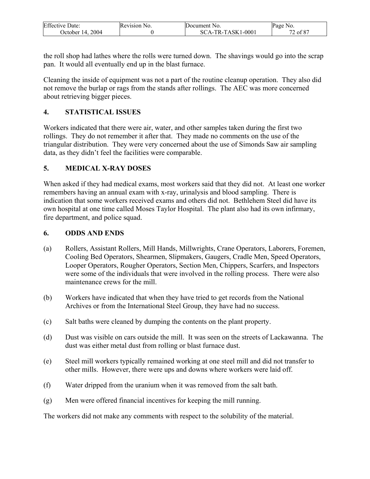| <b>Effective Date:</b> | Revision No. | Document No.        | Page No.  |
|------------------------|--------------|---------------------|-----------|
| 2004<br>October 14.    |              | $SCA-TR-TASK1-0001$ | . of $87$ |

the roll shop had lathes where the rolls were turned down. The shavings would go into the scrap pan. It would all eventually end up in the blast furnace.

Cleaning the inside of equipment was not a part of the routine cleanup operation. They also did not remove the burlap or rags from the stands after rollings. The AEC was more concerned about retrieving bigger pieces.

## **4. STATISTICAL ISSUES**

Workers indicated that there were air, water, and other samples taken during the first two rollings. They do not remember it after that. They made no comments on the use of the triangular distribution. They were very concerned about the use of Simonds Saw air sampling data, as they didn't feel the facilities were comparable.

## **5. MEDICAL X-RAY DOSES**

When asked if they had medical exams, most workers said that they did not. At least one worker remembers having an annual exam with x-ray, urinalysis and blood sampling. There is indication that some workers received exams and others did not. Bethlehem Steel did have its own hospital at one time called Moses Taylor Hospital. The plant also had its own infirmary, fire department, and police squad.

### **6. ODDS AND ENDS**

- (a) Rollers, Assistant Rollers, Mill Hands, Millwrights, Crane Operators, Laborers, Foremen, Cooling Bed Operators, Shearmen, Slipmakers, Gaugers, Cradle Men, Speed Operators, Looper Operators, Rougher Operators, Section Men, Chippers, Scarfers, and Inspectors were some of the individuals that were involved in the rolling process. There were also maintenance crews for the mill.
- (b) Workers have indicated that when they have tried to get records from the National Archives or from the International Steel Group, they have had no success.
- (c) Salt baths were cleaned by dumping the contents on the plant property.
- (d) Dust was visible on cars outside the mill. It was seen on the streets of Lackawanna. The dust was either metal dust from rolling or blast furnace dust.
- (e) Steel mill workers typically remained working at one steel mill and did not transfer to other mills. However, there were ups and downs where workers were laid off.
- (f) Water dripped from the uranium when it was removed from the salt bath.
- (g) Men were offered financial incentives for keeping the mill running.

The workers did not make any comments with respect to the solubility of the material.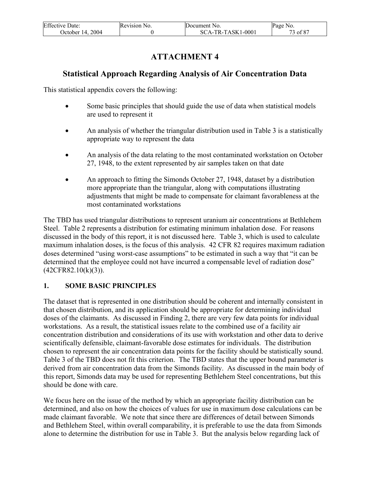| <b>Effective Date:</b> | Revision No. | Document No.        | Page No. |
|------------------------|--------------|---------------------|----------|
| 2004<br>October 14.    |              | $SCA-TR-TASK1-0001$ | 3 of 87  |

# **ATTACHMENT 4**

# **Statistical Approach Regarding Analysis of Air Concentration Data**

This statistical appendix covers the following:

- Some basic principles that should guide the use of data when statistical models are used to represent it
- An analysis of whether the triangular distribution used in Table 3 is a statistically appropriate way to represent the data
- An analysis of the data relating to the most contaminated workstation on October 27, 1948, to the extent represented by air samples taken on that date
- An approach to fitting the Simonds October 27, 1948, dataset by a distribution more appropriate than the triangular, along with computations illustrating adjustments that might be made to compensate for claimant favorableness at the most contaminated workstations

The TBD has used triangular distributions to represent uranium air concentrations at Bethlehem Steel. Table 2 represents a distribution for estimating minimum inhalation dose. For reasons discussed in the body of this report, it is not discussed here. Table 3, which is used to calculate maximum inhalation doses, is the focus of this analysis. 42 CFR 82 requires maximum radiation doses determined "using worst-case assumptions" to be estimated in such a way that "it can be determined that the employee could not have incurred a compensable level of radiation dose"  $(42CFR82.10(k)(3))$ .

# **1. SOME BASIC PRINCIPLES**

The dataset that is represented in one distribution should be coherent and internally consistent in that chosen distribution, and its application should be appropriate for determining individual doses of the claimants. As discussed in Finding 2, there are very few data points for individual workstations. As a result, the statistical issues relate to the combined use of a facility air concentration distribution and considerations of its use with workstation and other data to derive scientifically defensible, claimant-favorable dose estimates for individuals. The distribution chosen to represent the air concentration data points for the facility should be statistically sound. Table 3 of the TBD does not fit this criterion. The TBD states that the upper bound parameter is derived from air concentration data from the Simonds facility. As discussed in the main body of this report, Simonds data may be used for representing Bethlehem Steel concentrations, but this should be done with care.

We focus here on the issue of the method by which an appropriate facility distribution can be determined, and also on how the choices of values for use in maximum dose calculations can be made claimant favorable. We note that since there are differences of detail between Simonds and Bethlehem Steel, within overall comparability, it is preferable to use the data from Simonds alone to determine the distribution for use in Table 3. But the analysis below regarding lack of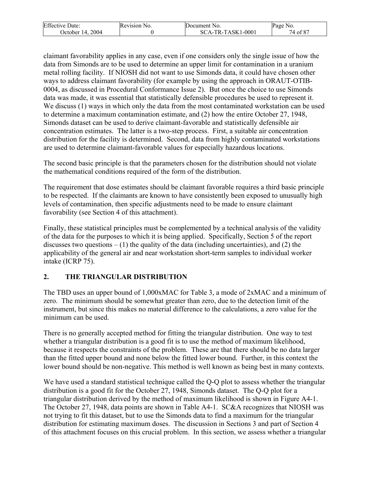| <b>Effective Date:</b> | Revision No. | Document No.     | Page No.                          |
|------------------------|--------------|------------------|-----------------------------------|
| 2004                   |              | CA-TR-TASK1-0001 | $\Delta$ $\Omega$ $\Omega$ $\sim$ |
| Detober 14.            |              | SС               | of 8                              |

claimant favorability applies in any case, even if one considers only the single issue of how the data from Simonds are to be used to determine an upper limit for contamination in a uranium metal rolling facility. If NIOSH did not want to use Simonds data, it could have chosen other ways to address claimant favorability (for example by using the approach in ORAUT-OTIB-0004, as discussed in Procedural Conformance Issue 2). But once the choice to use Simonds data was made, it was essential that statistically defensible procedures be used to represent it. We discuss (1) ways in which only the data from the most contaminated workstation can be used to determine a maximum contamination estimate, and (2) how the entire October 27, 1948, Simonds dataset can be used to derive claimant-favorable and statistically defensible air concentration estimates. The latter is a two-step process. First, a suitable air concentration distribution for the facility is determined. Second, data from highly contaminated workstations are used to determine claimant-favorable values for especially hazardous locations.

The second basic principle is that the parameters chosen for the distribution should not violate the mathematical conditions required of the form of the distribution.

The requirement that dose estimates should be claimant favorable requires a third basic principle to be respected. If the claimants are known to have consistently been exposed to unusually high levels of contamination, then specific adjustments need to be made to ensure claimant favorability (see Section 4 of this attachment).

Finally, these statistical principles must be complemented by a technical analysis of the validity of the data for the purposes to which it is being applied. Specifically, Section 5 of the report discusses two questions  $- (1)$  the quality of the data (including uncertainties), and (2) the applicability of the general air and near workstation short-term samples to individual worker intake (ICRP 75).

# **2. THE TRIANGULAR DISTRIBUTION**

The TBD uses an upper bound of 1,000xMAC for Table 3, a mode of 2xMAC and a minimum of zero. The minimum should be somewhat greater than zero, due to the detection limit of the instrument, but since this makes no material difference to the calculations, a zero value for the minimum can be used.

There is no generally accepted method for fitting the triangular distribution. One way to test whether a triangular distribution is a good fit is to use the method of maximum likelihood, because it respects the constraints of the problem. These are that there should be no data larger than the fitted upper bound and none below the fitted lower bound. Further, in this context the lower bound should be non-negative. This method is well known as being best in many contexts.

We have used a standard statistical technique called the Q-Q plot to assess whether the triangular distribution is a good fit for the October 27, 1948, Simonds dataset. The Q-Q plot for a triangular distribution derived by the method of maximum likelihood is shown in Figure A4-1. The October 27, 1948, data points are shown in Table A4-1. SC&A recognizes that NIOSH was not trying to fit this dataset, but to use the Simonds data to find a maximum for the triangular distribution for estimating maximum doses. The discussion in Sections 3 and part of Section 4 of this attachment focuses on this crucial problem. In this section, we assess whether a triangular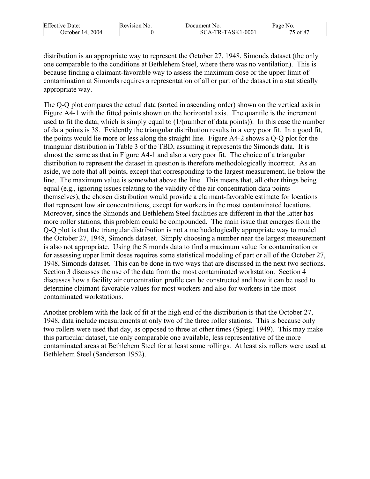| <b>Effective Date:</b> | Revision No. | Document No.                      | Page No.     |
|------------------------|--------------|-----------------------------------|--------------|
| 2004<br>Detober 14.    |              | $.1 - 0001$<br>-TR-TASK1<br>SCA-. | −0 ع<br>ot 8 |

distribution is an appropriate way to represent the October 27, 1948, Simonds dataset (the only one comparable to the conditions at Bethlehem Steel, where there was no ventilation). This is because finding a claimant-favorable way to assess the maximum dose or the upper limit of contamination at Simonds requires a representation of all or part of the dataset in a statistically appropriate way.

The Q-Q plot compares the actual data (sorted in ascending order) shown on the vertical axis in Figure A4-1 with the fitted points shown on the horizontal axis. The quantile is the increment used to fit the data, which is simply equal to (1/(number of data points)). In this case the number of data points is 38. Evidently the triangular distribution results in a very poor fit. In a good fit, the points would lie more or less along the straight line. Figure A4-2 shows a Q-Q plot for the triangular distribution in Table 3 of the TBD, assuming it represents the Simonds data. It is almost the same as that in Figure A4-1 and also a very poor fit. The choice of a triangular distribution to represent the dataset in question is therefore methodologically incorrect. As an aside, we note that all points, except that corresponding to the largest measurement, lie below the line. The maximum value is somewhat above the line. This means that, all other things being equal (e.g., ignoring issues relating to the validity of the air concentration data points themselves), the chosen distribution would provide a claimant-favorable estimate for locations that represent low air concentrations, except for workers in the most contaminated locations. Moreover, since the Simonds and Bethlehem Steel facilities are different in that the latter has more roller stations, this problem could be compounded. The main issue that emerges from the Q-Q plot is that the triangular distribution is not a methodologically appropriate way to model the October 27, 1948, Simonds dataset. Simply choosing a number near the largest measurement is also not appropriate. Using the Simonds data to find a maximum value for contamination or for assessing upper limit doses requires some statistical modeling of part or all of the October 27, 1948, Simonds dataset. This can be done in two ways that are discussed in the next two sections. Section 3 discusses the use of the data from the most contaminated workstation. Section 4 discusses how a facility air concentration profile can be constructed and how it can be used to determine claimant-favorable values for most workers and also for workers in the most contaminated workstations.

Another problem with the lack of fit at the high end of the distribution is that the October 27, 1948, data include measurements at only two of the three roller stations. This is because only two rollers were used that day, as opposed to three at other times (Spiegl 1949). This may make this particular dataset, the only comparable one available, less representative of the more contaminated areas at Bethlehem Steel for at least some rollings. At least six rollers were used at Bethlehem Steel (Sanderson 1952).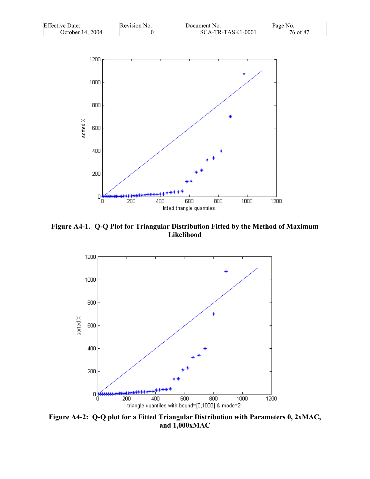| <b>Effective Date:</b> | Revision No. | Document No.        | Page No. |
|------------------------|--------------|---------------------|----------|
| October 14, 2004       |              | $SCA-TR-TASK1-0001$ | 76 of 87 |



**Figure A4-1. Q-Q Plot for Triangular Distribution Fitted by the Method of Maximum Likelihood** 



**Figure A4-2: Q-Q plot for a Fitted Triangular Distribution with Parameters 0, 2xMAC, and 1,000xMAC**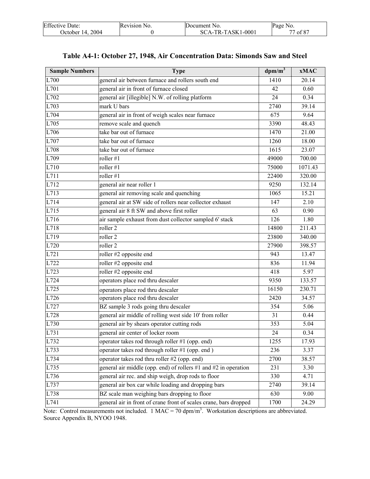| <b>Effective Date:</b> | Revision No. | Document No.      | Page No.     |
|------------------------|--------------|-------------------|--------------|
| 2004<br>October 14.    |              | SCA-TR-TASK1-0001 | of 87<br>--- |

|  |  | Table A4-1: October 27, 1948, Air Concentration Data: Simonds Saw and Steel |
|--|--|-----------------------------------------------------------------------------|
|--|--|-----------------------------------------------------------------------------|

| <b>Sample Numbers</b> | <b>Type</b>                                                       | $dpm/m^3$ | <b>xMAC</b> |
|-----------------------|-------------------------------------------------------------------|-----------|-------------|
| L700                  | general air between furnace and rollers south end                 | 1410      | 20.14       |
| L701                  | general air in front of furnace closed                            | 42        | 0.60        |
| L702                  | general air [illegible] N.W. of rolling platform                  | 24        | 0.34        |
| L703                  | mark U bars                                                       | 2740      | 39.14       |
| L704                  | general air in front of weigh scales near furnace                 | 675       | 9.64        |
| L705                  | remove scale and quench                                           | 3390      | 48.43       |
| L706                  | take bar out of furnace                                           | 1470      | 21.00       |
| L707                  | take bar out of furnace                                           | 1260      | 18.00       |
| L708                  | take bar out of furnace                                           | 1615      | 23.07       |
| L709                  | roller $#1$                                                       | 49000     | 700.00      |
| L710                  | roller #1                                                         | 75000     | 1071.43     |
| L711                  | roller $#1$                                                       | 22400     | 320.00      |
| L712                  | general air near roller 1                                         | 9250      | 132.14      |
| L713                  | general air removing scale and quenching                          | 1065      | 15.21       |
| L714                  | general air at SW side of rollers near collector exhaust          | 147       | 2.10        |
| L715                  | general air 8 ft SW and above first roller                        | 63        | 0.90        |
| L716                  | air sample exhaust from dust collector sampled 6' stack           | 126       | 1.80        |
| L718                  | roller 2                                                          | 14800     | 211.43      |
| L719                  | roller <sub>2</sub>                                               | 23800     | 340.00      |
| L720                  | roller <sub>2</sub>                                               | 27900     | 398.57      |
| L721                  | roller #2 opposite end                                            | 943       | 13.47       |
| L722                  | roller #2 opposite end                                            | 836       | 11.94       |
| L723                  | roller #2 opposite end                                            | 418       | 5.97        |
| L724                  | operators place rod thru descaler                                 | 9350      | 133.57      |
| L725                  | operators place rod thru descaler                                 | 16150     | 230.71      |
| L726                  | operators place rod thru descaler                                 | 2420      | 34.57       |
| L727                  | BZ sample 3 rods going thru descaler                              | 354       | 5.06        |
| L728                  | general air middle of rolling west side 10' from roller           | 31        | 0.44        |
| L730                  | general air by shears operator cutting rods                       | 353       | 5.04        |
| L731                  | general air center of locker room                                 | 24        | 0.34        |
| L732                  | operator takes rod through roller #1 (opp. end)                   | 1255      | 17.93       |
| L733                  | operator takes rod through roller #1 (opp. end)                   | 236       | 3.37        |
| L734                  | operator takes rod thru roller #2 (opp. end)                      | 2700      | 38.57       |
| L735                  | general air middle (opp. end) of rollers #1 and #2 in operation   | 231       | 3.30        |
| L736                  | general air rec. and ship weigh, drop rods to floor               | 330       | 4.71        |
| L737                  | general air box car while loading and dropping bars               | 2740      | 39.14       |
| L738                  | BZ scale man weighing bars dropping to floor                      | 630       | 9.00        |
| L741                  | general air in front of crane front of scales crane, bars dropped | 1700      | 24.29       |

Note: Control measurements not included.  $1 \text{ MAC} = 70 \text{ dpm/m}^3$ . Workstation descriptions are abbreviated. Source Appendix B, NYOO 1948.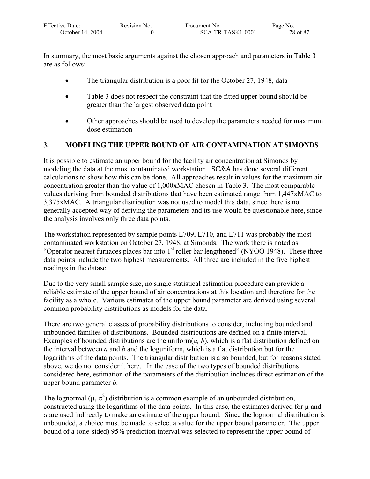| <b>Effective Date:</b> | Revision No. | Document No.        | Page No. |
|------------------------|--------------|---------------------|----------|
| 2004<br>October $14.$  |              | $SCA-TR-TASK1-0001$ | 78 of 87 |

In summary, the most basic arguments against the chosen approach and parameters in Table 3 are as follows:

- The triangular distribution is a poor fit for the October 27, 1948, data
- Table 3 does not respect the constraint that the fitted upper bound should be greater than the largest observed data point
- Other approaches should be used to develop the parameters needed for maximum dose estimation

## **3. MODELING THE UPPER BOUND OF AIR CONTAMINATION AT SIMONDS**

It is possible to estimate an upper bound for the facility air concentration at Simonds by modeling the data at the most contaminated workstation. SC&A has done several different calculations to show how this can be done. All approaches result in values for the maximum air concentration greater than the value of 1,000xMAC chosen in Table 3. The most comparable values deriving from bounded distributions that have been estimated range from 1,447xMAC to 3,375xMAC. A triangular distribution was not used to model this data, since there is no generally accepted way of deriving the parameters and its use would be questionable here, since the analysis involves only three data points.

The workstation represented by sample points L709, L710, and L711 was probably the most contaminated workstation on October 27, 1948, at Simonds. The work there is noted as "Operator nearest furnaces places bar into  $1<sup>st</sup>$  roller bar lengthened" (NYOO 1948). These three data points include the two highest measurements. All three are included in the five highest readings in the dataset.

Due to the very small sample size, no single statistical estimation procedure can provide a reliable estimate of the upper bound of air concentrations at this location and therefore for the facility as a whole. Various estimates of the upper bound parameter are derived using several common probability distributions as models for the data.

There are two general classes of probability distributions to consider, including bounded and unbounded families of distributions. Bounded distributions are defined on a finite interval. Examples of bounded distributions are the uniform(*a, b*), which is a flat distribution defined on the interval between *a* and *b* and the loguniform, which is a flat distribution but for the logarithms of the data points. The triangular distribution is also bounded, but for reasons stated above, we do not consider it here. In the case of the two types of bounded distributions considered here, estimation of the parameters of the distribution includes direct estimation of the upper bound parameter *b*.

The lognormal ( $\mu$ ,  $\sigma^2$ ) distribution is a common example of an unbounded distribution, constructed using the logarithms of the data points. In this case, the estimates derived for  $\mu$  and σ are used indirectly to make an estimate of the upper bound. Since the lognormal distribution is unbounded, a choice must be made to select a value for the upper bound parameter. The upper bound of a (one-sided) 95% prediction interval was selected to represent the upper bound of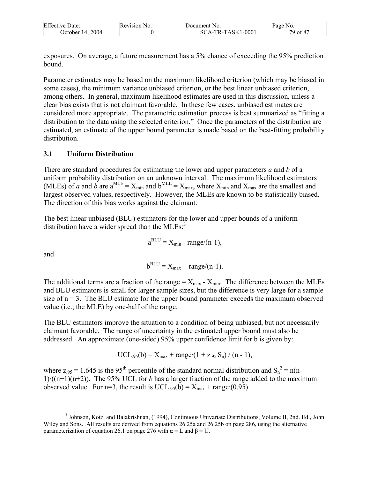| <b>Effective Date:</b> | Revision No. | Document No.      | Page No. |
|------------------------|--------------|-------------------|----------|
| 2004<br>October $14.$  |              | SCA-TR-TASK1-0001 | 79 of 87 |

exposures. On average, a future measurement has a 5% chance of exceeding the 95% prediction bound.

Parameter estimates may be based on the maximum likelihood criterion (which may be biased in some cases), the minimum variance unbiased criterion, or the best linear unbiased criterion, among others. In general, maximum likelihood estimates are used in this discussion, unless a clear bias exists that is not claimant favorable. In these few cases, unbiased estimates are considered more appropriate. The parametric estimation process is best summarized as "fitting a distribution to the data using the selected criterion." Once the parameters of the distribution are estimated, an estimate of the upper bound parameter is made based on the best-fitting probability distribution.

#### **3.1 Uniform Distribution**

There are standard procedures for estimating the lower and upper parameters *a* and *b* of a uniform probability distribution on an unknown interval. The maximum likelihood estimators (MLEs) of *a* and *b* are  $a^{MLE} = X_{min}$  and  $b^{MLE} = X_{max}$ , where  $X_{min}$  and  $X_{max}$  are the smallest and largest observed values, respectively. However, the MLEs are known to be statistically biased. The direction of this bias works against the claimant.

The best linear unbiased (BLU) estimators for the lower and upper bounds of a uniform distribution have a wider spread than the  $MLEs$ :<sup>3</sup>

$$
a^{BLU} = X_{min} - range/(n-1),
$$

and

 $\overline{a}$ 

$$
b^{\text{BLU}} = X_{\text{max}} + \text{range}/(n-1).
$$

The additional terms are a fraction of the range  $= X_{\text{max}} - X_{\text{min}}$ . The difference between the MLEs and BLU estimators is small for larger sample sizes, but the difference is very large for a sample size of  $n = 3$ . The BLU estimate for the upper bound parameter exceeds the maximum observed value (i.e., the MLE) by one-half of the range.

The BLU estimators improve the situation to a condition of being unbiased, but not necessarily claimant favorable. The range of uncertainty in the estimated upper bound must also be addressed. An approximate (one-sided) 95% upper confidence limit for b is given by:

UCL<sub>95</sub>(b) = 
$$
X_{max}
$$
 + range $\cdot$ (1 + z<sub>95</sub> S<sub>n</sub>) / (n - 1),

where  $z_{.95} = 1.645$  is the 95<sup>th</sup> percentile of the standard normal distribution and  $S_n^2 = n(n-1)$  $1/((n+1)(n+2))$ . The 95% UCL for *b* has a larger fraction of the range added to the maximum observed value. For  $n=3$ , the result is  $UCL_{.95}(b) = X_{max} + range(0.95)$ .

<sup>&</sup>lt;sup>3</sup> Johnson, Kotz, and Balakrishnan, (1994), Continuous Univariate Distributions, Volume II, 2nd. Ed., John Wiley and Sons. All results are derived from equations 26.25a and 26.25b on page 286, using the alternative parameterization of equation 26.1 on page 276 with  $\alpha = L$  and  $\beta = U$ .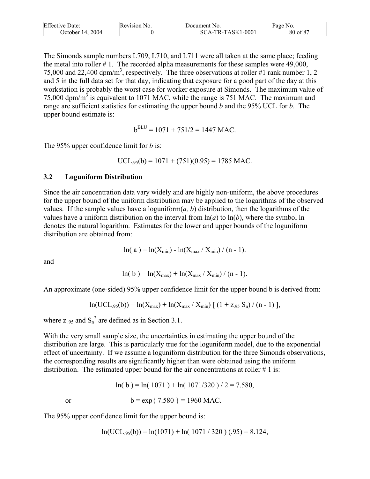| <b>Effective Date:</b> | Revision No. | Document No.      | Page No. |
|------------------------|--------------|-------------------|----------|
| October 14, 2004       |              | SCA-TR-TASK1-0001 | 80 of 87 |

The Simonds sample numbers L709, L710, and L711 were all taken at the same place; feeding the metal into roller # 1. The recorded alpha measurements for these samples were 49,000, 75,000 and 22,400 dpm/m<sup>3</sup>, respectively. The three observations at roller #1 rank number 1, 2 and 5 in the full data set for that day, indicating that exposure for a good part of the day at this workstation is probably the worst case for worker exposure at Simonds. The maximum value of 75,000 dpm/m<sup>3</sup> is equivalent to 1071 MAC, while the range is 751 MAC. The maximum and range are sufficient statistics for estimating the upper bound *b* and the 95% UCL for *b*. The upper bound estimate is:

 $b^{\text{BLU}} = 1071 + 751/2 = 1447 \text{ MAC}.$ 

The 95% upper confidence limit for *b* is:

UCL<sub>95</sub>(b) = 
$$
1071 + (751)(0.95) = 1785
$$
 MAC.

#### **3.2 Loguniform Distribution**

Since the air concentration data vary widely and are highly non-uniform, the above procedures for the upper bound of the uniform distribution may be applied to the logarithms of the observed values. If the sample values have a loguniform $(a, b)$  distribution, then the logarithms of the values have a uniform distribution on the interval from  $ln(a)$  to  $ln(b)$ , where the symbol ln denotes the natural logarithm. Estimates for the lower and upper bounds of the loguniform distribution are obtained from:

$$
\ln(a) = \ln(X_{\min}) - \ln(X_{\max} / X_{\min}) / (n - 1).
$$

and

$$
\ln(\,b\,) = \ln(X_{\max}) + \ln(X_{\max}/X_{\min}) / (n-1).
$$

An approximate (one-sided) 95% upper confidence limit for the upper bound b is derived from:

$$
ln( UCL_{.95}(b)) = ln(X_{max}) + ln(X_{max} / X_{min}) [(1 + z_{.95} S_n) / (n - 1)],
$$

where  $z_{.95}$  and  $S_n^2$  are defined as in Section 3.1.

With the very small sample size, the uncertainties in estimating the upper bound of the distribution are large. This is particularly true for the loguniform model, due to the exponential effect of uncertainty. If we assume a loguniform distribution for the three Simonds observations, the corresponding results are significantly higher than were obtained using the uniform distribution. The estimated upper bound for the air concentrations at roller  $# 1$  is:

$$
\ln(b) = \ln(1071) + \ln(1071/320)/2 = 7.580,
$$

or  $b = exp\{ 7.580 \} = 1960$  MAC.

The 95% upper confidence limit for the upper bound is:

 $ln( UCL_{.95}(b)) = ln(1071) + ln(1071 / 320) (.95) = 8.124,$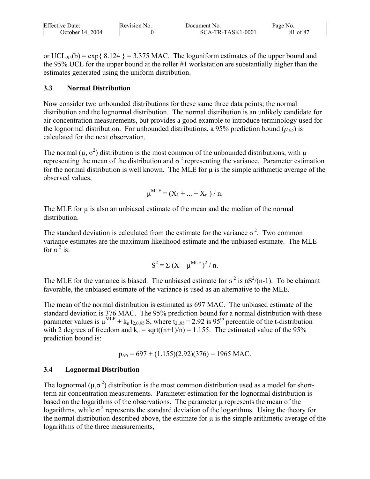| <b>Effective Date:</b> | Revision No. | Document No.      | Page No.            |
|------------------------|--------------|-------------------|---------------------|
| October 14, 2004       |              | SCA-TR-TASK1-0001 | $\circ$ of 87<br>ΟI |

or UCL<sub>95</sub>(b) = exp{ 8.124 } = 3,375 MAC. The loguniform estimates of the upper bound and the 95% UCL for the upper bound at the roller #1 workstation are substantially higher than the estimates generated using the uniform distribution.

#### **3.3 Normal Distribution**

Now consider two unbounded distributions for these same three data points; the normal distribution and the lognormal distribution. The normal distribution is an unlikely candidate for air concentration measurements, but provides a good example to introduce terminology used for the lognormal distribution. For unbounded distributions, a 95% prediction bound ( $p_{.95}$ ) is calculated for the next observation.

The normal ( $\mu$ ,  $\sigma^2$ ) distribution is the most common of the unbounded distributions, with  $\mu$ representing the mean of the distribution and  $\sigma^2$  representing the variance. Parameter estimation for the normal distribution is well known. The MLE for  $\mu$  is the simple arithmetic average of the observed values,

$$
\mu^{\text{MLE}} = (X_1 + ... + X_n) / n.
$$

The MLE for  $\mu$  is also an unbiased estimate of the mean and the median of the normal distribution.

The standard deviation is calculated from the estimate for the variance  $\sigma^2$ . Two common variance estimates are the maximum likelihood estimate and the unbiased estimate. The MLE for  $\sigma^2$  is:

$$
S^2 = \Sigma (X_i - \mu^{MLE})^2 / n.
$$

The MLE for the variance is biased. The unbiased estimate for  $\sigma^2$  is nS<sup>2</sup>/(n-1). To be claimant favorable, the unbiased estimate of the variance is used as an alternative to the MLE.

The mean of the normal distribution is estimated as 697 MAC. The unbiased estimate of the standard deviation is 376 MAC. The 95% prediction bound for a normal distribution with these parameter values is  $\mu^{\text{MLE}} + k_n t_{2,0.95} S$ , where  $t_{2,95} = 2.92$  is 95<sup>th</sup> percentile of the t-distribution with 2 degrees of freedom and  $k_n = \sqrt{(n+1)/n} = 1.155$ . The estimated value of the 95% prediction bound is:

$$
p_{.95} = 697 + (1.155)(2.92)(376) = 1965 \text{ MAC}.
$$

#### **3.4 Lognormal Distribution**

The lognormal ( $\mu$ , $\sigma^2$ ) distribution is the most common distribution used as a model for shortterm air concentration measurements. Parameter estimation for the lognormal distribution is based on the logarithms of the observations. The parameter  $\mu$  represents the mean of the logarithms, while  $\sigma^2$  represents the standard deviation of the logarithms. Using the theory for the normal distribution described above, the estimate for  $\mu$  is the simple arithmetic average of the logarithms of the three measurements,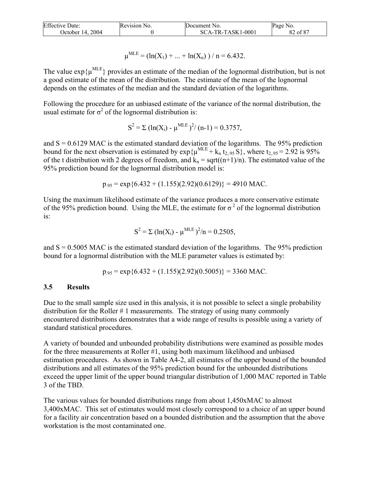| <b>Effective Date:</b> | Revision No. | Document No.        | Page No.            |
|------------------------|--------------|---------------------|---------------------|
| 2004<br>October 14.    |              | $SCA-TR-TASK1-0001$ | $\cdot$ of 87<br>٥Ź |

$$
\mu^{\text{MLE}} = (\ln(X_1) + ... + \ln(X_n)) / n = 6.432.
$$

The value  $\exp{\{\mu^{MLE}\}}$  provides an estimate of the median of the lognormal distribution, but is not a good estimate of the mean of the distribution. The estimate of the mean of the lognormal depends on the estimates of the median and the standard deviation of the logarithms.

Following the procedure for an unbiased estimate of the variance of the normal distribution, the usual estimate for  $\sigma^2$  of the lognormal distribution is:

$$
S^{2} = \Sigma (\ln(X_{i}) - \mu^{MLE})^{2}/(n-1) = 0.3757,
$$

and  $S = 0.6129$  MAC is the estimated standard deviation of the logarithms. The 95% prediction bound for the next observation is estimated by  $\exp{\{\mu^{MLE} + k_n t_{2,95} S\}}$ , where  $t_{2,95} = 2.92$  is 95% of the t distribution with 2 degrees of freedom, and  $k_n = \sqrt{(n+1)/n}$ . The estimated value of the 95% prediction bound for the lognormal distribution model is:

$$
p_{.95} = \exp\{6.432 + (1.155)(2.92)(0.6129)\} = 4910 \text{ MAC}.
$$

Using the maximum likelihood estimate of the variance produces a more conservative estimate of the 95% prediction bound. Using the MLE, the estimate for  $\sigma^2$  of the lognormal distribution is:

$$
S^{2} = \Sigma (\ln(X_{i}) - \mu^{MLE})^{2}/n = 0.2505,
$$

and  $S = 0.5005$  MAC is the estimated standard deviation of the logarithms. The 95% prediction bound for a lognormal distribution with the MLE parameter values is estimated by:

$$
p_{.95} = \exp\{6.432 + (1.155)(2.92)(0.5005)\} = 3360 \text{ MAC}.
$$

#### **3.5 Results**

Due to the small sample size used in this analysis, it is not possible to select a single probability distribution for the Roller # 1 measurements. The strategy of using many commonly encountered distributions demonstrates that a wide range of results is possible using a variety of standard statistical procedures.

A variety of bounded and unbounded probability distributions were examined as possible modes for the three measurements at Roller #1, using both maximum likelihood and unbiased estimation procedures. As shown in Table A4-2, all estimates of the upper bound of the bounded distributions and all estimates of the 95% prediction bound for the unbounded distributions exceed the upper limit of the upper bound triangular distribution of 1,000 MAC reported in Table 3 of the TBD.

The various values for bounded distributions range from about 1,450xMAC to almost 3,400xMAC. This set of estimates would most closely correspond to a choice of an upper bound for a facility air concentration based on a bounded distribution and the assumption that the above workstation is the most contaminated one.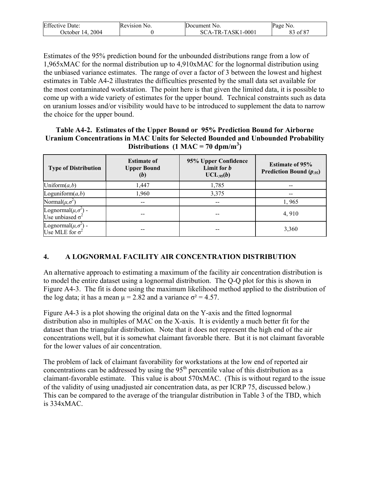| Effective               | Revision N | Document No.                     | Page           |
|-------------------------|------------|----------------------------------|----------------|
| Date:                   | NO.        |                                  | N <sub>0</sub> |
| 2004<br>. )ctober<br>14 |            | $-TASK1-0001$<br>$TR_{-}$<br>SCA | 187م<br>Οİ     |

Estimates of the 95% prediction bound for the unbounded distributions range from a low of 1,965xMAC for the normal distribution up to 4,910xMAC for the lognormal distribution using the unbiased variance estimates. The range of over a factor of 3 between the lowest and highest estimates in Table A4-2 illustrates the difficulties presented by the small data set available for the most contaminated workstation. The point here is that given the limited data, it is possible to come up with a wide variety of estimates for the upper bound. Technical constraints such as data on uranium losses and/or visibility would have to be introduced to supplement the data to narrow the choice for the upper bound.

**Table A4-2. Estimates of the Upper Bound or 95% Prediction Bound for Airborne Uranium Concentrations in MAC Units for Selected Bounded and Unbounded Probability**  Distributions  $(1 \text{ MAC} = 70 \text{ dpm/m}^3)$ 

| <b>Type of Distribution</b>                              | <b>Estimate of</b><br><b>Upper Bound</b><br>(b) | 95% Upper Confidence<br>Limit for b<br>$UCL_{.95}(b)$ | <b>Estimate of 95%</b><br><b>Prediction Bound (<math>p_{.95}</math>)</b> |
|----------------------------------------------------------|-------------------------------------------------|-------------------------------------------------------|--------------------------------------------------------------------------|
| Uniform $(a,b)$                                          | 1,447                                           | 1,785                                                 |                                                                          |
| Loguniform $(a,b)$                                       | 1,960                                           | 3,375                                                 | --                                                                       |
| Normal $(\mu, \sigma^2)$                                 | --                                              |                                                       | 1,965                                                                    |
| Lognormal $(\mu, \sigma^2)$ -<br>Use unbiased $\sigma^2$ | --                                              |                                                       | 4,910                                                                    |
| Lognormal $(\mu, \sigma^2)$ -<br>Use MLE for $\sigma^2$  |                                                 |                                                       | 3,360                                                                    |

# **4. A LOGNORMAL FACILITY AIR CONCENTRATION DISTRIBUTION**

An alternative approach to estimating a maximum of the facility air concentration distribution is to model the entire dataset using a lognormal distribution. The Q-Q plot for this is shown in Figure A4-3. The fit is done using the maximum likelihood method applied to the distribution of the log data; it has a mean  $\mu$  = 2.82 and a variance  $\sigma$ <sup>2</sup> = 4.57.

Figure A4-3 is a plot showing the original data on the Y-axis and the fitted lognormal distribution also in multiples of MAC on the X-axis. It is evidently a much better fit for the dataset than the triangular distribution. Note that it does not represent the high end of the air concentrations well, but it is somewhat claimant favorable there. But it is not claimant favorable for the lower values of air concentration.

The problem of lack of claimant favorability for workstations at the low end of reported air concentrations can be addressed by using the  $95<sup>th</sup>$  percentile value of this distribution as a claimant-favorable estimate. This value is about 570xMAC. (This is without regard to the issue of the validity of using unadjusted air concentration data, as per ICRP 75, discussed below.) This can be compared to the average of the triangular distribution in Table 3 of the TBD, which is 334xMAC.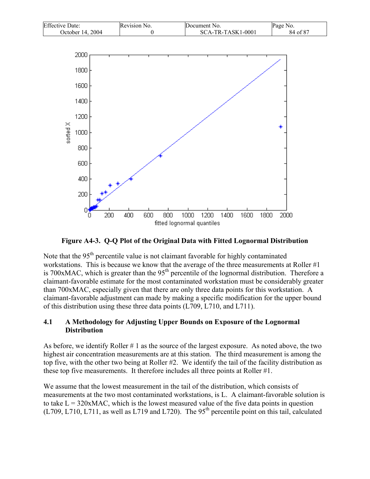



**Figure A4-3. Q-Q Plot of the Original Data with Fitted Lognormal Distribution** 

Note that the  $95<sup>th</sup>$  percentile value is not claimant favorable for highly contaminated workstations. This is because we know that the average of the three measurements at Roller #1 is 700xMAC, which is greater than the  $95<sup>th</sup>$  percentile of the lognormal distribution. Therefore a claimant-favorable estimate for the most contaminated workstation must be considerably greater than 700xMAC, especially given that there are only three data points for this workstation. A claimant-favorable adjustment can made by making a specific modification for the upper bound of this distribution using these three data points (L709, L710, and L711).

### **4.1 A Methodology for Adjusting Upper Bounds on Exposure of the Lognormal Distribution**

As before, we identify Roller # 1 as the source of the largest exposure. As noted above, the two highest air concentration measurements are at this station. The third measurement is among the top five, with the other two being at Roller #2. We identify the tail of the facility distribution as these top five measurements. It therefore includes all three points at Roller #1.

We assume that the lowest measurement in the tail of the distribution, which consists of measurements at the two most contaminated workstations, is L. A claimant-favorable solution is to take  $L = 320xMAC$ , which is the lowest measured value of the five data points in question  $(L709, L710, L711,$  as well as L719 and L720). The 95<sup>th</sup> percentile point on this tail, calculated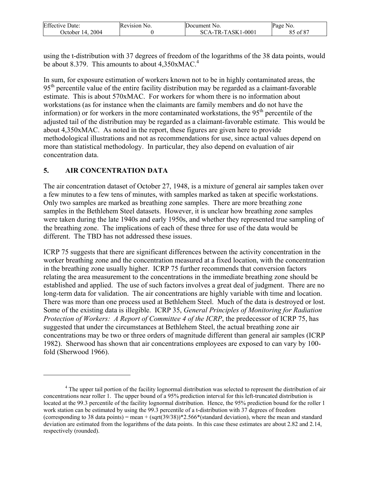| <b>Effective Date:</b> | Revision No. | Document No.      | Page No.       |
|------------------------|--------------|-------------------|----------------|
| 2004<br>October $14.$  |              | SCA-TR-TASK1-0001 | , of 87<br>OJ. |

using the t-distribution with 37 degrees of freedom of the logarithms of the 38 data points, would be about 8.379. This amounts to about 4,350xMAC.<sup>4</sup>

In sum, for exposure estimation of workers known not to be in highly contaminated areas, the 95<sup>th</sup> percentile value of the entire facility distribution may be regarded as a claimant-favorable estimate. This is about 570xMAC. For workers for whom there is no information about workstations (as for instance when the claimants are family members and do not have the information) or for workers in the more contaminated workstations, the  $95<sup>th</sup>$  percentile of the adjusted tail of the distribution may be regarded as a claimant-favorable estimate. This would be about 4,350xMAC. As noted in the report, these figures are given here to provide methodological illustrations and not as recommendations for use, since actual values depend on more than statistical methodology. In particular, they also depend on evaluation of air concentration data.

## **5. AIR CONCENTRATION DATA**

 $\overline{a}$ 

The air concentration dataset of October 27, 1948, is a mixture of general air samples taken over a few minutes to a few tens of minutes, with samples marked as taken at specific workstations. Only two samples are marked as breathing zone samples. There are more breathing zone samples in the Bethlehem Steel datasets. However, it is unclear how breathing zone samples were taken during the late 1940s and early 1950s, and whether they represented true sampling of the breathing zone. The implications of each of these three for use of the data would be different. The TBD has not addressed these issues.

ICRP 75 suggests that there are significant differences between the activity concentration in the worker breathing zone and the concentration measured at a fixed location, with the concentration in the breathing zone usually higher. ICRP 75 further recommends that conversion factors relating the area measurement to the concentrations in the immediate breathing zone should be established and applied. The use of such factors involves a great deal of judgment. There are no long-term data for validation. The air concentrations are highly variable with time and location. There was more than one process used at Bethlehem Steel. Much of the data is destroyed or lost. Some of the existing data is illegible. ICRP 35, *General Principles of Monitoring for Radiation Protection of Workers: A Report of Committee 4 of the ICRP*, the predecessor of ICRP 75, has suggested that under the circumstances at Bethlehem Steel, the actual breathing zone air concentrations may be two or three orders of magnitude different than general air samples (ICRP 1982). Sherwood has shown that air concentrations employees are exposed to can vary by 100 fold (Sherwood 1966).

<sup>&</sup>lt;sup>4</sup> The upper tail portion of the facility lognormal distribution was selected to represent the distribution of air concentrations near roller 1. The upper bound of a 95% prediction interval for this left-truncated distribution is located at the 99.3 percentile of the facility lognormal distribution. Hence, the 95% prediction bound for the roller 1 work station can be estimated by using the 99.3 percentile of a t-distribution with 37 degrees of freedom (corresponding to 38 data points) = mean + (sqrt(39/38))\*2.566\*(standard deviation), where the mean and standard deviation are estimated from the logarithms of the data points. In this case these estimates are about 2.82 and 2.14, respectively (rounded).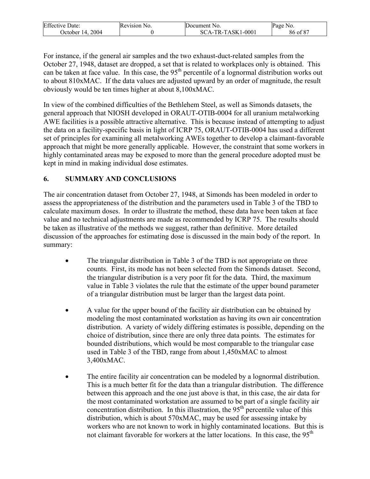| <b>Effective Date:</b> | <b>Revision No.</b> | Document No.      | Page No. |
|------------------------|---------------------|-------------------|----------|
| 2004<br>'October 14.   |                     | SCA-TR-TASK1-0001 | 86 of 87 |

For instance, if the general air samples and the two exhaust-duct-related samples from the October 27, 1948, dataset are dropped, a set that is related to workplaces only is obtained. This can be taken at face value. In this case, the  $95<sup>th</sup>$  percentile of a lognormal distribution works out to about 810xMAC. If the data values are adjusted upward by an order of magnitude, the result obviously would be ten times higher at about 8,100xMAC.

In view of the combined difficulties of the Bethlehem Steel, as well as Simonds datasets, the general approach that NIOSH developed in ORAUT-OTIB-0004 for all uranium metalworking AWE facilities is a possible attractive alternative. This is because instead of attempting to adjust the data on a facility-specific basis in light of ICRP 75, ORAUT-OTIB-0004 has used a different set of principles for examining all metalworking AWEs together to develop a claimant-favorable approach that might be more generally applicable. However, the constraint that some workers in highly contaminated areas may be exposed to more than the general procedure adopted must be kept in mind in making individual dose estimates.

## **6. SUMMARY AND CONCLUSIONS**

The air concentration dataset from October 27, 1948, at Simonds has been modeled in order to assess the appropriateness of the distribution and the parameters used in Table 3 of the TBD to calculate maximum doses. In order to illustrate the method, these data have been taken at face value and no technical adjustments are made as recommended by ICRP 75. The results should be taken as illustrative of the methods we suggest, rather than definitive. More detailed discussion of the approaches for estimating dose is discussed in the main body of the report. In summary:

- The triangular distribution in Table 3 of the TBD is not appropriate on three counts. First, its mode has not been selected from the Simonds dataset. Second, the triangular distribution is a very poor fit for the data. Third, the maximum value in Table 3 violates the rule that the estimate of the upper bound parameter of a triangular distribution must be larger than the largest data point.
- A value for the upper bound of the facility air distribution can be obtained by modeling the most contaminated workstation as having its own air concentration distribution. A variety of widely differing estimates is possible, depending on the choice of distribution, since there are only three data points. The estimates for bounded distributions, which would be most comparable to the triangular case used in Table 3 of the TBD, range from about 1,450xMAC to almost 3,400xMAC.
- The entire facility air concentration can be modeled by a lognormal distribution. This is a much better fit for the data than a triangular distribution. The difference between this approach and the one just above is that, in this case, the air data for the most contaminated workstation are assumed to be part of a single facility air concentration distribution. In this illustration, the  $95<sup>th</sup>$  percentile value of this distribution, which is about 570xMAC, may be used for assessing intake by workers who are not known to work in highly contaminated locations. But this is not claimant favorable for workers at the latter locations. In this case, the 95<sup>th</sup>